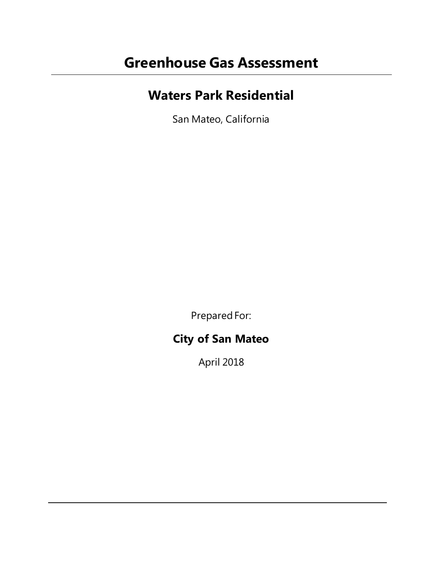# **Greenhouse Gas Assessment**

# **Waters Park Residential**

San Mateo, California

Prepared For:

# **City of San Mateo**

April 2018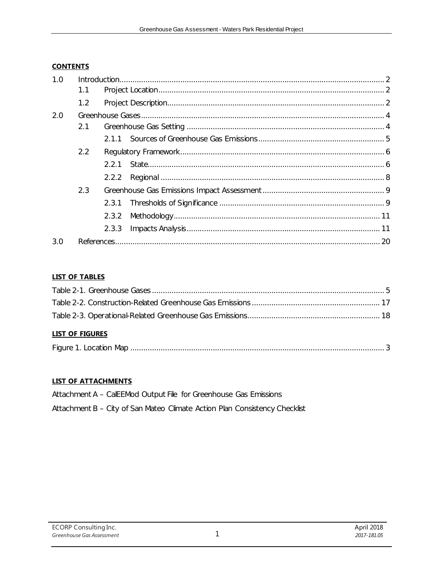#### **CONTENTS**

| 1.0 |     |       |  |  |  |
|-----|-----|-------|--|--|--|
|     | 1.1 |       |  |  |  |
|     | 1.2 |       |  |  |  |
| 2.0 |     |       |  |  |  |
|     | 2.1 |       |  |  |  |
|     |     |       |  |  |  |
|     | 2.2 |       |  |  |  |
|     |     | 221   |  |  |  |
|     |     | 2.2.2 |  |  |  |
|     | 2.3 |       |  |  |  |
|     |     | 2.3.1 |  |  |  |
|     |     | 2.3.2 |  |  |  |
|     |     | 2.3.3 |  |  |  |
| 3.0 |     |       |  |  |  |

#### **LIST OF TABLES**

| <b>LIST OF FIGURES</b> |  |
|------------------------|--|
|                        |  |
|                        |  |
|                        |  |

| Figure 1. Location Map |  |  |
|------------------------|--|--|
|------------------------|--|--|

#### **LIST OF ATTACHMENTS**

Attachment A - CalEEMod Output File for Greenhouse Gas Emissions

Attachment B - City of San Mateo Climate Action Plan Consistency Checklist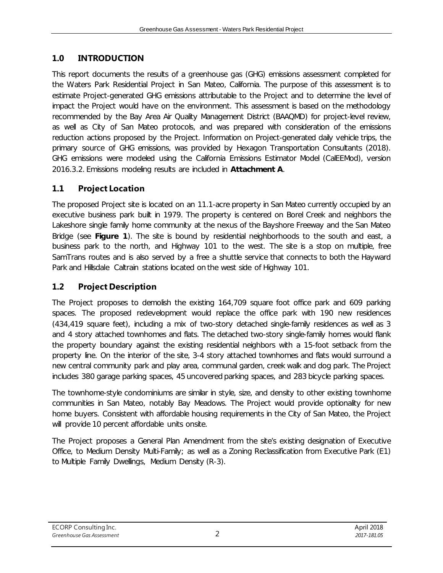# <span id="page-2-0"></span>**1.0 INTRODUCTION**

This report documents the results of a greenhouse gas (GHG) emissions assessment completed for the Waters Park Residential Project in San Mateo, California. The purpose of this assessment is to estimate Project-generated GHG emissions attributable to the Project and to determine the level of impact the Project would have on the environment. This assessment is based on the methodology recommended by the Bay Area Air Quality Management District (BAAQMD) for project-level review, as well as City of San Mateo protocols, and was prepared with consideration of the emissions reduction actions proposed by the Project. Information on Project-generated daily vehicle trips, the primary source of GHG emissions, was provided by Hexagon Transportation Consultants (2018). GHG emissions were modeled using the California Emissions Estimator Model (CalEEMod), version 2016.3.2. Emissions modeling results are included in **Attachment A**.

# <span id="page-2-1"></span>**1.1 Project Location**

The proposed Project site is located on an 11.1-acre property in San Mateo currently occupied by an executive business park built in 1979. The property is centered on Borel Creek and neighbors the Lakeshore single family home community at the nexus of the Bayshore Freeway and the San Mateo Bridge (see **Figure 1**). The site is bound by residential neighborhoods to the south and east, a business park to the north, and Highway 101 to the west. The site is a stop on multiple, free SamTrans routes and is also served by a free a shuttle service that connects to both the Hayward Park and Hillsdale Caltrain stations located on the west side of Highway 101.

# <span id="page-2-2"></span>**1.2 Project Description**

The Project proposes to demolish the existing 164,709 square foot office park and 609 parking spaces. The proposed redevelopment would replace the office park with 190 new residences (434,419 square feet), including a mix of two-story detached single-family residences as well as 3 and 4 story attached townhomes and flats. The detached two-story single-family homes would flank the property boundary against the existing residential neighbors with a 15-foot setback from the property line. On the interior of the site, 3-4 story attached townhomes and flats would surround a new central community park and play area, communal garden, creek walk and dog park. The Project includes 380 garage parking spaces, 45 uncovered parking spaces, and 283 bicycle parking spaces.

The townhome-style condominiums are similar in style, size, and density to other existing townhome communities in San Mateo, notably Bay Meadows. The Project would provide optionality for new home buyers. Consistent with affordable housing requirements in the City of San Mateo, the Project will provide 10 percent affordable units onsite.

The Project proposes a General Plan Amendment from the site's existing designation of Executive Office, to Medium Density Multi-Family; as well as a Zoning Reclassification from Executive Park (E1) to Multiple Family Dwellings, Medium Density (R-3).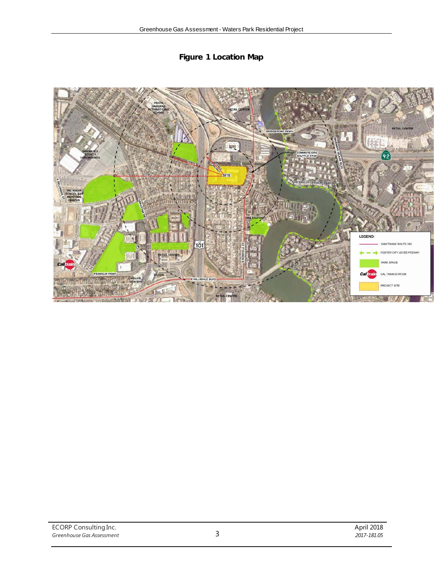

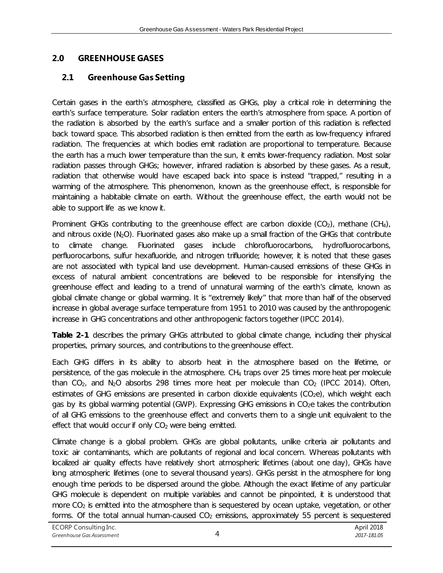# <span id="page-4-0"></span>**2.0 GREENHOUSE GASES**

# <span id="page-4-1"></span>**2.1 Greenhouse Gas Setting**

Certain gases in the earth's atmosphere, classified as GHGs, play a critical role in determining the earth's surface temperature. Solar radiation enters the earth's atmosphere from space. A portion of the radiation is absorbed by the earth's surface and a smaller portion of this radiation is reflected back toward space. This absorbed radiation is then emitted from the earth as low-frequency infrared radiation. The frequencies at which bodies emit radiation are proportional to temperature. Because the earth has a much lower temperature than the sun, it emits lower-frequency radiation. Most solar radiation passes through GHGs; however, infrared radiation is absorbed by these gases. As a result, radiation that otherwise would have escaped back into space is instead "trapped," resulting in a warming of the atmosphere. This phenomenon, known as the greenhouse effect, is responsible for maintaining a habitable climate on earth. Without the greenhouse effect, the earth would not be able to support life as we know it.

Prominent GHGs contributing to the greenhouse effect are carbon dioxide  $(CO_2)$ , methane  $(CH_4)$ , and nitrous oxide ( $N_2O$ ). Fluorinated gases also make up a small fraction of the GHGs that contribute to climate change. Fluorinated gases include chlorofluorocarbons, hydrofluorocarbons, perfluorocarbons, sulfur hexafluoride, and nitrogen trifluoride; however, it is noted that these gases are not associated with typical land use development. Human-caused emissions of these GHGs in excess of natural ambient concentrations are believed to be responsible for intensifying the greenhouse effect and leading to a trend of unnatural warming of the earth's climate, known as global climate change or global warming. It is "extremely likely" that more than half of the observed increase in global average surface temperature from 1951 to 2010 was caused by the anthropogenic increase in GHG concentrations and other anthropogenic factors together (IPCC 2014).

**Table 2-1** describes the primary GHGs attributed to global climate change, including their physical properties, primary sources, and contributions to the greenhouse effect.

Each GHG differs in its ability to absorb heat in the atmosphere based on the lifetime, or persistence, of the gas molecule in the atmosphere. CH4 traps over 25 times more heat per molecule than  $CO<sub>2</sub>$ , and N<sub>2</sub>O absorbs 298 times more heat per molecule than  $CO<sub>2</sub>$  (IPCC 2014). Often, estimates of GHG emissions are presented in carbon dioxide equivalents (CO<sub>2</sub>e), which weight each gas by its global warming potential (GWP). Expressing GHG emissions in CO<sub>2</sub>e takes the contribution of all GHG emissions to the greenhouse effect and converts them to a single unit equivalent to the effect that would occur if only CO<sub>2</sub> were being emitted.

Climate change is a global problem. GHGs are global pollutants, unlike criteria air pollutants and toxic air contaminants, which are pollutants of regional and local concern. Whereas pollutants with localized air quality effects have relatively short atmospheric lifetimes (about one day), GHGs have long atmospheric lifetimes (one to several thousand years). GHGs persist in the atmosphere for long enough time periods to be dispersed around the globe. Although the exact lifetime of any particular GHG molecule is dependent on multiple variables and cannot be pinpointed, it is understood that more  $CO<sub>2</sub>$  is emitted into the atmosphere than is sequestered by ocean uptake, vegetation, or other forms. Of the total annual human-caused  $CO<sub>2</sub>$  emissions, approximately 55 percent is sequestered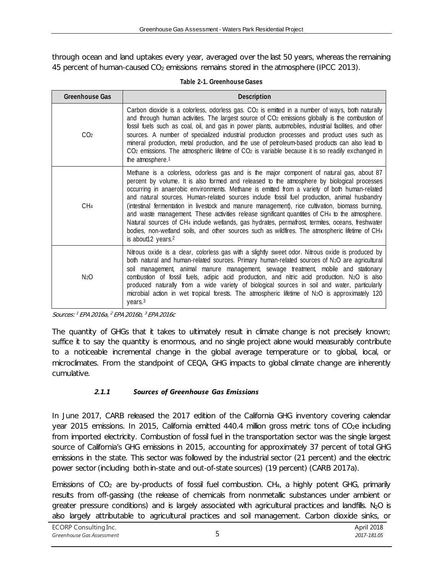through ocean and land uptakes every year, averaged over the last 50 years, whereas the remaining 45 percent of human-caused  $CO<sub>2</sub>$  emissions remains stored in the atmosphere (IPCC 2013).

<span id="page-5-1"></span>

| <b>Greenhouse Gas</b><br><b>Description</b> |                                                                                                                                                                                                                                                                                                                                                                                                                                                                                                                                                                                                                                                                                                                                                                                                                                                   |  |  |
|---------------------------------------------|---------------------------------------------------------------------------------------------------------------------------------------------------------------------------------------------------------------------------------------------------------------------------------------------------------------------------------------------------------------------------------------------------------------------------------------------------------------------------------------------------------------------------------------------------------------------------------------------------------------------------------------------------------------------------------------------------------------------------------------------------------------------------------------------------------------------------------------------------|--|--|
| CO <sub>2</sub>                             | Carbon dioxide is a colorless, odorless gas. CO <sub>2</sub> is emitted in a number of ways, both naturally<br>and through human activities. The largest source of CO2 emissions globally is the combustion of<br>fossil fuels such as coal, oil, and gas in power plants, automobiles, industrial facilities, and other<br>sources. A number of specialized industrial production processes and product uses such as<br>mineral production, metal production, and the use of petroleum-based products can also lead to<br>CO <sub>2</sub> emissions. The atmospheric lifetime of CO <sub>2</sub> is variable because it is so readily exchanged in<br>the atmosphere. <sup>1</sup>                                                                                                                                                               |  |  |
| CH <sub>4</sub>                             | Methane is a colorless, odorless gas and is the major component of natural gas, about 87<br>percent by volume. It is also formed and released to the atmosphere by biological processes<br>occurring in anaerobic environments. Methane is emitted from a variety of both human-related<br>and natural sources. Human-related sources include fossil fuel production, animal husbandry<br>(intestinal fermentation in livestock and manure management), rice cultivation, biomass burning,<br>and waste management. These activities release significant quantities of CH4 to the atmosphere.<br>Natural sources of CH <sub>4</sub> include wetlands, gas hydrates, permafrost, termites, oceans, freshwater<br>bodies, non-wetland soils, and other sources such as wildfires. The atmospheric lifetime of CH4<br>is about12 years. <sup>2</sup> |  |  |
| N <sub>2</sub> O                            | Nitrous oxide is a clear, colorless gas with a slightly sweet odor. Nitrous oxide is produced by<br>both natural and human-related sources. Primary human-related sources of N2O are agricultural<br>soil management, animal manure management, sewage treatment, mobile and stationary<br>combustion of fossil fuels, adipic acid production, and nitric acid production. N2O is also<br>produced naturally from a wide variety of biological sources in soil and water, particularly<br>microbial action in wet tropical forests. The atmospheric lifetime of N2O is approximately 120<br>years. <sup>3</sup>                                                                                                                                                                                                                                   |  |  |

| Table 2-1. Greenhouse Gases |
|-----------------------------|
|-----------------------------|

Sources: <sup>1</sup> EPA 2016a, <sup>2</sup> EPA 2016b, <sup>3</sup> EPA 2016c

The quantity of GHGs that it takes to ultimately result in climate change is not precisely known; suffice it to say the quantity is enormous, and no single project alone would measurably contribute to a noticeable incremental change in the global average temperature or to global, local, or microclimates. From the standpoint of CEQA, GHG impacts to global climate change are inherently cumulative.

#### *2.1.1 Sources of Greenhouse Gas Emissions*

<span id="page-5-0"></span>In June 2017, CARB released the 2017 edition of the California GHG inventory covering calendar year 2015 emissions. In 2015, California emitted 440.4 million gross metric tons of CO<sub>2</sub>e including from imported electricity. Combustion of fossil fuel in the transportation sector was the single largest source of California's GHG emissions in 2015, accounting for approximately 37 percent of total GHG emissions in the state. This sector was followed by the industrial sector (21 percent) and the electric power sector (including both in-state and out-of-state sources) (19 percent) (CARB 2017a).

Emissions of  $CO<sub>2</sub>$  are by-products of fossil fuel combustion.  $CH<sub>4</sub>$ , a highly potent GHG, primarily results from off-gassing (the release of chemicals from nonmetallic substances under ambient or greater pressure conditions) and is largely associated with agricultural practices and landfills.  $N_2O$  is also largely attributable to agricultural practices and soil management. Carbon dioxide sinks, or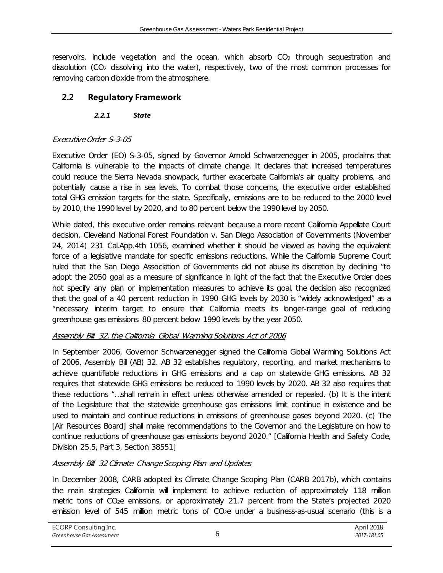reservoirs, include vegetation and the ocean, which absorb  $CO<sub>2</sub>$  through sequestration and dissolution  $(CO<sub>2</sub>$  dissolving into the water), respectively, two of the most common processes for removing carbon dioxide from the atmosphere.

# <span id="page-6-1"></span><span id="page-6-0"></span>**2.2 Regulatory Framework**

#### *2.2.1 State*

#### Executive Order S-3-05

Executive Order (EO) S-3-05, signed by Governor Arnold Schwarzenegger in 2005, proclaims that California is vulnerable to the impacts of climate change. It declares that increased temperatures could reduce the Sierra Nevada snowpack, further exacerbate California's air quality problems, and potentially cause a rise in sea levels. To combat those concerns, the executive order established total GHG emission targets for the state. Specifically, emissions are to be reduced to the 2000 level by 2010, the 1990 level by 2020, and to 80 percent below the 1990 level by 2050.

While dated, this executive order remains relevant because a more recent California Appellate Court decision, Cleveland National Forest Foundation v. San Diego Association of Governments (November 24, 2014) 231 Cal.App.4th 1056, examined whether it should be viewed as having the equivalent force of a legislative mandate for specific emissions reductions. While the California Supreme Court ruled that the San Diego Association of Governments did not abuse its discretion by declining "to adopt the 2050 goal as a measure of significance in light of the fact that the Executive Order does not specify any plan or implementation measures to achieve its goal, the decision also recognized that the goal of a 40 percent reduction in 1990 GHG levels by 2030 is "widely acknowledged" as a "necessary interim target to ensure that California meets its longer-range goal of reducing greenhouse gas emissions 80 percent below 1990 levels by the year 2050.

#### Assembly Bill 32, the California Global Warming Solutions Act of 2006

In September 2006, Governor Schwarzenegger signed the California Global Warming Solutions Act of 2006, Assembly Bill (AB) 32. AB 32 establishes regulatory, reporting, and market mechanisms to achieve quantifiable reductions in GHG emissions and a cap on statewide GHG emissions. AB 32 requires that statewide GHG emissions be reduced to 1990 levels by 2020. AB 32 also requires that these reductions "…shall remain in effect unless otherwise amended or repealed. (b) It is the intent of the Legislature that the statewide greenhouse gas emissions limit continue in existence and be used to maintain and continue reductions in emissions of greenhouse gases beyond 2020. (c) The [Air Resources Board] shall make recommendations to the Governor and the Legislature on how to continue reductions of greenhouse gas emissions beyond 2020." [California Health and Safety Code, Division 25.5, Part 3, Section 38551]

### Assembly Bill 32 Climate Change Scoping Plan and Updates

In December 2008, CARB adopted its Climate Change Scoping Plan (CARB 2017b), which contains the main strategies California will implement to achieve reduction of approximately 118 million metric tons of CO<sub>2</sub>e emissions, or approximately 21.7 percent from the State's projected 2020 emission level of 545 million metric tons of  $CO<sub>2</sub>e$  under a business-as-usual scenario (this is a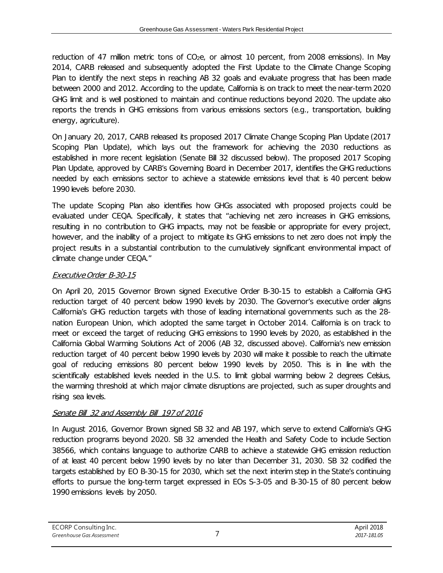reduction of 47 million metric tons of CO<sub>2</sub>e, or almost 10 percent, from 2008 emissions). In May 2014, CARB released and subsequently adopted the First Update to the Climate Change Scoping Plan to identify the next steps in reaching AB 32 goals and evaluate progress that has been made between 2000 and 2012. According to the update, California is on track to meet the near-term 2020 GHG limit and is well positioned to maintain and continue reductions beyond 2020. The update also reports the trends in GHG emissions from various emissions sectors (e.g., transportation, building energy, agriculture).

On January 20, 2017, CARB released its proposed 2017 Climate Change Scoping Plan Update (2017 Scoping Plan Update), which lays out the framework for achieving the 2030 reductions as established in more recent legislation (Senate Bill 32 discussed below). The proposed 2017 Scoping Plan Update, approved by CARB's Governing Board in December 2017, identifies the GHG reductions needed by each emissions sector to achieve a statewide emissions level that is 40 percent below 1990 levels before 2030.

The update Scoping Plan also identifies how GHGs associated with proposed projects could be evaluated under CEQA. Specifically, it states that "achieving net zero increases in GHG emissions, resulting in no contribution to GHG impacts, may not be feasible or appropriate for every project, however, and the inability of a project to mitigate its GHG emissions to net zero does not imply the project results in a substantial contribution to the cumulatively significant environmental impact of climate change under CEQA."

#### Executive Order B-30-15

On April 20, 2015 Governor Brown signed Executive Order B-30-15 to establish a California GHG reduction target of 40 percent below 1990 levels by 2030. The Governor's executive order aligns California's GHG reduction targets with those of leading international governments such as the 28 nation European Union, which adopted the same target in October 2014. California is on track to meet or exceed the target of reducing GHG emissions to 1990 levels by 2020, as established in the California Global Warming Solutions Act of 2006 (AB 32, discussed above). California's new emission reduction target of 40 percent below 1990 levels by 2030 will make it possible to reach the ultimate goal of reducing emissions 80 percent below 1990 levels by 2050. This is in line with the scientifically established levels needed in the U.S. to limit global warming below 2 degrees Celsius, the warming threshold at which major climate disruptions are projected, such as super droughts and rising sea levels.

#### Senate Bill 32 and Assembly Bill 197 of 2016

In August 2016, Governor Brown signed SB 32 and AB 197, which serve to extend California's GHG reduction programs beyond 2020. SB 32 amended the Health and Safety Code to include Section 38566, which contains language to authorize CARB to achieve a statewide GHG emission reduction of at least 40 percent below 1990 levels by no later than December 31, 2030. SB 32 codified the targets established by EO B-30-15 for 2030, which set the next interim step in the State's continuing efforts to pursue the long-term target expressed in EOs S-3-05 and B-30-15 of 80 percent below 1990 emissions levels by 2050.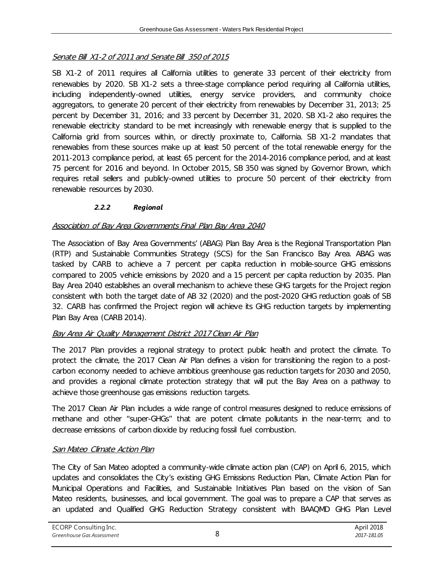#### Senate Bill X1-2 of 2011 and Senate Bill 350 of 2015

SB X1-2 of 2011 requires all California utilities to generate 33 percent of their electricity from renewables by 2020. SB X1-2 sets a three-stage compliance period requiring all California utilities, including independently-owned utilities, energy service providers, and community choice aggregators, to generate 20 percent of their electricity from renewables by December 31, 2013; 25 percent by December 31, 2016; and 33 percent by December 31, 2020. SB X1-2 also requires the renewable electricity standard to be met increasingly with renewable energy that is supplied to the California grid from sources within, or directly proximate to, California. SB X1-2 mandates that renewables from these sources make up at least 50 percent of the total renewable energy for the 2011-2013 compliance period, at least 65 percent for the 2014-2016 compliance period, and at least 75 percent for 2016 and beyond. In October 2015, SB 350 was signed by Governor Brown, which requires retail sellers and publicly-owned utilities to procure 50 percent of their electricity from renewable resources by 2030.

#### *2.2.2 Regional*

#### <span id="page-8-0"></span>Association of Bay Area Governments Final Plan Bay Area 2040

The Association of Bay Area Governments' (ABAG) Plan Bay Area is the Regional Transportation Plan (RTP) and Sustainable Communities Strategy (SCS) for the San Francisco Bay Area. ABAG was tasked by CARB to achieve a 7 percent per capita reduction in mobile-source GHG emissions compared to 2005 vehicle emissions by 2020 and a 15 percent per capita reduction by 2035. Plan Bay Area 2040 establishes an overall mechanism to achieve these GHG targets for the Project region consistent with both the target date of AB 32 (2020) and the post-2020 GHG reduction goals of SB 32. CARB has confirmed the Project region will achieve its GHG reduction targets by implementing Plan Bay Area (CARB 2014).

#### Bay Area Air Quality Management District 2017 Clean Air Plan

The 2017 Plan provides a regional strategy to protect public health and protect the climate. To protect the climate, the 2017 Clean Air Plan defines a vision for transitioning the region to a postcarbon economy needed to achieve ambitious greenhouse gas reduction targets for 2030 and 2050, and provides a regional climate protection strategy that will put the Bay Area on a pathway to achieve those greenhouse gas emissions reduction targets.

The 2017 Clean Air Plan includes a wide range of control measures designed to reduce emissions of methane and other "super-GHGs" that are potent climate pollutants in the near-term; and to decrease emissions of carbon dioxide by reducing fossil fuel combustion.

#### San Mateo Climate Action Plan

The City of San Mateo adopted a community-wide climate action plan (CAP) on April 6, 2015, which updates and consolidates the City's existing GHG Emissions Reduction Plan, Climate Action Plan for Municipal Operations and Facilities, and Sustainable Initiatives Plan based on the vision of San Mateo residents, businesses, and local government. The goal was to prepare a CAP that serves as an updated and Qualified GHG Reduction Strategy consistent with BAAQMD GHG Plan Level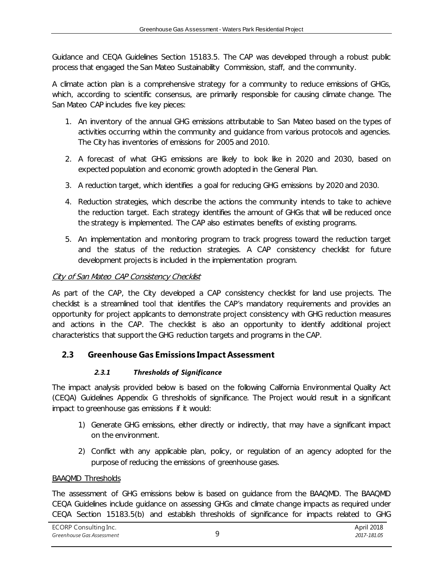Guidance and CEQA Guidelines Section 15183.5. The CAP was developed through a robust public process that engaged the San Mateo Sustainability Commission, staff, and the community.

A climate action plan is a comprehensive strategy for a community to reduce emissions of GHGs, which, according to scientific consensus, are primarily responsible for causing climate change. The San Mateo CAP includes five key pieces:

- 1. An inventory of the annual GHG emissions attributable to San Mateo based on the types of activities occurring within the community and guidance from various protocols and agencies. The City has inventories of emissions for 2005 and 2010.
- 2. A forecast of what GHG emissions are likely to look like in 2020 and 2030, based on expected population and economic growth adopted in the General Plan.
- 3. A reduction target, which identifies a goal for reducing GHG emissions by 2020 and 2030.
- 4. Reduction strategies, which describe the actions the community intends to take to achieve the reduction target. Each strategy identifies the amount of GHGs that will be reduced once the strategy is implemented. The CAP also estimates benefits of existing programs.
- 5. An implementation and monitoring program to track progress toward the reduction target and the status of the reduction strategies. A CAP consistency checklist for future development projects is included in the implementation program.

#### City of San Mateo CAP Consistency Checklist

As part of the CAP, the City developed a CAP consistency checklist for land use projects. The checklist is a streamlined tool that identifies the CAP's mandatory requirements and provides an opportunity for project applicants to demonstrate project consistency with GHG reduction measures and actions in the CAP. The checklist is also an opportunity to identify additional project characteristics that support the GHG reduction targets and programs in the CAP.

#### <span id="page-9-1"></span><span id="page-9-0"></span>**2.3 Greenhouse Gas Emissions Impact Assessment**

#### *2.3.1 Thresholds of Significance*

The impact analysis provided below is based on the following California Environmental Quality Act (CEQA) Guidelines Appendix G thresholds of significance. The Project would result in a significant impact to greenhouse gas emissions if it would:

- 1) Generate GHG emissions, either directly or indirectly, that may have a significant impact on the environment.
- 2) Conflict with any applicable plan, policy, or regulation of an agency adopted for the purpose of reducing the emissions of greenhouse gases.

#### BAAQMD Thresholds

The assessment of GHG emissions below is based on guidance from the BAAQMD. The BAAQMD CEQA Guidelines include guidance on assessing GHGs and climate change impacts as required under CEQA Section 15183.5(b) and establish thresholds of significance for impacts related to GHG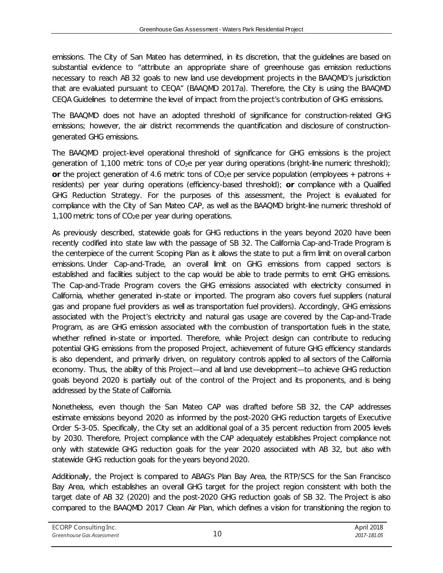emissions. The City of San Mateo has determined, in its discretion, that the guidelines are based on substantial evidence to "attribute an appropriate share of greenhouse gas emission reductions necessary to reach AB 32 goals to new land use development projects in the BAAQMD's jurisdiction that are evaluated pursuant to CEQA" (BAAQMD 2017a). Therefore, the City is using the BAAQMD CEQA Guidelines to determine the level of impact from the project's contribution of GHG emissions.

The BAAQMD does not have an adopted threshold of significance for construction-related GHG emissions; however, the air district recommends the quantification and disclosure of constructiongenerated GHG emissions.

The BAAQMD project-level operational threshold of significance for GHG emissions is the project generation of 1,100 metric tons of  $CO<sub>2</sub>e$  per year during operations (bright-line numeric threshold); **or** the project generation of 4.6 metric tons of  $CO<sub>2</sub>e$  per service population (employees + patrons + residents) per year during operations (efficiency-based threshold); **or** compliance with a Qualified GHG Reduction Strategy. For the purposes of this assessment, the Project is evaluated for compliance with the City of San Mateo CAP, as well as the BAAQMD bright-line numeric threshold of 1,100 metric tons of  $CO<sub>2</sub>e$  per year during operations.

As previously described, statewide goals for GHG reductions in the years beyond 2020 have been recently codified into state law with the passage of SB 32. The California Cap-and-Trade Program is the centerpiece of the current Scoping Plan as it allows the state to put a firm limit on overall carbon emissions. Under Cap-and-Trade, an overall limit on GHG emissions from capped sectors is established and facilities subject to the cap would be able to trade permits to emit GHG emissions. The Cap-and-Trade Program covers the GHG emissions associated with electricity consumed in California, whether generated in-state or imported. The program also covers fuel suppliers (natural gas and propane fuel providers as well as transportation fuel providers). Accordingly, GHG emissions associated with the Project's electricity and natural gas usage are covered by the Cap-and-Trade Program, as are GHG emission associated with the combustion of transportation fuels in the state, whether refined in-state or imported. Therefore, while Project design can contribute to reducing potential GHG emissions from the proposed Project, achievement of future GHG efficiency standards is also dependent, and primarily driven, on regulatory controls applied to all sectors of the California economy. Thus, the ability of this Project—and all land use development—to achieve GHG reduction goals beyond 2020 is partially out of the control of the Project and its proponents, and is being addressed by the State of California.

Nonetheless, even though the San Mateo CAP was drafted before SB 32, the CAP addresses estimate emissions beyond 2020 as informed by the post-2020 GHG reduction targets of Executive Order S-3-05. Specifically, the City set an additional goal of a 35 percent reduction from 2005 levels by 2030. Therefore, Project compliance with the CAP adequately establishes Project compliance not only with statewide GHG reduction goals for the year 2020 associated with AB 32, but also with statewide GHG reduction goals for the years beyond 2020.

Additionally, the Project is compared to ABAG's Plan Bay Area, the RTP/SCS for the San Francisco Bay Area, which establishes an overall GHG target for the project region consistent with both the target date of AB 32 (2020) and the post-2020 GHG reduction goals of SB 32. The Project is also compared to the BAAQMD 2017 Clean Air Plan, which defines a vision for transitioning the region to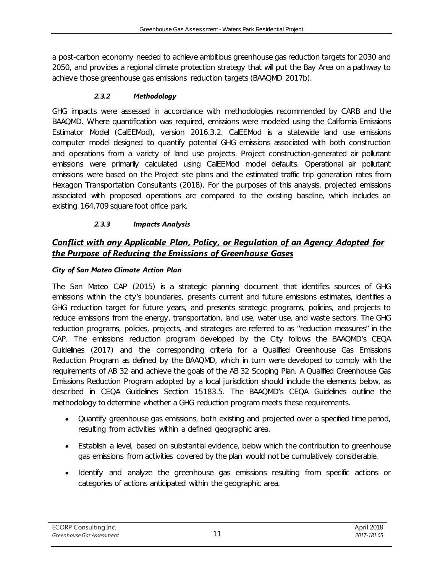a post-carbon economy needed to achieve ambitious greenhouse gas reduction targets for 2030 and 2050, and provides a regional climate protection strategy that will put the Bay Area on a pathway to achieve those greenhouse gas emissions reduction targets (BAAQMD 2017b).

#### *2.3.2 Methodology*

<span id="page-11-0"></span>GHG impacts were assessed in accordance with methodologies recommended by CARB and the BAAQMD. Where quantification was required, emissions were modeled using the California Emissions Estimator Model (CalEEMod), version 2016.3.2. CalEEMod is a statewide land use emissions computer model designed to quantify potential GHG emissions associated with both construction and operations from a variety of land use projects. Project construction-generated air pollutant emissions were primarily calculated using CalEEMod model defaults. Operational air pollutant emissions were based on the Project site plans and the estimated traffic trip generation rates from Hexagon Transportation Consultants (2018). For the purposes of this analysis, projected emissions associated with proposed operations are compared to the existing baseline, which includes an existing 164,709 square foot office park.

#### *2.3.3 Impacts Analysis*

# <span id="page-11-1"></span>*Conflict with any Applicable Plan, Policy, or Regulation of an Agency Adopted for the Purpose of Reducing the Emissions of Greenhouse Gases*

#### *City of San Mateo Climate Action Plan*

The San Mateo CAP (2015) is a strategic planning document that identifies sources of GHG emissions within the city's boundaries, presents current and future emissions estimates, identifies a GHG reduction target for future years, and presents strategic programs, policies, and projects to reduce emissions from the energy, transportation, land use, water use, and waste sectors. The GHG reduction programs, policies, projects, and strategies are referred to as "reduction measures" in the CAP. The emissions reduction program developed by the City follows the BAAQMD's CEQA Guidelines (2017) and the corresponding criteria for a Qualified Greenhouse Gas Emissions Reduction Program as defined by the BAAQMD, which in turn were developed to comply with the requirements of AB 32 and achieve the goals of the AB 32 Scoping Plan. A Qualified Greenhouse Gas Emissions Reduction Program adopted by a local jurisdiction should include the elements below, as described in CEQA Guidelines Section 15183.5. The BAAQMD's CEQA Guidelines outline the methodology to determine whether a GHG reduction program meets these requirements.

- Quantify greenhouse gas emissions, both existing and projected over a specified time period, resulting from activities within a defined geographic area.
- Establish a level, based on substantial evidence, below which the contribution to greenhouse gas emissions from activities covered by the plan would not be cumulatively considerable.
- Identify and analyze the greenhouse gas emissions resulting from specific actions or categories of actions anticipated within the geographic area.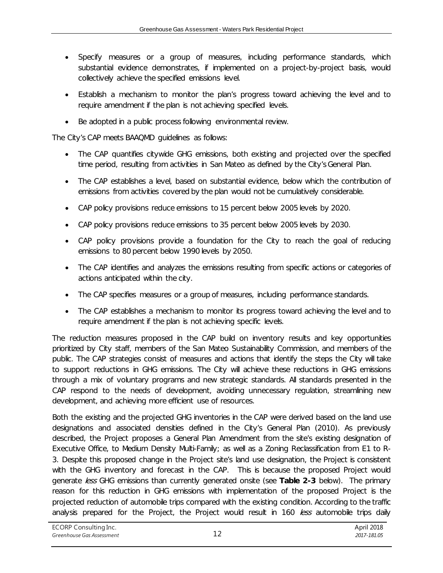- Specify measures or a group of measures, including performance standards, which substantial evidence demonstrates, if implemented on a project-by-project basis, would collectively achieve the specified emissions level.
- Establish a mechanism to monitor the plan's progress toward achieving the level and to require amendment if the plan is not achieving specified levels.
- Be adopted in a public process following environmental review.

The City's CAP meets BAAQMD guidelines as follows:

- The CAP quantifies citywide GHG emissions, both existing and projected over the specified time period, resulting from activities in San Mateo as defined by the City's General Plan.
- The CAP establishes a level, based on substantial evidence, below which the contribution of emissions from activities covered by the plan would not be cumulatively considerable.
- CAP policy provisions reduce emissions to 15 percent below 2005 levels by 2020.
- CAP policy provisions reduce emissions to 35 percent below 2005 levels by 2030.
- CAP policy provisions provide a foundation for the City to reach the goal of reducing emissions to 80 percent below 1990 levels by 2050.
- The CAP identifies and analyzes the emissions resulting from specific actions or categories of actions anticipated within the city.
- The CAP specifies measures or a group of measures, including performance standards.
- The CAP establishes a mechanism to monitor its progress toward achieving the level and to require amendment if the plan is not achieving specific levels.

The reduction measures proposed in the CAP build on inventory results and key opportunities prioritized by City staff, members of the San Mateo Sustainability Commission, and members of the public. The CAP strategies consist of measures and actions that identify the steps the City will take to support reductions in GHG emissions. The City will achieve these reductions in GHG emissions through a mix of voluntary programs and new strategic standards. All standards presented in the CAP respond to the needs of development, avoiding unnecessary regulation, streamlining new development, and achieving more efficient use of resources.

Both the existing and the projected GHG inventories in the CAP were derived based on the land use designations and associated densities defined in the City's General Plan (2010). As previously described, the Project proposes a General Plan Amendment from the site's existing designation of Executive Office, to Medium Density Multi-Family; as well as a Zoning Reclassification from E1 to R-3. Despite this proposed change in the Project site's land use designation, the Project is consistent with the GHG inventory and forecast in the CAP. This is because the proposed Project would generate less GHG emissions than currently generated onsite (see **Table 2-3** below). The primary reason for this reduction in GHG emissions with implementation of the proposed Project is the projected reduction of automobile trips compared with the existing condition. According to the traffic analysis prepared for the Project, the Project would result in 160 less automobile trips daily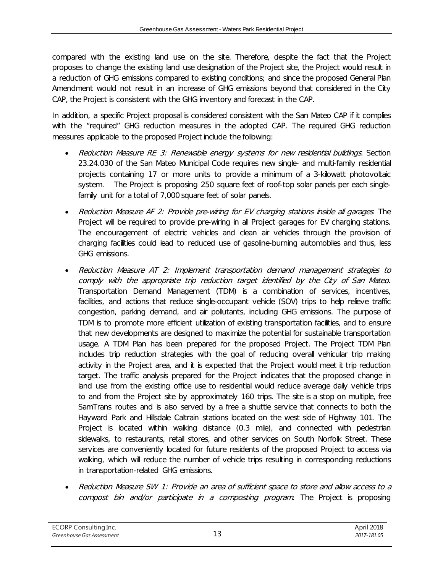compared with the existing land use on the site. Therefore, despite the fact that the Project proposes to change the existing land use designation of the Project site, the Project would result in a reduction of GHG emissions compared to existing conditions; and since the proposed General Plan Amendment would not result in an increase of GHG emissions beyond that considered in the City CAP, the Project is consistent with the GHG inventory and forecast in the CAP.

In addition, a specific Project proposal is considered consistent with the San Mateo CAP if it complies with the "required" GHG reduction measures in the adopted CAP. The required GHG reduction measures applicable to the proposed Project include the following:

- Reduction Measure RE 3: Renewable energy systems for new residential buildings. Section 23.24.030 of the San Mateo Municipal Code requires new single- and multi-family residential projects containing 17 or more units to provide a minimum of a 3-kilowatt photovoltaic system. The Project is proposing 250 square feet of roof-top solar panels per each singlefamily unit for a total of 7,000 square feet of solar panels.
- Reduction Measure AF 2: Provide pre-wiring for EV charging stations inside all garages. The Project will be required to provide pre-wiring in all Project garages for EV charging stations. The encouragement of electric vehicles and clean air vehicles through the provision of charging facilities could lead to reduced use of gasoline-burning automobiles and thus, less GHG emissions.
- Reduction Measure AT 2: Implement transportation demand management strategies to comply with the appropriate trip reduction target identified by the City of San Mateo. Transportation Demand Management (TDM) is a combination of services, incentives, facilities, and actions that reduce single-occupant vehicle (SOV) trips to help relieve traffic congestion, parking demand, and air pollutants, including GHG emissions. The purpose of TDM is to promote more efficient utilization of existing transportation facilities, and to ensure that new developments are designed to maximize the potential for sustainable transportation usage. A TDM Plan has been prepared for the proposed Project. The Project TDM Plan includes trip reduction strategies with the goal of reducing overall vehicular trip making activity in the Project area, and it is expected that the Project would meet it trip reduction target. The traffic analysis prepared for the Project indicates that the proposed change in land use from the existing office use to residential would reduce average daily vehicle trips to and from the Project site by approximately 160 trips. The site is a stop on multiple, free SamTrans routes and is also served by a free a shuttle service that connects to both the Hayward Park and Hillsdale Caltrain stations located on the west side of Highway 101. The Project is located within walking distance (0.3 mile), and connected with pedestrian sidewalks, to restaurants, retail stores, and other services on South Norfolk Street. These services are conveniently located for future residents of the proposed Project to access via walking, which will reduce the number of vehicle trips resulting in corresponding reductions in transportation-related GHG emissions.
- Reduction Measure SW 1: Provide an area of sufficient space to store and allow access to a compost bin and/or participate in a composting program. The Project is proposing

ECORP Consulting Inc. *Greenhouse Gas Assessment* 13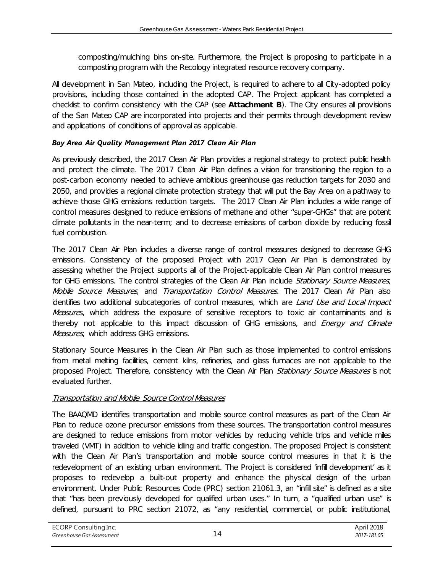composting/mulching bins on-site. Furthermore, the Project is proposing to participate in a composting program with the Recology integrated resource recovery company.

All development in San Mateo, including the Project, is required to adhere to all City-adopted policy provisions, including those contained in the adopted CAP. The Project applicant has completed a checklist to confirm consistency with the CAP (see **Attachment B**). The City ensures all provisions of the San Mateo CAP are incorporated into projects and their permits through development review and applications of conditions of approval as applicable.

#### *Bay Area Air Quality Management Plan 2017 Clean Air Plan*

As previously described, the 2017 Clean Air Plan provides a regional strategy to protect public health and protect the climate. The 2017 Clean Air Plan defines a vision for transitioning the region to a post-carbon economy needed to achieve ambitious greenhouse gas reduction targets for 2030 and 2050, and provides a regional climate protection strategy that will put the Bay Area on a pathway to achieve those GHG emissions reduction targets. The 2017 Clean Air Plan includes a wide range of control measures designed to reduce emissions of methane and other "super-GHGs" that are potent climate pollutants in the near-term; and to decrease emissions of carbon dioxide by reducing fossil fuel combustion.

The 2017 Clean Air Plan includes a diverse range of control measures designed to decrease GHG emissions. Consistency of the proposed Project with 2017 Clean Air Plan is demonstrated by assessing whether the Project supports all of the Project-applicable Clean Air Plan control measures for GHG emissions. The control strategies of the Clean Air Plan include Stationary Source Measures, Mobile Source Measures, and Transportation Control Measures. The 2017 Clean Air Plan also identifies two additional subcategories of control measures, which are Land Use and Local Impact Measures, which address the exposure of sensitive receptors to toxic air contaminants and is thereby not applicable to this impact discussion of GHG emissions, and *Energy and Climate* Measures, which address GHG emissions.

Stationary Source Measures in the Clean Air Plan such as those implemented to control emissions from metal melting facilities, cement kilns, refineries, and glass furnaces are not applicable to the proposed Project. Therefore, consistency with the Clean Air Plan Stationary Source Measures is not evaluated further.

#### Transportation and Mobile Source Control Measures

The BAAQMD identifies transportation and mobile source control measures as part of the Clean Air Plan to reduce ozone precursor emissions from these sources. The transportation control measures are designed to reduce emissions from motor vehicles by reducing vehicle trips and vehicle miles traveled (VMT) in addition to vehicle idling and traffic congestion. The proposed Project is consistent with the Clean Air Plan's transportation and mobile source control measures in that it is the redevelopment of an existing urban environment. The Project is considered 'infill development' as it proposes to redevelop a built-out property and enhance the physical design of the urban environment. Under Public Resources Code (PRC) section 21061.3, an "infill site" is defined as a site that "has been previously developed for qualified urban uses." In turn, a "qualified urban use" is defined, pursuant to PRC section 21072, as "any residential, commercial, or public institutional,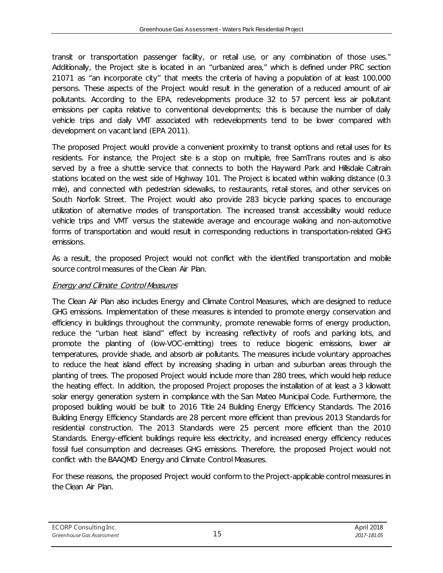transit or transportation passenger facility, or retail use, or any combination of those uses." Additionally, the Project site is located in an "urbanized area," which is defined under PRC section 21071 as "an incorporate city" that meets the criteria of having a population of at least 100,000 persons. These aspects of the Project would result in the generation of a reduced amount of air pollutants. According to the EPA, redevelopments produce 32 to 57 percent less air pollutant emissions per capita relative to conventional developments; this is because the number of daily vehicle trips and daily VMT associated with redevelopments tend to be lower compared with development on vacant land (EPA 2011).

The proposed Project would provide a convenient proximity to transit options and retail uses for its residents. For instance, the Project site is a stop on multiple, free SamTrans routes and is also served by a free a shuttle service that connects to both the Hayward Park and Hillsdale Caltrain stations located on the west side of Highway 101. The Project is located within walking distance (0.3 mile), and connected with pedestrian sidewalks, to restaurants, retail stores, and other services on South Norfolk Street. The Project would also provide 283 bicycle parking spaces to encourage utilization of alternative modes of transportation. The increased transit accessibility would reduce vehicle trips and VMT versus the statewide average and encourage walking and non-automotive forms of transportation and would result in corresponding reductions in transportation-related GHG emissions.

As a result, the proposed Project would not conflict with the identified transportation and mobile source control measures of the Clean Air Plan.

#### Energy and Climate Control Measures

The Clean Air Plan also includes Energy and Climate Control Measures, which are designed to reduce GHG emissions. Implementation of these measures is intended to promote energy conservation and efficiency in buildings throughout the community, promote renewable forms of energy production, reduce the "urban heat island" effect by increasing reflectivity of roofs and parking lots, and promote the planting of (low-VOC-emitting) trees to reduce biogenic emissions, lower air temperatures, provide shade, and absorb air pollutants. The measures include voluntary approaches to reduce the heat island effect by increasing shading in urban and suburban areas through the planting of trees. The proposed Project would include more than 280 trees, which would help reduce the heating effect. In addition, the proposed Project proposes the installation of at least a 3 kilowatt solar energy generation system in compliance with the San Mateo Municipal Code. Furthermore, the proposed building would be built to 2016 Title 24 Building Energy Efficiency Standards. The 2016 Building Energy Efficiency Standards are 28 percent more efficient than previous 2013 Standards for residential construction. The 2013 Standards were 25 percent more efficient than the 2010 Standards. Energy-efficient buildings require less electricity, and increased energy efficiency reduces fossil fuel consumption and decreases GHG emissions. Therefore, the proposed Project would not conflict with the BAAQMD Energy and Climate Control Measures.

For these reasons, the proposed Project would conform to the Project-applicable control measures in the Clean Air Plan.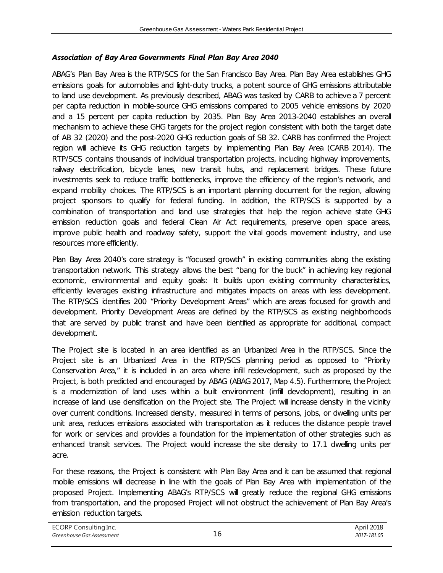#### *Association of Bay Area Governments Final Plan Bay Area 2040*

ABAG's Plan Bay Area is the RTP/SCS for the San Francisco Bay Area. Plan Bay Area establishes GHG emissions goals for automobiles and light-duty trucks, a potent source of GHG emissions attributable to land use development. As previously described, ABAG was tasked by CARB to achieve a 7 percent per capita reduction in mobile-source GHG emissions compared to 2005 vehicle emissions by 2020 and a 15 percent per capita reduction by 2035. Plan Bay Area 2013-2040 establishes an overall mechanism to achieve these GHG targets for the project region consistent with both the target date of AB 32 (2020) and the post-2020 GHG reduction goals of SB 32. CARB has confirmed the Project region will achieve its GHG reduction targets by implementing Plan Bay Area (CARB 2014). The RTP/SCS contains thousands of individual transportation projects, including highway improvements, railway electrification, bicycle lanes, new transit hubs, and replacement bridges. These future investments seek to reduce traffic bottlenecks, improve the efficiency of the region's network, and expand mobility choices. The RTP/SCS is an important planning document for the region, allowing project sponsors to qualify for federal funding. In addition, the RTP/SCS is supported by a combination of transportation and land use strategies that help the region achieve state GHG emission reduction goals and federal Clean Air Act requirements, preserve open space areas, improve public health and roadway safety, support the vital goods movement industry, and use resources more efficiently.

Plan Bay Area 2040's core strategy is "focused growth" in existing communities along the existing transportation network. This strategy allows the best "bang for the buck" in achieving key regional economic, environmental and equity goals: It builds upon existing community characteristics, efficiently leverages existing infrastructure and mitigates impacts on areas with less development. The RTP/SCS identifies 200 "Priority Development Areas" which are areas focused for growth and development. Priority Development Areas are defined by the RTP/SCS as existing neighborhoods that are served by public transit and have been identified as appropriate for additional, compact development.

The Project site is located in an area identified as an Urbanized Area in the RTP/SCS. Since the Project site is an Urbanized Area in the RTP/SCS planning period as opposed to "Priority Conservation Area," it is included in an area where infill redevelopment, such as proposed by the Project, is both predicted and encouraged by ABAG (ABAG 2017, Map 4.5). Furthermore, the Project is a modernization of land uses within a built environment (infill development), resulting in an increase of land use densification on the Project site. The Project will increase density in the vicinity over current conditions. Increased density, measured in terms of persons, jobs, or dwelling units per unit area, reduces emissions associated with transportation as it reduces the distance people travel for work or services and provides a foundation for the implementation of other strategies such as enhanced transit services. The Project would increase the site density to 17.1 dwelling units per acre.

For these reasons, the Project is consistent with Plan Bay Area and it can be assumed that regional mobile emissions will decrease in line with the goals of Plan Bay Area with implementation of the proposed Project. Implementing ABAG's RTP/SCS will greatly reduce the regional GHG emissions from transportation, and the proposed Project will not obstruct the achievement of Plan Bay Area's emission reduction targets.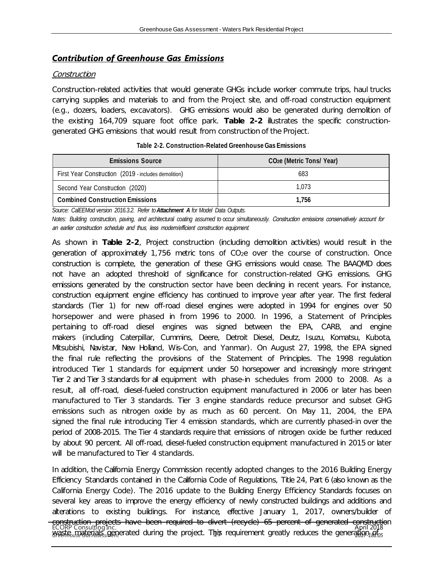#### *Contribution of Greenhouse Gas Emissions*

#### Construction

Construction-related activities that would generate GHGs include worker commute trips, haul trucks carrying supplies and materials to and from the Project site, and off-road construction equipment (e.g., dozers, loaders, excavators). GHG emissions would also be generated during demolition of the existing 164,709 square foot office park. **Table 2-2** illustrates the specific constructiongenerated GHG emissions that would result from construction of the Project.

<span id="page-17-0"></span>

| <b>Emissions Source</b>                              | CO <sub>2</sub> e (Metric Tons/Year) |  |
|------------------------------------------------------|--------------------------------------|--|
| First Year Construction (2019 - includes demolition) | 683                                  |  |
| Second Year Construction (2020)                      | 1.073                                |  |
| <b>Combined Construction Emissions</b>               | 1.756                                |  |

*Source: CalEEMod version 2016.3.2. Refer to Attachment A for Model Data Outputs.* 

*Notes: Building construction, paving, and architectural coating assumed to occur simultaneously.* Construction emissions conservatively account for an earlier construction schedule and thus, less modern/efficient construction equipment.

As shown in **Table 2-2**, Project construction (including demolition activities) would result in the generation of approximately 1,756 metric tons of  $CO<sub>2</sub>e$  over the course of construction. Once construction is complete, the generation of these GHG emissions would cease. The BAAQMD does not have an adopted threshold of significance for construction-related GHG emissions. GHG emissions generated by the construction sector have been declining in recent years. For instance, construction equipment engine efficiency has continued to improve year after year. The first federal standards (Tier 1) for new off-road diesel engines were adopted in 1994 for engines over 50 horsepower and were phased in from 1996 to 2000. In 1996, a Statement of Principles pertaining to off-road diesel engines was signed between the EPA, CARB, and engine makers (including Caterpillar, Cummins, Deere, Detroit Diesel, Deutz, Isuzu, Komatsu, Kubota, Mitsubishi, Navistar, New Holland, Wis-Con, and Yanmar). On August 27, 1998, the EPA signed the final rule reflecting the provisions of the Statement of Principles. The 1998 regulation introduced Tier 1 standards for equipment under 50 horsepower and increasingly more stringent Tier 2 and Tier 3 standards for all equipment with phase-in schedules from 2000 to 2008. As a result, all off-road, diesel-fueled construction equipment manufactured in 2006 or later has been manufactured to Tier 3 standards. Tier 3 engine standards reduce precursor and subset GHG emissions such as nitrogen oxide by as much as 60 percent. On May 11, 2004, the EPA signed the final rule introducing Tier 4 emission standards, which are currently phased-in over the period of 2008-2015. The Tier 4 standards require that emissions of nitrogen oxide be further reduced by about 90 percent. All off-road, diesel-fueled construction equipment manufactured in 2015 or later will be manufactured to Tier 4 standards.

ECORP Consulting Inc. **great Foundary Assemented during the project. This** April 2018 *2017-181.05* In addition, the California Energy Commission recently adopted changes to the 2016 Building Energy Efficiency Standards contained in the California Code of Regulations, Title 24, Part 6 (also known as the California Energy Code). The 2016 update to the Building Energy Efficiency Standards focuses on several key areas to improve the energy efficiency of newly constructed buildings and additions and alterations to existing buildings. For instance, effective January 1, 2017, owners/builder of construction projects have been required to divert (recycle) 65 percent of generated construction waste materials generated during the project. This requirement greatly reduces the generation  $\delta_0$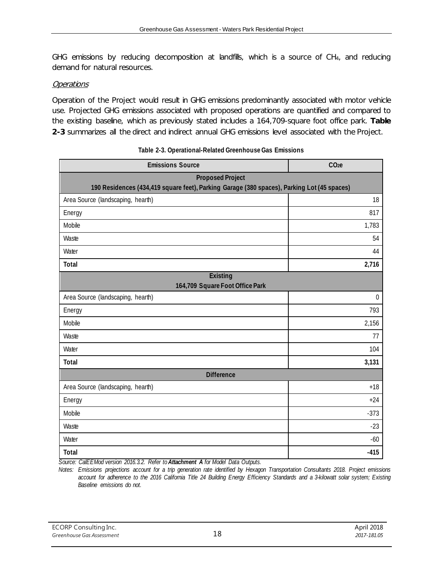GHG emissions by reducing decomposition at landfills, which is a source of CH<sub>4</sub>, and reducing demand for natural resources.

#### **Operations**

Operation of the Project would result in GHG emissions predominantly associated with motor vehicle use. Projected GHG emissions associated with proposed operations are quantified and compared to the existing baseline, which as previously stated includes a 164,709-square foot office park. **Table 2-3** summarizes all the direct and indirect annual GHG emissions level associated with the Project.

<span id="page-18-0"></span>

| <b>Emissions Source</b>                            | CO <sub>2</sub> e                                                                          |  |  |  |  |
|----------------------------------------------------|--------------------------------------------------------------------------------------------|--|--|--|--|
| <b>Proposed Project</b>                            | 190 Residences (434,419 square feet), Parking Garage (380 spaces), Parking Lot (45 spaces) |  |  |  |  |
| Area Source (landscaping, hearth)                  | 18                                                                                         |  |  |  |  |
| Energy                                             | 817                                                                                        |  |  |  |  |
| Mobile                                             | 1,783                                                                                      |  |  |  |  |
| Waste                                              | 54                                                                                         |  |  |  |  |
| Water                                              | 44                                                                                         |  |  |  |  |
| Total                                              | 2,716                                                                                      |  |  |  |  |
| <b>Existing</b><br>164,709 Square Foot Office Park |                                                                                            |  |  |  |  |
| Area Source (landscaping, hearth)<br>$\mathbf 0$   |                                                                                            |  |  |  |  |
| Energy                                             | 793                                                                                        |  |  |  |  |
| Mobile                                             | 2,156                                                                                      |  |  |  |  |
| Waste                                              | 77                                                                                         |  |  |  |  |
| Water                                              | 104                                                                                        |  |  |  |  |
| Total                                              | 3,131                                                                                      |  |  |  |  |
| <b>Difference</b>                                  |                                                                                            |  |  |  |  |
| Area Source (landscaping, hearth)                  | $+18$                                                                                      |  |  |  |  |
| Energy                                             | $+24$                                                                                      |  |  |  |  |
| Mobile                                             | $-373$                                                                                     |  |  |  |  |
| Waste                                              | $-23$                                                                                      |  |  |  |  |
| Water                                              |                                                                                            |  |  |  |  |
| <b>Total</b>                                       | $-415$                                                                                     |  |  |  |  |

#### **Table 2-3. Operational-Related Greenhouse Gas Emissions**

*Source: CalEEMod version 2016.3.2. Refer to Attachment A for Model Data Outputs.* 

*Notes: Emissions projections account for a trip generation rate identified by Hexagon Transportation Consultants 2018. Project emissions account for adherence to the 2016 California Title 24 Building Energy Efficiency Standards and a 3-kilowatt solar system; Existing Baseline emissions do not.*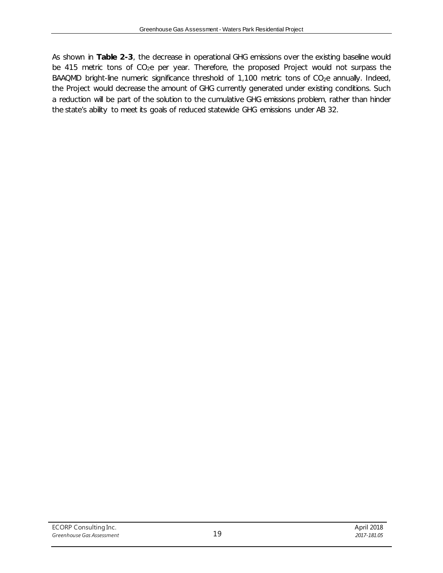As shown in **Table 2-3**, the decrease in operational GHG emissions over the existing baseline would be 415 metric tons of CO<sub>2</sub>e per year. Therefore, the proposed Project would not surpass the BAAQMD bright-line numeric significance threshold of 1,100 metric tons of CO<sub>2</sub>e annually. Indeed, the Project would decrease the amount of GHG currently generated under existing conditions. Such a reduction will be part of the solution to the cumulative GHG emissions problem, rather than hinder the state's ability to meet its goals of reduced statewide GHG emissions under AB 32.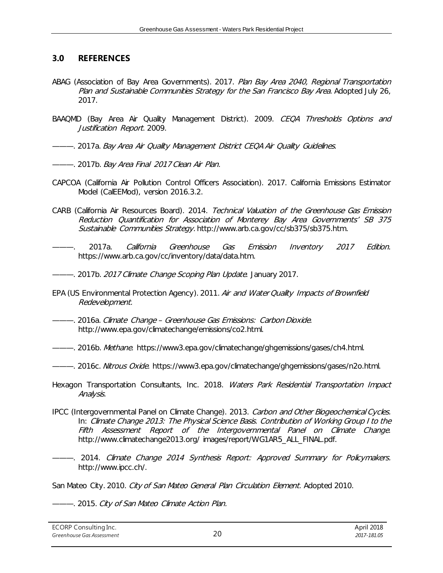#### <span id="page-20-0"></span>**3.0 REFERENCES**

- ABAG (Association of Bay Area Governments). 2017. Plan Bay Area 2040, Regional Transportation Plan and Sustainable Communities Strategy for the San Francisco Bay Area. Adopted July 26, 2017.
- BAAQMD (Bay Area Air Quality Management District). 2009. CEQA Thresholds Options and Justification Report. 2009.
- ———. 2017a. Bay Area Air Quality Management District CEQA Air Quality Guidelines.
- ———. 2017b. Bay Area Final 2017 Clean Air Plan.
- CAPCOA (California Air Pollution Control Officers Association). 2017. California Emissions Estimator Model (CalEEMod), version 2016.3.2.
- CARB (California Air Resources Board). 2014. Technical Valuation of the Greenhouse Gas Emission Reduction Quantification for Association of Monterey Bay Area Governments' SB 375 Sustainable Communities Strategy. http://www.arb.ca.gov/cc/sb375/sb375.htm.
- ———. 2017a. California Greenhouse Gas Emission Inventory 2017 Edition. https://www.arb.ca.gov/cc/inventory/data/data.htm.
- --- 2017b. 2017 Climate Change Scoping Plan Update. January 2017.
- EPA (US Environmental Protection Agency). 2011. Air and Water Quality Impacts of Brownfield Redevelopment.
- ———. 2016a. Climate Change Greenhouse Gas Emissions: Carbon Dioxide. http://www.epa.gov/climatechange/emissions/co2.html.
- ———. 2016b. Methane. https://www3.epa.gov/climatechange/ghgemissions/gases/ch4.html.
- --- 2016c. Nitrous Oxide. https://www3.epa.gov/climatechange/ghgemissions/gases/n2o.html.
- Hexagon Transportation Consultants, Inc. 2018. Waters Park Residential Transportation Impact Analysis.
- IPCC (Intergovernmental Panel on Climate Change). 2013. Carbon and Other Biogeochemical Cycles. In: Climate Change 2013: The Physical Science Basis. Contribution of Working Group I to the Fifth Assessment Report of the Intergovernmental Panel on Climate Change. http://www.climatechange2013.org/ images/report/WG1AR5\_ALL\_FINAL.pdf.
- ———. 2014. Climate Change 2014 Synthesis Report: Approved Summary for Policymakers. http://www.ipcc.ch/.

San Mateo City. 2010. City of San Mateo General Plan Circulation Element. Adopted 2010.

———. 2015. City of San Mateo Climate Action Plan.

| ECORP Consulting Inc.     |    |
|---------------------------|----|
| Greenhouse Gas Assessment | 20 |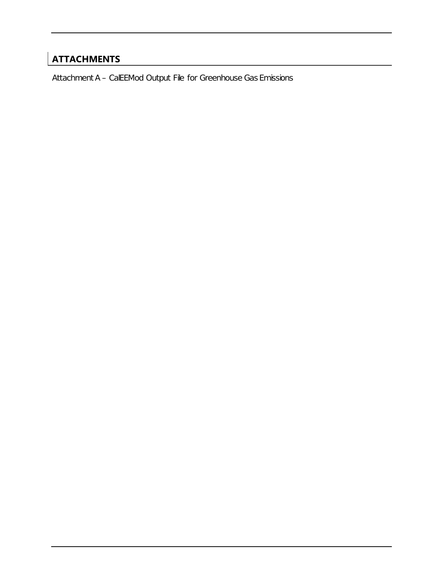# **ATTACHMENTS**

Attachment A – CalEEMod Output File for Greenhouse Gas Emissions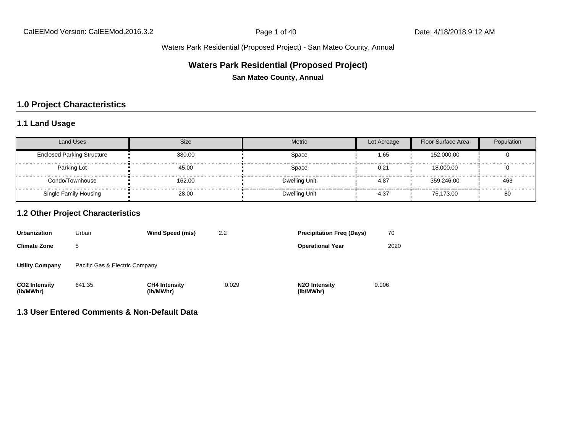### **Waters Park Residential (Proposed Project)**

**San Mateo County, Annual**

### **1.0 Project Characteristics**

#### **1.1 Land Usage**

| <b>Land Uses</b>                  | <b>Size</b> | Metric        | Lot Acreage | Floor Surface Area | Population |
|-----------------------------------|-------------|---------------|-------------|--------------------|------------|
| <b>Enclosed Parking Structure</b> | 380.00      | Space         | 1.65        | 152,000.00         |            |
| Parking Lot                       | 45.00       | Space         | 0.21        | 18,000,00          |            |
| Condo/Townhouse                   | 162.00      | Dwelling Unit | 4.87        | 359.246.00         | 463        |
| Single Family Housing             | 28.00       | Dwelling Unit | 4.37        | 75.173.00          | 80         |

#### **1.2 Other Project Characteristics**

| <b>Urbanization</b>               | Urban                          | Wind Speed (m/s)                  | 2.2   | <b>Precipitation Freg (Days)</b>        | 70    |
|-----------------------------------|--------------------------------|-----------------------------------|-------|-----------------------------------------|-------|
| <b>Climate Zone</b>               | 5                              |                                   |       | <b>Operational Year</b>                 | 2020  |
| <b>Utility Company</b>            | Pacific Gas & Electric Company |                                   |       |                                         |       |
| <b>CO2 Intensity</b><br>(lb/MWhr) | 641.35                         | <b>CH4 Intensity</b><br>(lb/MWhr) | 0.029 | N <sub>2</sub> O Intensity<br>(lb/MWhr) | 0.006 |

#### **1.3 User Entered Comments & Non-Default Data**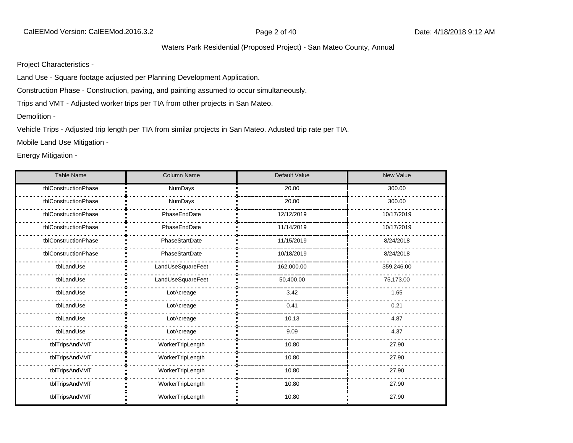Project Characteristics -

Land Use - Square footage adjusted per Planning Development Application.

Construction Phase - Construction, paving, and painting assumed to occur simultaneously.

Trips and VMT - Adjusted worker trips per TIA from other projects in San Mateo.

Demolition -

Vehicle Trips - Adjusted trip length per TIA from similar projects in San Mateo. Adusted trip rate per TIA.

Mobile Land Use Mitigation -

Energy Mitigation -

| <b>Table Name</b>    | <b>Column Name</b> | Default Value | <b>New Value</b> |
|----------------------|--------------------|---------------|------------------|
| tblConstructionPhase | <b>NumDays</b>     | 20.00         | 300.00           |
| tblConstructionPhase | <b>NumDays</b>     | 20.00         | 300.00           |
| tblConstructionPhase | PhaseEndDate       | 12/12/2019    | 10/17/2019       |
| tblConstructionPhase | PhaseEndDate       | 11/14/2019    | 10/17/2019       |
| tblConstructionPhase | PhaseStartDate     | 11/15/2019    | 8/24/2018        |
| tblConstructionPhase | PhaseStartDate     | 10/18/2019    | 8/24/2018        |
| tblLandUse           | LandUseSquareFeet  | 162,000.00    | 359,246.00       |
| tblLandUse           | LandUseSquareFeet  | 50,400.00     | 75,173.00        |
| tblLandUse           | LotAcreage         | 3.42          | 1.65             |
| tblLandUse           | LotAcreage         | 0.41          | 0.21             |
| tblLandUse           | LotAcreage         | 10.13         | 4.87             |
| tblLandUse           | LotAcreage         | 9.09          | 4.37             |
| tblTripsAndVMT       | WorkerTripLength   | 10.80         | 27.90            |
| tblTripsAndVMT       | WorkerTripLength   | 10.80         | 27.90            |
| tblTripsAndVMT       | WorkerTripLength   | 10.80         | 27.90            |
| tblTripsAndVMT       | WorkerTripLength   | 10.80         | 27.90            |
| tblTripsAndVMT       | WorkerTripLength   | 10.80         | 27.90            |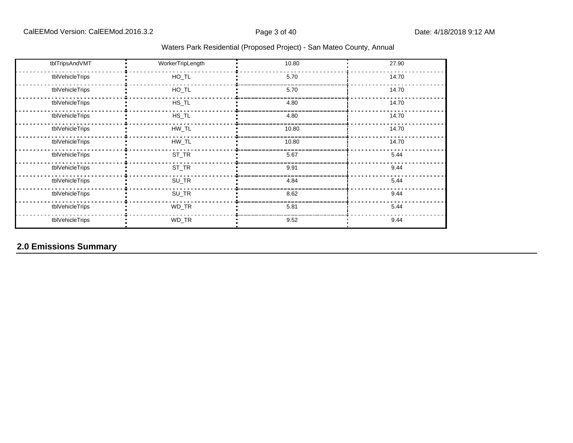| tblTripsAndVMT  | WorkerTripLength | 10.80 | 27.90 |
|-----------------|------------------|-------|-------|
| tblVehicleTrips | $HO_TL$          | 5.70  | 14.70 |
| tblVehicleTrips | $HO_TL$          | 5.70  | 14.70 |
| tblVehicleTrips | $HS\_TL$         | 4.80  | 14.70 |
| tblVehicleTrips | $HS_TL$          | 4.80  | 14.70 |
| tblVehicleTrips | HW_TL            | 10.80 | 14.70 |
| tblVehicleTrips | $HW\_TL$         | 10.80 | 14.70 |
| tblVehicleTrips | $ST_TR$          | 5.67  | 5.44  |
| tblVehicleTrips | $ST_TR$          | 9.91  | 9.44  |
| tblVehicleTrips | $SU_TR$          | 4.84  | 5.44  |
| tblVehicleTrips | $SU_TR$          | 8.62  | 9.44  |
| tblVehicleTrips | WD_TR            | 5.81  | 5.44  |
| tblVehicleTrips | WD_TR            | 9.52  | 9.44  |

# **2.0 Emissions Summary**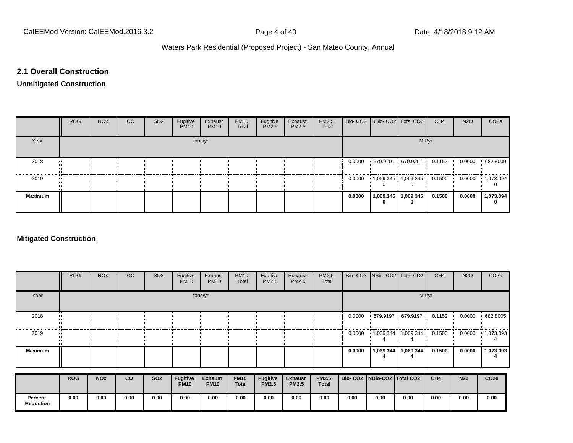#### **2.1 Overall Construction**

#### **Unmitigated Construction**

|                | <b>ROG</b> | <b>NO<sub>x</sub></b> | CO. | SO <sub>2</sub> | Fugitive<br><b>PM10</b> | Exhaust<br><b>PM10</b> | <b>PM10</b><br>Total | Fugitive<br>PM2.5 | Exhaust<br>PM2.5 | PM2.5<br>Total |        | Bio- CO2   NBio- CO2   Total CO2          |                       | CH <sub>4</sub> | <b>N2O</b> | CO <sub>2</sub> e |
|----------------|------------|-----------------------|-----|-----------------|-------------------------|------------------------|----------------------|-------------------|------------------|----------------|--------|-------------------------------------------|-----------------------|-----------------|------------|-------------------|
| Year           |            |                       |     |                 |                         | tons/yr                |                      |                   |                  |                |        |                                           | MT/yr                 |                 |            |                   |
| 2018           |            |                       |     |                 |                         |                        |                      |                   |                  |                |        | $0.0000 + 679.9201 + 679.9201 + 0.1152$   |                       |                 | 0.0000     | .682.8009         |
| 2019           |            |                       |     |                 |                         |                        |                      |                   |                  |                |        | $0.0000 + 1,069.345 + 1,069.345 + 0.1500$ |                       |                 | 0.0000     | $\cdot$ 1,073.094 |
| <b>Maximum</b> |            |                       |     |                 |                         |                        |                      |                   |                  |                | 0.0000 |                                           | 1,069.345   1,069.345 | 0.1500          | 0.0000     | 1,073.094         |

#### **Mitigated Construction**

|                             | <b>ROG</b> | <b>NO<sub>x</sub></b> | CO   | SO <sub>2</sub> | Fugitive<br><b>PM10</b>        | Exhaust<br><b>PM10</b>        | <b>PM10</b><br>Total        | Fugitive<br>PM2.5        | Exhaust<br>PM2.5               | PM2.5<br>Total               |        | Bio- CO2   NBio- CO2   Total CO2 |           | CH <sub>4</sub> | <b>N2O</b> | CO <sub>2e</sub>  |
|-----------------------------|------------|-----------------------|------|-----------------|--------------------------------|-------------------------------|-----------------------------|--------------------------|--------------------------------|------------------------------|--------|----------------------------------|-----------|-----------------|------------|-------------------|
| Year                        |            |                       |      |                 |                                | tons/yr                       |                             |                          |                                |                              |        |                                  |           | MT/yr           |            |                   |
| 2018                        |            |                       |      |                 |                                |                               |                             |                          |                                |                              | 0.0000 | 679.9197 679.9197                |           | 0.1152          | 0.0000     | .682.8005         |
| 2019                        |            |                       |      |                 |                                |                               |                             |                          |                                |                              | 0.0000 | $1,069.344$ $1,069.344$          |           | 0.1500          | 0.0000     | $\cdot$ 1,073.093 |
| <b>Maximum</b>              |            |                       |      |                 |                                |                               |                             |                          |                                |                              | 0.0000 | 1,069.344                        | 1,069.344 | 0.1500          | 0.0000     | 1,073.093         |
|                             | <b>ROG</b> | <b>NO<sub>x</sub></b> | co   | <b>SO2</b>      | <b>Fugitive</b><br><b>PM10</b> | <b>Exhaust</b><br><b>PM10</b> | <b>PM10</b><br><b>Total</b> | Fugitive<br><b>PM2.5</b> | <b>Exhaust</b><br><b>PM2.5</b> | <b>PM2.5</b><br><b>Total</b> |        | Bio- CO2   NBio-CO2   Total CO2  |           | CH4             | <b>N20</b> | CO <sub>2e</sub>  |
| Percent<br><b>Reduction</b> | 0.00       | 0.00                  | 0.00 | 0.00            | 0.00                           | 0.00                          | 0.00                        | 0.00                     | 0.00                           | 0.00                         | 0.00   | 0.00                             | 0.00      | 0.00            | 0.00       | 0.00              |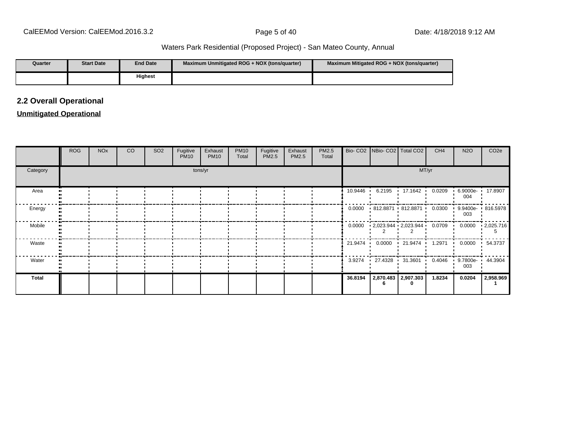| Quarter | <b>Start Date</b> | <b>End Date</b> | Maximum Unmitigated ROG + NOX (tons/quarter) | Maximum Mitigated ROG + NOX (tons/guarter) |
|---------|-------------------|-----------------|----------------------------------------------|--------------------------------------------|
|         |                   | <b>Highest</b>  |                                              |                                            |

#### **2.2 Overall Operational**

#### **Unmitigated Operational**

|          | <b>ROG</b> | <b>NO<sub>x</sub></b> | <b>CO</b> | SO <sub>2</sub> | Fugitive<br><b>PM10</b> | Exhaust<br><b>PM10</b> | <b>PM10</b><br>Total | Fugitive<br>PM2.5 | Exhaust<br>PM2.5 | PM2.5<br>Total |         | Bio- CO2   NBio- CO2   Total CO2                                                            | CH <sub>4</sub> | <b>N2O</b>              | CO <sub>2e</sub> |
|----------|------------|-----------------------|-----------|-----------------|-------------------------|------------------------|----------------------|-------------------|------------------|----------------|---------|---------------------------------------------------------------------------------------------|-----------------|-------------------------|------------------|
| Category |            |                       |           |                 |                         | tons/yr                |                      |                   |                  |                |         |                                                                                             | MT/yr           |                         |                  |
| Area     |            |                       |           |                 |                         |                        |                      |                   |                  |                |         | 10.9446 6.2195 17.1642                                                                      | 0.0209          | 6.9000e- 17.8907<br>004 |                  |
| Energy   |            |                       |           |                 |                         |                        |                      |                   |                  |                |         | $0.0000$ $\cdot$ 812.8871 $\cdot$ 812.8871 $\cdot$ 0.0300 $\cdot$ 9.9400e- $\cdot$ 816.5978 |                 | 003                     |                  |
| Mobile   |            |                       |           |                 |                         |                        |                      |                   |                  |                |         | $0.0000 + 2,023.944 + 2,023.944 + 0.0709 + 0.0000$                                          |                 |                         | .2,025.716       |
| Waste    |            |                       |           |                 |                         |                        |                      |                   |                  |                |         | 21.9474   0.0000   21.9474   1.2971   0.0000                                                |                 |                         | $-54.3737$       |
| Water    |            |                       |           |                 |                         |                        |                      |                   |                  |                | 3.9274  | $\cdot$ 27.4328 $\cdot$ 31.3601 0.4046                                                      |                 | 9.7800e- 44.3904<br>003 |                  |
| Total    |            |                       |           |                 |                         |                        |                      |                   |                  |                | 36.8194 | 2,870.483 2,907.303<br>0                                                                    | 1.8234          | 0.0204                  | 2,958.969        |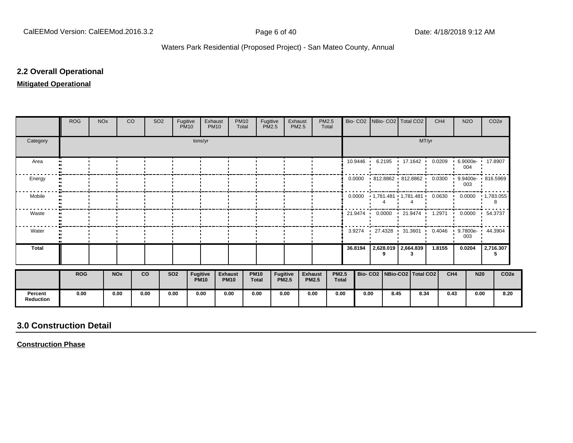#### **2.2 Overall Operational**

#### **Mitigated Operational**

|                             | <b>ROG</b> | <b>NO<sub>x</sub></b> | CO                    |           | SO <sub>2</sub> | Fugitive<br><b>PM10</b> | Exhaust                 | <b>PM10</b>                   | <b>PM10</b><br>Total | Fugitive                    | <b>PM2.5</b>             | Exhaust<br>PM2.5 |                                | PM2.5<br>Total               |         |                   | Bio- CO2   NBio- CO2   Total CO2 |   |       | CH <sub>4</sub> |      | <b>N2O</b> | CO <sub>2</sub> e                                    |  |
|-----------------------------|------------|-----------------------|-----------------------|-----------|-----------------|-------------------------|-------------------------|-------------------------------|----------------------|-----------------------------|--------------------------|------------------|--------------------------------|------------------------------|---------|-------------------|----------------------------------|---|-------|-----------------|------|------------|------------------------------------------------------|--|
| Category                    |            |                       |                       |           |                 |                         | tons/yr                 |                               |                      |                             |                          |                  |                                |                              |         |                   |                                  |   | MT/yr |                 |      |            |                                                      |  |
| Area                        |            |                       |                       |           |                 |                         |                         |                               |                      |                             |                          |                  |                                |                              |         | $10.9446$ $\cdot$ |                                  |   |       |                 |      | 004        | 6.2195 17.1642 0.0209 6.9000e 17.8907                |  |
| Energy                      |            |                       |                       |           |                 |                         |                         |                               |                      |                             |                          |                  |                                |                              | 0.0000  |                   |                                  |   |       |                 |      | 003        | 812.8862 812.8862 0.0300 9.9400e 816.5969            |  |
| Mobile                      |            |                       |                       |           |                 |                         |                         |                               |                      |                             |                          |                  |                                |                              |         |                   |                                  |   |       |                 |      |            | $0.0000$ 1,781.481 1,781.481 0.0630 0.0000 1,783.055 |  |
| Waste                       |            |                       |                       |           |                 |                         |                         |                               |                      |                             |                          |                  |                                |                              |         |                   |                                  |   |       |                 |      |            | 21.9474 0.0000 21.9474 1.2971 0.0000 54.3737         |  |
| Water                       |            |                       |                       |           |                 |                         |                         |                               |                      |                             |                          |                  |                                |                              |         |                   |                                  |   |       |                 |      | 003        | 3.9274 27.4328 31.3601 0.4046 9.7800e 44.3904        |  |
| Total                       |            |                       |                       |           |                 |                         |                         |                               |                      |                             |                          |                  |                                |                              | 36.8194 |                   | 2,628.019 2,664.839<br>9         | 3 |       | 1.8155          |      | 0.0204     | 2,716.307<br>5                                       |  |
|                             | <b>ROG</b> |                       | <b>NO<sub>x</sub></b> | <b>CO</b> |                 | <b>SO2</b>              | Fugitive<br><b>PM10</b> | <b>Exhaust</b><br><b>PM10</b> |                      | <b>PM10</b><br><b>Total</b> | Fugitive<br><b>PM2.5</b> |                  | <b>Exhaust</b><br><b>PM2.5</b> | <b>PM2.5</b><br><b>Total</b> |         |                   | Bio- CO2   NBio-CO2   Total CO2  |   |       |                 | CH4  | <b>N20</b> | CO <sub>2e</sub>                                     |  |
| Percent<br><b>Reduction</b> | 0.00       |                       | 0.00                  | 0.00      |                 | 0.00                    | 0.00                    | 0.00                          |                      | 0.00                        | 0.00                     |                  | 0.00                           | 0.00                         |         | 0.00              | 8.45                             |   | 8.34  |                 | 0.43 | 0.00       | 8.20                                                 |  |

# **3.0 Construction Detail**

**Construction Phase**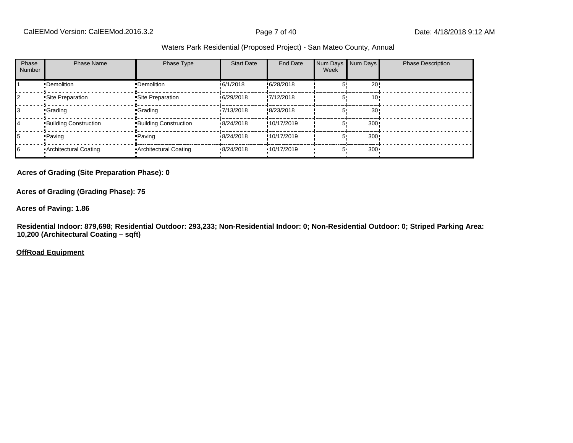| Phase<br><b>Number</b> | <b>Phase Name</b>            | Phase Type                   | <b>Start Date</b> | End Date    | Num Days Num Days<br>Week |                 | <b>Phase Description</b> |
|------------------------|------------------------------|------------------------------|-------------------|-------------|---------------------------|-----------------|--------------------------|
|                        | •Demolition                  | •Demolition                  | 16/1/2018         | !6/28/2018  |                           | 20!             |                          |
|                        | Site Preparation             | Site Preparation             | 6/29/2018         | !7/12/2018  |                           | 10!             |                          |
|                        | <b>Crading</b>               | -Grading                     | 17/13/2018        | !8/23/2018  |                           | 30 <sub>1</sub> |                          |
| 14                     | <b>Building Construction</b> | <b>Building Construction</b> | 8/24/2018         | !10/17/2019 |                           | 300!            |                          |
| 15                     | • Paving                     | • Paving                     | 8/24/2018         | !10/17/2019 |                           | 300!            |                          |
| 16                     | Architectural Coating        | Architectural Coating        | .8/24/2018        | ·10/17/2019 | 5.                        | $300 -$         |                          |

#### **Acres of Grading (Site Preparation Phase): 0**

**Acres of Grading (Grading Phase): 75**

**Acres of Paving: 1.86**

**Residential Indoor: 879,698; Residential Outdoor: 293,233; Non-Residential Indoor: 0; Non-Residential Outdoor: 0; Striped Parking Area: 10,200 (Architectural Coating – sqft)**

**OffRoad Equipment**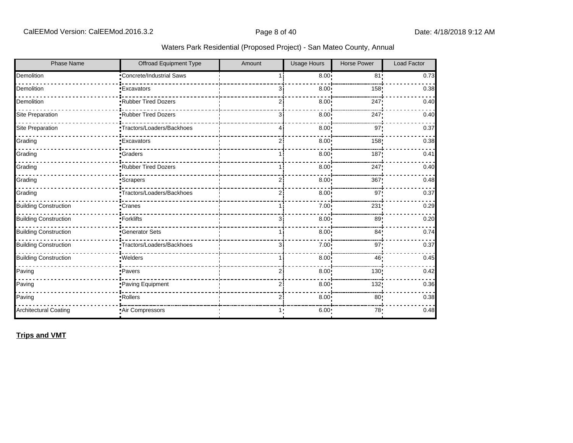| Waters Park Residential (Proposed Project) - San Mateo County, Annual |  |  |  |  |
|-----------------------------------------------------------------------|--|--|--|--|
|-----------------------------------------------------------------------|--|--|--|--|

| <b>Phase Name</b>            | <b>Offroad Equipment Type</b> | Amount         | <b>Usage Hours</b> | <b>Horse Power</b> | Load Factor |
|------------------------------|-------------------------------|----------------|--------------------|--------------------|-------------|
| Demolition                   | Concrete/Industrial Saws      |                | 8.00               | 81!                | 0.73        |
| Demolition                   | <b>Excavators</b>             | 31             | $8.00$ !           | 158                | 0.38        |
| Demolition                   | Rubber Tired Dozers           | ا 2            | 8.00               | 247                | 0.40        |
| Site Preparation             | <b>Rubber Tired Dozers</b>    | 31             | 8.00               | 247                | 0.40        |
| Site Preparation             | "Tractors/Loaders/Backhoes    | 41             | 8.00               | 97 <sub>2</sub>    | 0.37        |
| Grading                      | <b>Excavators</b>             | 2ί             | $8.00$ !           | 158                | 0.38        |
| Grading                      | <b>Graders</b>                |                | 8.00               | 187                | 0.41        |
| Grading                      | Rubber Tired Dozers           |                | 8.00               | 247!               | 0.40        |
| Grading                      | Scrapers                      | ا 2            | 8.00               | 367!               | 0.48        |
| Grading                      | Tractors/Loaders/Backhoes     | 21             | 8.00               | 97                 | 0.37        |
| <b>Building Construction</b> | Cranes                        |                | 7.00               | 231                | 0.29        |
| <b>Building Construction</b> | -Forklifts                    | зі             | 8.00               | 89:                | 0.20        |
| <b>Building Construction</b> | <b>Generator Sets</b>         |                | $8.00$ !           | 84:                | 0.74        |
| <b>Building Construction</b> | •Tractors/Loaders/Backhoes    | зі             | 7.00 <sub>1</sub>  | 97 <sub>1</sub>    | 0.37        |
| <b>Building Construction</b> | .Welders                      |                | 8.00               | 46!                | 0.45        |
| Paving                       | Pavers                        | ا 2            | 8.00               | 130!               | 0.42        |
| Paving                       | Paving Equipment              | 21             | 8.00 <sub>1</sub>  | 132                | 0.36        |
| Paving                       | Rollers                       | $\overline{2}$ | 8.00               | 80                 | 0.38        |
| <b>Architectural Coating</b> | Air Compressors               | 1:             | 6.00:              | 78:                | 0.48        |

**Trips and VMT**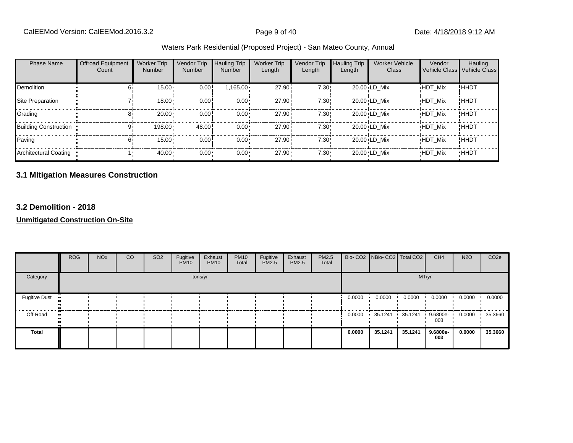| Waters Park Residential (Proposed Project) - San Mateo County, Annual |
|-----------------------------------------------------------------------|
|-----------------------------------------------------------------------|

| <b>Phase Name</b>            | Offroad Equipment<br>Count | <b>Worker Trip</b><br><b>Number</b> | Vendor Trip<br>Number | <b>Hauling Trip</b><br>Number | <b>Worker Trip</b><br>Length | Vendor Trip<br>Length | <b>Hauling Trip</b><br>Length | <b>Worker Vehicle</b><br>Class | Vendor<br>Vehicle Class | Hauling<br>Vehicle Class |
|------------------------------|----------------------------|-------------------------------------|-----------------------|-------------------------------|------------------------------|-----------------------|-------------------------------|--------------------------------|-------------------------|--------------------------|
| <b>Demolition</b>            | 61                         | 15.00                               | 0.00!                 | $1,165.00 \cdot$              | 27.90i                       | 7.30!                 |                               | 20.00 LD Mix                   | <b>HDT Mix</b>          | !HHDT                    |
| Site Preparation             |                            | 18.00                               | 0.00                  | $0.00 \cdot$                  | 27.90i                       | 7.30!                 |                               | 20.00 LD Mix                   | <b>HDT Mix</b>          | !HHDT                    |
| Grading                      | 81                         | 20.00                               | 0.00                  | $0.00 \cdot$                  | 27.90 <sup>1</sup>           | 7.30!                 |                               | 20.00 LD Mix                   | <b>HDT Mix</b>          | <b>!HHDT</b>             |
| <b>Building Construction</b> | 9١                         | 198.00                              | 48.00                 | $0.00 \cdot$                  | 27.90 <sup>1</sup>           | 7.30!                 |                               | 20.00 LD Mix                   | <b>HDT Mix</b>          | !HHDT                    |
| Paving                       | 61                         | 15.00                               | 0.00                  | $0.00 \cdot$                  | 27.90i                       | 7.30!                 |                               | 20.00 LD Mix                   | <b>HDT Mix</b>          | !HHDT                    |
| Architectural Coating        |                            | 40.00                               | $0.00 -$              | $0.00 \cdot$                  | 27.90                        | $7.30 -$              |                               | 20.00 LD Mix                   | <b>HDT Mix</b>          | <b>HHDT</b>              |

# **3.1 Mitigation Measures Construction**

#### **3.2 Demolition - 2018**

**Unmitigated Construction On-Site**

|                            | <b>ROG</b> | <b>NO<sub>x</sub></b> | CO | SO <sub>2</sub> | Fugitive<br><b>PM10</b> | Exhaust<br><b>PM10</b> | <b>PM10</b><br>Total | Fugitive<br><b>PM2.5</b> | Exhaust<br>PM2.5 | PM2.5<br>Total |        | Bio- CO2   NBio- CO2   Total CO2 |         | CH <sub>4</sub>    | <b>N2O</b> | CO <sub>2e</sub> |
|----------------------------|------------|-----------------------|----|-----------------|-------------------------|------------------------|----------------------|--------------------------|------------------|----------------|--------|----------------------------------|---------|--------------------|------------|------------------|
| Category                   |            |                       |    |                 |                         | tons/yr                |                      |                          |                  |                |        |                                  | MT/yr   |                    |            |                  |
| Fugitive Dust              |            |                       |    |                 |                         |                        |                      |                          |                  |                | 0.0000 | 0.0000                           | 0.0000  | 0.0000             | 0.0000     | 0.0000           |
| Off-Road<br>$\blacksquare$ |            |                       |    |                 |                         |                        |                      |                          |                  |                |        | $0.0000$ 35.1241                 | 35.1241 | $9.6800e -$<br>003 | 0.0000     | 35.3660          |
| Total                      |            |                       |    |                 |                         |                        |                      |                          |                  |                | 0.0000 | 35.1241                          | 35.1241 | 9.6800e-<br>003    | 0.0000     | 35.3660          |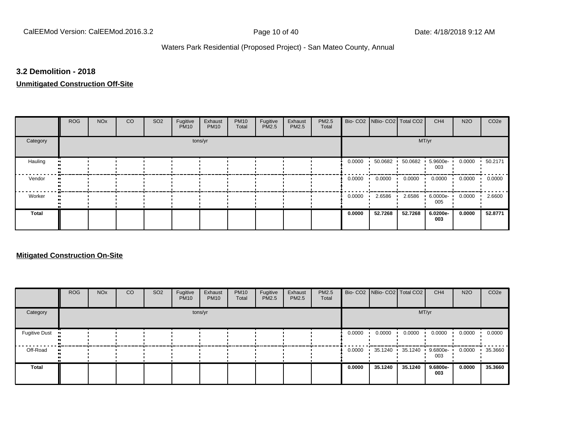#### **3.2 Demolition - 2018**

#### **Unmitigated Construction Off-Site**

|          | <b>ROG</b> | <b>NO<sub>x</sub></b> | CO | SO <sub>2</sub> | Fugitive<br><b>PM10</b> | Exhaust<br><b>PM10</b> | <b>PM10</b><br>Total | Fugitive<br>PM2.5 | Exhaust<br>PM2.5 | PM2.5<br>Total |        | Bio- CO2   NBio- CO2   Total CO2 |         | CH <sub>4</sub>    | <b>N2O</b> | CO <sub>2e</sub> |
|----------|------------|-----------------------|----|-----------------|-------------------------|------------------------|----------------------|-------------------|------------------|----------------|--------|----------------------------------|---------|--------------------|------------|------------------|
| Category |            |                       |    |                 |                         | tons/yr                |                      |                   |                  |                |        |                                  |         | MT/yr              |            |                  |
| Hauling  |            |                       |    |                 |                         |                        |                      |                   |                  |                | 0.0000 | 50.0682                          | 50.0682 | 5.9600e-<br>003    | 0.0000     | 50.2171          |
| Vendor   |            |                       |    |                 |                         |                        |                      |                   |                  |                | 0.0000 | 0.0000                           | 0.0000  | 0.0000             | 0.0000     | 0.0000           |
| Worker   |            |                       |    |                 |                         |                        |                      |                   |                  |                | 0.0000 | 2.6586                           | 2.6586  | $6.0000e -$<br>005 | 0.0000     | 2.6600           |
| Total    |            |                       |    |                 |                         |                        |                      |                   |                  |                | 0.0000 | 52.7268                          | 52.7268 | 6.0200e-<br>003    | 0.0000     | 52.8771          |

#### **Mitigated Construction On-Site**

|                      | <b>ROG</b> | <b>NO<sub>x</sub></b> | CO | SO <sub>2</sub> | Fugitive<br><b>PM10</b> | Exhaust<br><b>PM10</b> | <b>PM10</b><br>Total | Fugitive<br><b>PM2.5</b> | Exhaust<br><b>PM2.5</b> | <b>PM2.5</b><br>Total |        | Bio- CO2 NBio- CO2 Total CO2 |         | CH <sub>4</sub> | <b>N2O</b> | CO <sub>2e</sub> |
|----------------------|------------|-----------------------|----|-----------------|-------------------------|------------------------|----------------------|--------------------------|-------------------------|-----------------------|--------|------------------------------|---------|-----------------|------------|------------------|
| Category             |            |                       |    |                 |                         | tons/yr                |                      |                          |                         |                       |        |                              | MT/yr   |                 |            |                  |
| <b>Fugitive Dust</b> |            |                       |    |                 |                         |                        |                      |                          |                         |                       | 0.0000 | 0.0000                       | 0.0000  | 0.0000          | 0.0000     | 0.0000           |
| Off-Road             | $\bullet$  |                       |    |                 |                         |                        |                      |                          |                         |                       | 0.0000 | 35.1240                      | 35.1240 | 9.6800e-<br>003 | 0.0000     | 35.3660          |
| Total                |            |                       |    |                 |                         |                        |                      |                          |                         |                       | 0.0000 | 35.1240                      | 35.1240 | 9.6800e-<br>003 | 0.0000     | 35.3660          |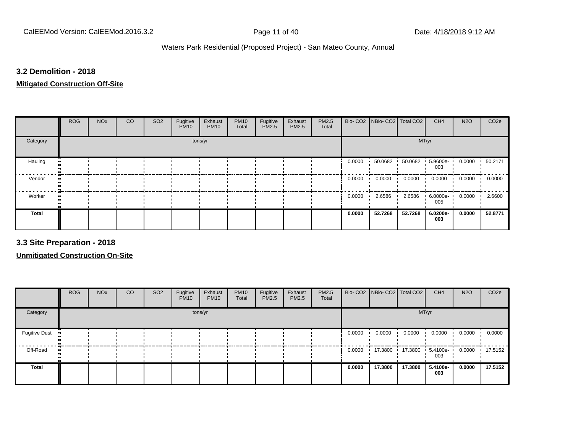#### **3.2 Demolition - 2018**

#### **Mitigated Construction Off-Site**

|              | <b>ROG</b> | <b>NO<sub>x</sub></b> | CO | SO <sub>2</sub> | Fugitive<br><b>PM10</b> | Exhaust<br><b>PM10</b> | <b>PM10</b><br>Total | Fugitive<br><b>PM2.5</b> | Exhaust<br>PM2.5 | PM2.5<br>Total |        | Bio- CO2   NBio- CO2   Total CO2 |         | CH <sub>4</sub>    | <b>N2O</b> | CO <sub>2e</sub> |
|--------------|------------|-----------------------|----|-----------------|-------------------------|------------------------|----------------------|--------------------------|------------------|----------------|--------|----------------------------------|---------|--------------------|------------|------------------|
| Category     |            |                       |    |                 |                         | tons/yr                |                      |                          |                  |                |        |                                  |         | MT/yr              |            |                  |
| Hauling      |            |                       |    |                 |                         |                        |                      |                          |                  |                | 0.0000 | 50.0682                          | 50.0682 | 5.9600e-<br>003    | 0.0000     | .50.2171         |
| Vendor       |            |                       |    |                 |                         |                        |                      |                          |                  |                | 0.0000 | 0.0000                           | 0.0000  | 0.0000             | 0.0000     | 0.0000           |
| Worker       |            |                       |    |                 |                         |                        |                      |                          |                  |                | 0.0000 | 2.6586                           | 2.6586  | $6.0000e -$<br>005 | 0.0000     | 2.6600           |
| <b>Total</b> |            |                       |    |                 |                         |                        |                      |                          |                  |                | 0.0000 | 52.7268                          | 52.7268 | 6.0200e-<br>003    | 0.0000     | 52.8771          |

**3.3 Site Preparation - 2018**

**Unmitigated Construction On-Site**

|                      | <b>ROG</b> | <b>NO<sub>x</sub></b> | CO | SO <sub>2</sub> | Fugitive<br><b>PM10</b> | Exhaust<br><b>PM10</b> | <b>PM10</b><br>Total | Fugitive<br>PM2.5 | Exhaust<br>PM2.5 | PM2.5<br>Total |        | Bio- CO2   NBio- CO2   Total CO2 |           | CH <sub>4</sub> | <b>N2O</b> | CO <sub>2e</sub> |
|----------------------|------------|-----------------------|----|-----------------|-------------------------|------------------------|----------------------|-------------------|------------------|----------------|--------|----------------------------------|-----------|-----------------|------------|------------------|
| Category             |            |                       |    |                 |                         | tons/yr                |                      |                   |                  |                |        |                                  | MT/yr     |                 |            |                  |
| <b>Fugitive Dust</b> |            |                       |    |                 |                         |                        |                      |                   |                  |                | 0.0000 | 0.0000                           | 0.0000    | 0.0000          | 0.0000     | 0.0000           |
| Off-Road             |            |                       |    |                 |                         |                        |                      |                   |                  |                | 0.0000 | 17.3800 ·                        | 17.3800 ' | 5.4100e-<br>003 | 0.0000     | 17.5152          |
| Total                |            |                       |    |                 |                         |                        |                      |                   |                  |                | 0.0000 | 17.3800                          | 17.3800   | 5.4100e-<br>003 | 0.0000     | 17.5152          |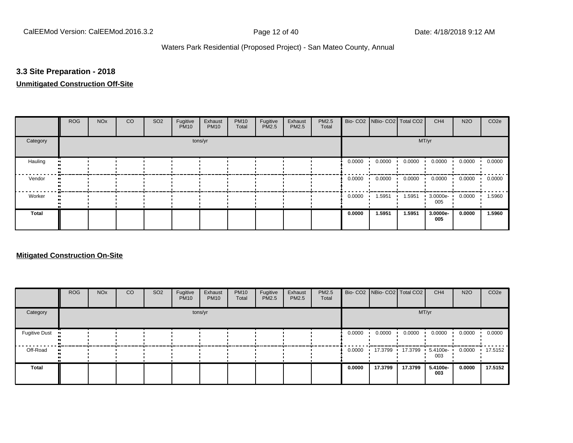#### **3.3 Site Preparation - 2018**

### **Unmitigated Construction Off-Site**

|              | <b>ROG</b> | <b>NO<sub>x</sub></b> | CO | SO <sub>2</sub> | Fugitive<br><b>PM10</b> | Exhaust<br><b>PM10</b> | <b>PM10</b><br>Total | Fugitive<br><b>PM2.5</b> | Exhaust<br>PM2.5 | PM2.5<br>Total |        | Bio- CO2   NBio- CO2   Total CO2 |        | CH <sub>4</sub>    | <b>N2O</b> | CO <sub>2</sub> e |
|--------------|------------|-----------------------|----|-----------------|-------------------------|------------------------|----------------------|--------------------------|------------------|----------------|--------|----------------------------------|--------|--------------------|------------|-------------------|
| Category     |            |                       |    |                 |                         | tons/yr                |                      |                          |                  |                |        |                                  | MT/yr  |                    |            |                   |
| Hauling      |            |                       |    |                 |                         |                        |                      |                          |                  |                | 0.0000 | 0.0000                           | 0.0000 | 0.0000             | 0.0000     | 0.0000            |
| Vendor       |            |                       |    |                 |                         |                        |                      |                          |                  |                | 0.0000 | 0.0000                           | 0.0000 | 0.0000             | 0.0000     | 0.0000            |
| Worker       |            |                       |    |                 |                         |                        |                      |                          |                  |                | 0.0000 | 1.5951                           | 1.5951 | $3.0000e -$<br>005 | 0.0000     | 1.5960            |
| <b>Total</b> |            |                       |    |                 |                         |                        |                      |                          |                  |                | 0.0000 | 1.5951                           | 1.5951 | 3.0000e-<br>005    | 0.0000     | 1.5960            |

#### **Mitigated Construction On-Site**

|                      | <b>ROG</b> | <b>NO<sub>x</sub></b> | CO | SO <sub>2</sub> | Fugitive<br><b>PM10</b> | Exhaust<br><b>PM10</b> | <b>PM10</b><br>Total | Fugitive<br>PM2.5 | Exhaust<br>PM2.5 | PM2.5<br>Total |        | Bio- CO2   NBio- CO2   Total CO2 |         | CH <sub>4</sub> | <b>N2O</b> | CO <sub>2e</sub> |
|----------------------|------------|-----------------------|----|-----------------|-------------------------|------------------------|----------------------|-------------------|------------------|----------------|--------|----------------------------------|---------|-----------------|------------|------------------|
| Category             |            |                       |    |                 |                         | tons/yr                |                      |                   |                  |                |        |                                  | MT/yr   |                 |            |                  |
| <b>Fugitive Dust</b> |            |                       |    |                 |                         |                        |                      |                   |                  |                | 0.0000 | 0.0000                           | 0.0000  | 0.0000          | 0.0000     | 0.0000           |
| Off-Road             |            |                       |    |                 |                         |                        |                      |                   |                  |                | 0.0000 | 17.3799                          | 17.3799 | 5.4100e-<br>003 | 0.0000     | 17.5152          |
| Total                |            |                       |    |                 |                         |                        |                      |                   |                  |                | 0.0000 | 17.3799                          | 17.3799 | 5.4100e-<br>003 | 0.0000     | 17.5152          |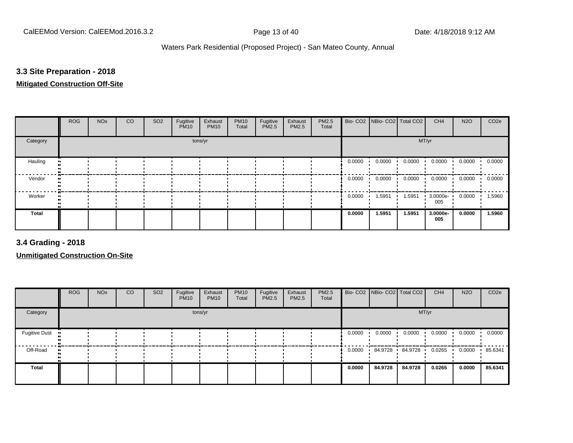### **3.3 Site Preparation - 2018**

#### **Mitigated Construction Off-Site**

|          | <b>ROG</b> | <b>NO<sub>x</sub></b> | CO | SO <sub>2</sub> | Fugitive<br><b>PM10</b> | Exhaust<br><b>PM10</b> | <b>PM10</b><br>Total | Fugitive<br><b>PM2.5</b> | Exhaust<br>PM2.5 | PM2.5<br>Total |        | Bio- CO2 NBio- CO2 Total CO2 |        | CH <sub>4</sub> | <b>N2O</b> | CO <sub>2e</sub> |
|----------|------------|-----------------------|----|-----------------|-------------------------|------------------------|----------------------|--------------------------|------------------|----------------|--------|------------------------------|--------|-----------------|------------|------------------|
| Category |            |                       |    |                 |                         | tons/yr                |                      |                          |                  |                |        |                              |        | MT/yr           |            |                  |
| Hauling  |            |                       |    |                 |                         |                        |                      |                          |                  |                | 0.0000 | 0.0000                       | 0.0000 | 0.0000          | 0.0000     | 0.0000           |
| Vendor   |            |                       |    |                 |                         |                        |                      |                          |                  |                | 0.0000 | 0.0000                       | 0.0000 | 0.0000          | 0.0000     | 0.0000           |
| Worker   |            |                       |    |                 |                         |                        |                      |                          |                  |                | 0.0000 | 1.5951                       | 1.5951 | 3.0000e-<br>005 | 0.0000     | 1.5960           |
| Total    |            |                       |    |                 |                         |                        |                      |                          |                  |                | 0.0000 | 1.5951                       | 1.5951 | 3.0000e-<br>005 | 0.0000     | 1.5960           |

**3.4 Grading - 2018**

**Unmitigated Construction On-Site**

|                      | <b>ROG</b> | <b>NO<sub>x</sub></b> | CO | SO <sub>2</sub> | Fugitive<br><b>PM10</b> | Exhaust<br><b>PM10</b> | <b>PM10</b><br>Total | Fugitive<br><b>PM2.5</b> | Exhaust<br><b>PM2.5</b> | <b>PM2.5</b><br>Total |        |         | Bio- CO2 NBio- CO2 Total CO2 | CH <sub>4</sub> | <b>N2O</b> | CO <sub>2e</sub> |
|----------------------|------------|-----------------------|----|-----------------|-------------------------|------------------------|----------------------|--------------------------|-------------------------|-----------------------|--------|---------|------------------------------|-----------------|------------|------------------|
| Category             |            |                       |    |                 |                         | tons/yr                |                      |                          |                         |                       |        |         | MT/yr                        |                 |            |                  |
| <b>Fugitive Dust</b> |            |                       |    |                 |                         |                        |                      |                          |                         |                       | 0.0000 | 0.0000  | 0.0000                       | 0.0000          | 0.0000     | 0.0000           |
| Off-Road             |            |                       |    |                 |                         |                        |                      |                          |                         |                       | 0.0000 | 84.9728 | 84.9728                      | 0.0265          | 0.0000     | .85.6341         |
| Total                |            |                       |    |                 |                         |                        |                      |                          |                         |                       | 0.0000 | 84.9728 | 84.9728                      | 0.0265          | 0.0000     | 85.6341          |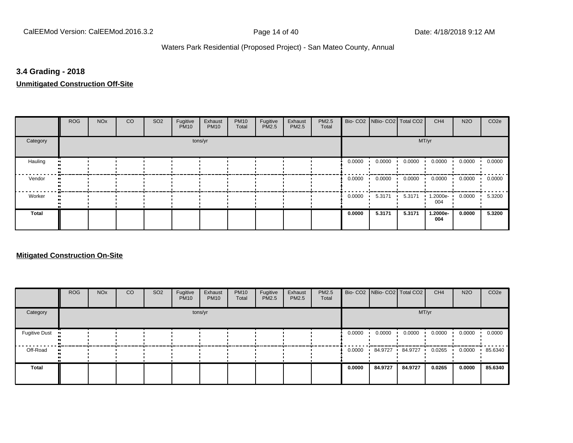#### **3.4 Grading - 2018**

**Unmitigated Construction Off-Site**

|              | <b>ROG</b> | <b>NO<sub>x</sub></b> | CO | SO <sub>2</sub> | Fugitive<br><b>PM10</b> | Exhaust<br><b>PM10</b> | <b>PM10</b><br>Total | Fugitive<br>PM2.5 | Exhaust<br><b>PM2.5</b> | PM2.5<br>Total |        | Bio- CO2   NBio- CO2   Total CO2 |        | CH <sub>4</sub> | <b>N2O</b> | CO <sub>2e</sub> |
|--------------|------------|-----------------------|----|-----------------|-------------------------|------------------------|----------------------|-------------------|-------------------------|----------------|--------|----------------------------------|--------|-----------------|------------|------------------|
| Category     |            |                       |    |                 |                         | tons/yr                |                      |                   |                         |                |        |                                  | MT/yr  |                 |            |                  |
| Hauling      |            |                       |    |                 |                         |                        |                      |                   |                         |                | 0.0000 | 0.0000                           | 0.0000 | 0.0000          | 0.0000     | 0.0000           |
| Vendor       |            |                       |    |                 |                         |                        |                      |                   |                         |                | 0.0000 | 0.0000                           | 0.0000 | 0.0000          | 0.0000     | 0.0000           |
| Worker       |            |                       |    |                 |                         |                        |                      |                   |                         |                | 0.0000 | 5.3171                           | 5.3171 | 1.2000e-<br>004 | 0.0000     | 5.3200           |
| <b>Total</b> |            |                       |    |                 |                         |                        |                      |                   |                         |                | 0.0000 | 5.3171                           | 5.3171 | 1.2000e-<br>004 | 0.0000     | 5.3200           |

#### **Mitigated Construction On-Site**

|                      | <b>ROG</b> | <b>NO<sub>x</sub></b> | CO | SO <sub>2</sub> | Fugitive<br><b>PM10</b> | Exhaust<br><b>PM10</b> | <b>PM10</b><br>Total | Fugitive<br><b>PM2.5</b> | Exhaust<br><b>PM2.5</b> | <b>PM2.5</b><br>Total |        | Bio- CO2   NBio- CO2   Total CO2 |         | CH <sub>4</sub> | <b>N2O</b> | CO <sub>2e</sub> |
|----------------------|------------|-----------------------|----|-----------------|-------------------------|------------------------|----------------------|--------------------------|-------------------------|-----------------------|--------|----------------------------------|---------|-----------------|------------|------------------|
| Category             |            |                       |    |                 |                         | tons/yr                |                      |                          |                         |                       |        |                                  | MT/yr   |                 |            |                  |
| <b>Fugitive Dust</b> |            |                       |    |                 |                         |                        |                      |                          |                         |                       | 0.0000 | 0.0000                           | 0.0000  | 0.0000          | 0.0000     | 0.0000           |
| Off-Road             |            |                       |    |                 |                         |                        |                      |                          |                         |                       | 0.0000 | 84.9727                          | 84.9727 | 0.0265          | 0.0000     | .85.6340         |
| Total                |            |                       |    |                 |                         |                        |                      |                          |                         |                       | 0.0000 | 84.9727                          | 84.9727 | 0.0265          | 0.0000     | 85.6340          |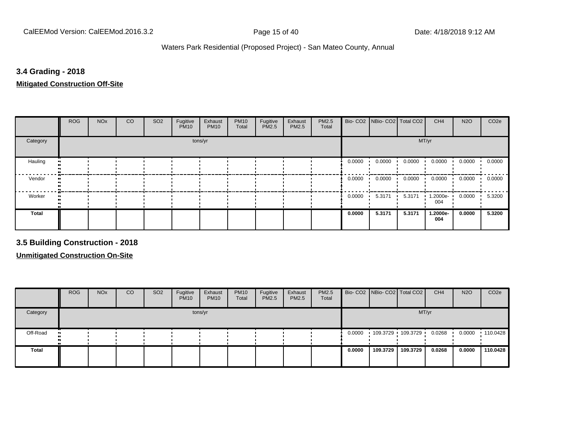#### **3.4 Grading - 2018**

**Mitigated Construction Off-Site**

|              | <b>ROG</b> | <b>NO<sub>x</sub></b> | CO | SO <sub>2</sub> | Fugitive<br><b>PM10</b> | Exhaust<br><b>PM10</b> | <b>PM10</b><br>Total | Fugitive<br>PM2.5 | Exhaust<br><b>PM2.5</b> | PM2.5<br>Total |        | Bio- CO2 NBio- CO2 Total CO2 |        | CH <sub>4</sub> | <b>N2O</b> | CO <sub>2e</sub> |
|--------------|------------|-----------------------|----|-----------------|-------------------------|------------------------|----------------------|-------------------|-------------------------|----------------|--------|------------------------------|--------|-----------------|------------|------------------|
| Category     |            |                       |    |                 |                         | tons/yr                |                      |                   |                         |                |        |                              | MT/yr  |                 |            |                  |
| Hauling      |            |                       |    |                 |                         |                        |                      |                   |                         |                | 0.0000 | 0.0000                       | 0.0000 | 0.0000          | 0.0000     | 0.0000           |
| Vendor       |            |                       |    |                 |                         |                        |                      |                   |                         |                | 0.0000 | 0.0000                       | 0.0000 | 0.0000          | 0.0000     | 0.0000           |
| Worker       |            |                       |    |                 |                         |                        |                      |                   |                         |                | 0.0000 | 5.3171                       | 5.3171 | 1.2000e-<br>004 | 0.0000     | 5.3200           |
| <b>Total</b> |            |                       |    |                 |                         |                        |                      |                   |                         |                | 0.0000 | 5.3171                       | 5.3171 | 1.2000e-<br>004 | 0.0000     | 5.3200           |

**3.5 Building Construction - 2018**

**Unmitigated Construction On-Site**

|                            | <b>ROG</b> | <b>NO<sub>x</sub></b> | CO | SO <sub>2</sub> | Fugitive<br><b>PM10</b> | Exhaust<br><b>PM10</b> | <b>PM10</b><br>Total | Fugitive<br><b>PM2.5</b> | Exhaust<br><b>PM2.5</b> | <b>PM2.5</b><br>Total |        |                   | Bio- CO2   NBio- CO2   Total CO2 | CH <sub>4</sub> | <b>N2O</b> | CO <sub>2e</sub> |
|----------------------------|------------|-----------------------|----|-----------------|-------------------------|------------------------|----------------------|--------------------------|-------------------------|-----------------------|--------|-------------------|----------------------------------|-----------------|------------|------------------|
| Category                   |            |                       |    |                 |                         | tons/yr                |                      |                          |                         |                       |        |                   |                                  | MT/yr           |            |                  |
| Off-Road<br>$\blacksquare$ |            |                       |    |                 |                         |                        |                      |                          |                         |                       | 0.0000 | 109.3729 109.3729 |                                  | 0.0268          | 0.0000     | $\cdot$ 110.0428 |
| Total                      |            |                       |    |                 |                         |                        |                      |                          |                         |                       | 0.0000 | 109.3729          | 109.3729                         | 0.0268          | 0.0000     | 110.0428         |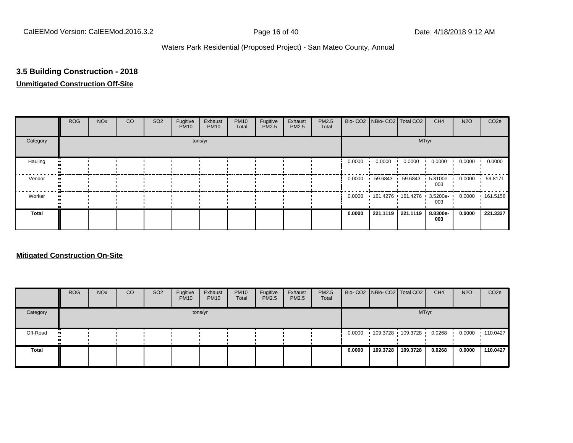# **3.5 Building Construction - 2018**

# **Unmitigated Construction Off-Site**

|          | <b>ROG</b> | <b>NO<sub>x</sub></b> | CO | SO <sub>2</sub> | Fugitive<br><b>PM10</b> | Exhaust<br><b>PM10</b> | <b>PM10</b><br>Total | Fugitive<br>PM2.5 | Exhaust<br><b>PM2.5</b> | PM2.5<br>Total |        | Bio- CO2   NBio- CO2   Total CO2 |          | CH <sub>4</sub>         | <b>N2O</b> | CO <sub>2e</sub> |
|----------|------------|-----------------------|----|-----------------|-------------------------|------------------------|----------------------|-------------------|-------------------------|----------------|--------|----------------------------------|----------|-------------------------|------------|------------------|
| Category |            |                       |    |                 |                         | tons/yr                |                      |                   |                         |                |        |                                  | MT/yr    |                         |            |                  |
| Hauling  |            |                       |    |                 |                         |                        |                      |                   |                         |                | 0.0000 | 0.0000                           | 0.0000   | 0.0000                  | 0.0000     | 0.0000           |
| Vendor   |            |                       |    |                 |                         |                        |                      |                   |                         |                | 0.0000 | 59.6843                          |          | 59.6843 5.3100e-<br>003 | 0.0000     | 59.8171          |
| Worker   |            |                       |    |                 |                         |                        |                      |                   |                         |                | 0.0000 | 161.4276 161.4276 3.5200e-       |          | 003                     | 0.0000     | $+161.5156$      |
| Total    |            |                       |    |                 |                         |                        |                      |                   |                         |                | 0.0000 | 221.1119                         | 221.1119 | 8.8300e-<br>003         | 0.0000     | 221.3327         |

#### **Mitigated Construction On-Site**

|              | <b>ROG</b>       | <b>NO<sub>x</sub></b> | CO | SO <sub>2</sub> | Fugitive<br><b>PM10</b> | Exhaust<br><b>PM10</b> | <b>PM10</b><br>Total | Fugitive<br>PM2.5 | Exhaust<br><b>PM2.5</b> | <b>PM2.5</b><br>Total |        | Bio- CO2 NBio- CO2 Total CO2 |          | CH <sub>4</sub> | <b>N2O</b> | CO <sub>2e</sub> |
|--------------|------------------|-----------------------|----|-----------------|-------------------------|------------------------|----------------------|-------------------|-------------------------|-----------------------|--------|------------------------------|----------|-----------------|------------|------------------|
| Category     |                  |                       |    |                 |                         | tons/yr                |                      |                   |                         |                       |        |                              |          | MT/yr           |            |                  |
| Off-Road     | $\bullet\bullet$ |                       |    |                 |                         |                        |                      |                   |                         |                       | 0.0000 | 109.3728 109.3728            |          | 0.0268          | 0.0000     | $\cdot$ 110.0427 |
| <b>Total</b> |                  |                       |    |                 |                         |                        |                      |                   |                         |                       | 0.0000 | 109.3728                     | 109.3728 | 0.0268          | 0.0000     | 110.0427         |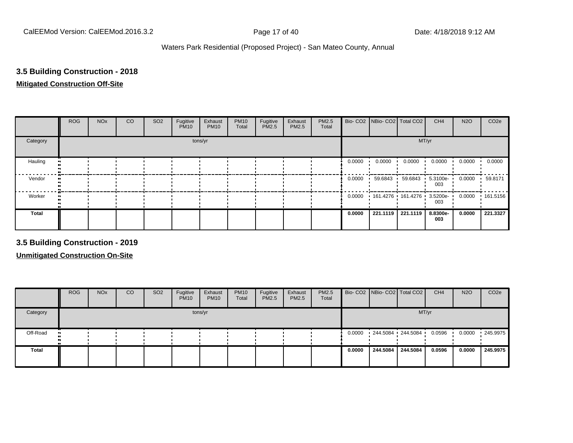# **3.5 Building Construction - 2018**

#### **Mitigated Construction Off-Site**

|          | <b>ROG</b> | <b>NO<sub>x</sub></b> | CO | SO <sub>2</sub> | Fugitive<br><b>PM10</b> | Exhaust<br><b>PM10</b> | <b>PM10</b><br>Total | Fugitive<br><b>PM2.5</b> | Exhaust<br>PM2.5 | PM2.5<br>Total |        | Bio- CO2   NBio- CO2   Total CO2     |          | CH <sub>4</sub>         | <b>N2O</b> | CO <sub>2e</sub> |
|----------|------------|-----------------------|----|-----------------|-------------------------|------------------------|----------------------|--------------------------|------------------|----------------|--------|--------------------------------------|----------|-------------------------|------------|------------------|
| Category |            |                       |    |                 |                         | tons/yr                |                      |                          |                  |                |        |                                      | MT/yr    |                         |            |                  |
| Hauling  |            |                       |    |                 |                         |                        |                      |                          |                  |                | 0.0000 | 0.0000                               | 0.0000   | 0.0000                  | 0.0000     | 0.0000           |
| Vendor   |            |                       |    |                 |                         |                        |                      |                          |                  |                | 0.0000 | 59.6843                              |          | 59.6843 5.3100e-<br>003 | 0.0000     | 59.8171          |
| Worker   |            |                       |    |                 |                         |                        |                      |                          |                  |                |        | 0.0000  161.4276  161.4276  3.5200e- |          | 003                     | 0.0000     | .161.5156        |
| Total    |            |                       |    |                 |                         |                        |                      |                          |                  |                | 0.0000 | 221.1119                             | 221.1119 | 8.8300e-<br>003         | 0.0000     | 221.3327         |

**3.5 Building Construction - 2019**

**Unmitigated Construction On-Site**

|                            | <b>ROG</b> | <b>NO<sub>x</sub></b> | <b>CO</b> | SO <sub>2</sub> | Fugitive<br><b>PM10</b> | Exhaust<br><b>PM10</b> | <b>PM10</b><br>Total | Fugitive<br><b>PM2.5</b> | Exhaust<br><b>PM2.5</b> | <b>PM2.5</b><br>Total |        |          | Bio- CO2   NBio- CO2   Total CO2 | CH <sub>4</sub> | <b>N2O</b> | CO <sub>2e</sub> |
|----------------------------|------------|-----------------------|-----------|-----------------|-------------------------|------------------------|----------------------|--------------------------|-------------------------|-----------------------|--------|----------|----------------------------------|-----------------|------------|------------------|
| Category                   |            |                       |           |                 |                         | tons/yr                |                      |                          |                         |                       |        |          |                                  | MT/yr           |            |                  |
| Off-Road<br>$\blacksquare$ |            |                       |           |                 |                         |                        |                      |                          |                         |                       | 0.0000 |          | 244.5084 244.5084                | 0.0596          | 0.0000     | $\cdot$ 245.9975 |
| Total                      |            |                       |           |                 |                         |                        |                      |                          |                         |                       | 0.0000 | 244.5084 | 244.5084                         | 0.0596          | 0.0000     | 245.9975         |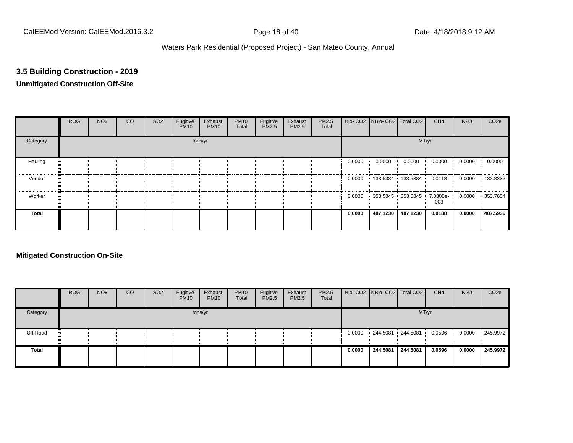# **3.5 Building Construction - 2019**

# **Unmitigated Construction Off-Site**

|          | <b>ROG</b> | <b>NO<sub>x</sub></b> | CO | SO <sub>2</sub> | Fugitive<br><b>PM10</b> | Exhaust<br><b>PM10</b> | <b>PM10</b><br>Total | Fugitive<br>PM2.5 | Exhaust<br><b>PM2.5</b> | PM2.5<br>Total |        | Bio- CO2 NBio- CO2 Total CO2 |          | CH <sub>4</sub> | <b>N2O</b> | CO <sub>2e</sub> |
|----------|------------|-----------------------|----|-----------------|-------------------------|------------------------|----------------------|-------------------|-------------------------|----------------|--------|------------------------------|----------|-----------------|------------|------------------|
| Category |            |                       |    |                 |                         | tons/yr                |                      |                   |                         |                |        |                              | MT/yr    |                 |            |                  |
| Hauling  |            |                       |    |                 |                         |                        |                      |                   |                         |                | 0.0000 | 0.0000                       | 0.0000   | 0.0000          | 0.0000     | 0.0000           |
| Vendor   |            |                       |    |                 |                         |                        |                      |                   |                         |                | 0.0000 | 133.5384 133.5384 0.0118 '   |          |                 | 0.0000     | $+133.8332$      |
| Worker   |            |                       |    |                 |                         |                        |                      |                   |                         |                | 0.0000 | 353.5845 353.5845 7.0300e-   |          | 003             | 0.0000     | 353.7604         |
| Total    |            |                       |    |                 |                         |                        |                      |                   |                         |                | 0.0000 | 487.1230                     | 487.1230 | 0.0188          | 0.0000     | 487.5936         |

#### **Mitigated Construction On-Site**

|          | <b>ROG</b> | <b>NO<sub>x</sub></b> | CO | SO <sub>2</sub> | Fugitive<br><b>PM10</b> | Exhaust<br><b>PM10</b> | <b>PM10</b><br>Total | Fugitive<br><b>PM2.5</b> | Exhaust<br>PM2.5 | PM2.5<br>Total |        |                   | Bio- CO2 NBio- CO2 Total CO2 | CH <sub>4</sub> | <b>N2O</b> | CO <sub>2e</sub> |
|----------|------------|-----------------------|----|-----------------|-------------------------|------------------------|----------------------|--------------------------|------------------|----------------|--------|-------------------|------------------------------|-----------------|------------|------------------|
| Category |            |                       |    |                 |                         | tons/yr                |                      |                          |                  |                |        |                   |                              | MT/yr           |            |                  |
| Off-Road |            |                       |    |                 |                         |                        |                      |                          |                  |                | 0.0000 | 244.5081 244.5081 |                              | 0.0596          | 0.0000     | 245.9972         |
| Total    |            |                       |    |                 |                         |                        |                      |                          |                  |                | 0.0000 | 244.5081          | 244.5081                     | 0.0596          | 0.0000     | 245.9972         |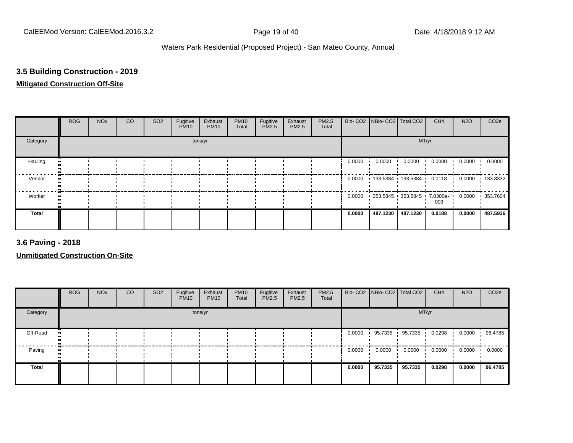# **3.5 Building Construction - 2019**

# **Mitigated Construction Off-Site**

|          | <b>ROG</b> | <b>NO<sub>x</sub></b> | CO | SO <sub>2</sub> | Fugitive<br><b>PM10</b> | Exhaust<br><b>PM10</b> | <b>PM10</b><br>Total | Fugitive<br>PM2.5 | Exhaust<br><b>PM2.5</b> | PM2.5<br>Total |        | Bio- CO2   NBio- CO2   Total CO2 |          | CH <sub>4</sub> | <b>N2O</b> | CO <sub>2e</sub> |
|----------|------------|-----------------------|----|-----------------|-------------------------|------------------------|----------------------|-------------------|-------------------------|----------------|--------|----------------------------------|----------|-----------------|------------|------------------|
| Category |            |                       |    |                 |                         | tons/yr                |                      |                   |                         |                |        |                                  | MT/yr    |                 |            |                  |
| Hauling  |            |                       |    |                 |                         |                        |                      |                   |                         |                | 0.0000 | 0.0000                           | 0.0000   | 0.0000          | 0.0000     | 0.0000           |
| Vendor   |            |                       |    |                 |                         |                        |                      |                   |                         |                | 0.0000 | 133.5384 133.5384                |          | 0.0118          | 0.0000     | $+133.8332$      |
| Worker   |            |                       |    |                 |                         |                        |                      |                   |                         |                | 0.0000 | 353.5845 353.5845 7.0300e-       |          | 003             | 0.0000     | 353.7604         |
| Total    |            |                       |    |                 |                         |                        |                      |                   |                         |                | 0.0000 | 487.1230                         | 487.1230 | 0.0188          | 0.0000     | 487.5936         |

**3.6 Paving - 2018**

**Unmitigated Construction On-Site**

|          | <b>ROG</b> | <b>NO<sub>x</sub></b> | <b>CO</b> | SO <sub>2</sub> | Fugitive<br><b>PM10</b> | Exhaust<br><b>PM10</b> | <b>PM10</b><br>Total | Fugitive<br>PM2.5 | Exhaust<br><b>PM2.5</b> | PM2.5<br>Total |        | Bio- CO2   NBio- CO2   Total CO2 |         | CH <sub>4</sub> | <b>N2O</b> | CO <sub>2e</sub> |
|----------|------------|-----------------------|-----------|-----------------|-------------------------|------------------------|----------------------|-------------------|-------------------------|----------------|--------|----------------------------------|---------|-----------------|------------|------------------|
| Category |            |                       |           |                 |                         | tons/yr                |                      |                   |                         |                |        |                                  | MT/yr   |                 |            |                  |
| Off-Road |            |                       |           |                 |                         |                        |                      |                   |                         |                | 0.0000 | 95.7335                          | 95.7335 | 0.0298          | 0.0000     | 96.4785          |
| Paving   |            |                       |           |                 |                         |                        |                      |                   |                         |                | 0.0000 | 0.0000                           | 0.0000  | 0.0000          | 0.0000     | 0.0000           |
| Total    |            |                       |           |                 |                         |                        |                      |                   |                         |                | 0.0000 | 95.7335                          | 95.7335 | 0.0298          | 0.0000     | 96.4785          |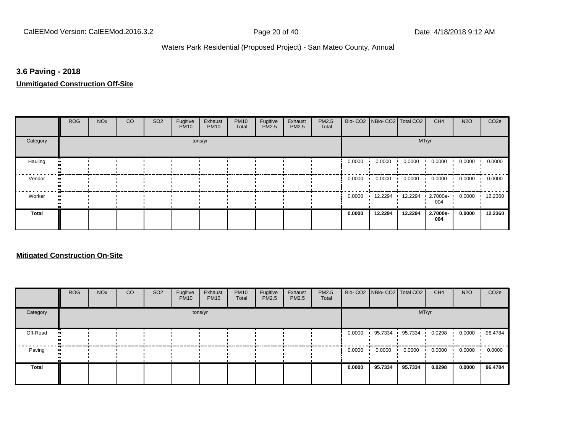#### **3.6 Paving - 2018**

**Unmitigated Construction Off-Site**

|              | <b>ROG</b> | <b>NO<sub>x</sub></b> | CO | SO <sub>2</sub> | Fugitive<br><b>PM10</b> | Exhaust<br><b>PM10</b> | <b>PM10</b><br>Total | Fugitive<br>PM2.5 | Exhaust<br><b>PM2.5</b> | PM2.5<br>Total |        | Bio- CO2   NBio- CO2   Total CO2 |         | CH <sub>4</sub> | <b>N2O</b> | CO <sub>2e</sub> |
|--------------|------------|-----------------------|----|-----------------|-------------------------|------------------------|----------------------|-------------------|-------------------------|----------------|--------|----------------------------------|---------|-----------------|------------|------------------|
| Category     |            |                       |    |                 |                         | tons/yr                |                      |                   |                         |                |        |                                  | MT/yr   |                 |            |                  |
| Hauling      |            |                       |    |                 |                         |                        |                      |                   |                         |                | 0.0000 | 0.0000                           | 0.0000  | 0.0000          | 0.0000     | 0.0000           |
| Vendor       |            |                       |    |                 |                         |                        |                      |                   |                         |                | 0.0000 | 0.0000                           | 0.0000  | 0.0000          | 0.0000     | 0.0000           |
| Worker       |            |                       |    |                 |                         |                        |                      |                   |                         |                | 0.0000 | 12.2294                          | 12.2294 | 2.7000e-<br>004 | 0.0000     | 12.2360          |
| <b>Total</b> |            |                       |    |                 |                         |                        |                      |                   |                         |                | 0.0000 | 12.2294                          | 12.2294 | 2.7000e-<br>004 | 0.0000     | 12.2360          |

#### **Mitigated Construction On-Site**

|          | <b>ROG</b> | <b>NO<sub>x</sub></b> | CO | SO <sub>2</sub> | Fugitive<br><b>PM10</b> | Exhaust<br><b>PM10</b> | <b>PM10</b><br>Total | Fugitive<br><b>PM2.5</b> | Exhaust<br>PM2.5 | PM2.5<br>Total |        | Bio- CO2   NBio- CO2   Total CO2 |         | CH <sub>4</sub> | <b>N2O</b> | CO <sub>2</sub> e |
|----------|------------|-----------------------|----|-----------------|-------------------------|------------------------|----------------------|--------------------------|------------------|----------------|--------|----------------------------------|---------|-----------------|------------|-------------------|
| Category |            |                       |    |                 |                         | tons/yr                |                      |                          |                  |                |        |                                  | MT/yr   |                 |            |                   |
| Off-Road |            |                       |    |                 |                         |                        |                      |                          |                  |                | 0.0000 | 95.7334 ·                        | 95.7334 | 0.0298          | 0.0000     | 96.4784           |
| Paving   |            |                       |    |                 |                         |                        |                      |                          |                  |                | 0.0000 | 0.0000                           | 0.0000  | 0.0000          | 0.0000     | 0.0000            |
| Total    |            |                       |    |                 |                         |                        |                      |                          |                  |                | 0.0000 | 95.7334                          | 95.7334 | 0.0298          | 0.0000     | 96.4784           |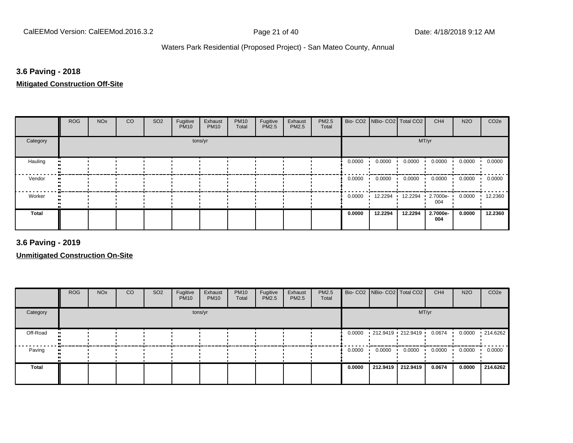# **3.6 Paving - 2018**

**Mitigated Construction Off-Site**

|          | <b>ROG</b> | <b>NO<sub>x</sub></b> | CO | SO <sub>2</sub> | Fugitive<br><b>PM10</b> | Exhaust<br><b>PM10</b> | <b>PM10</b><br>Total | Fugitive<br>PM2.5 | Exhaust<br><b>PM2.5</b> | PM2.5<br>Total |        | Bio- CO2   NBio- CO2   Total CO2 |         | CH <sub>4</sub> | <b>N2O</b> | CO <sub>2e</sub> |
|----------|------------|-----------------------|----|-----------------|-------------------------|------------------------|----------------------|-------------------|-------------------------|----------------|--------|----------------------------------|---------|-----------------|------------|------------------|
| Category |            |                       |    |                 |                         | tons/yr                |                      |                   |                         |                |        |                                  | MT/yr   |                 |            |                  |
| Hauling  |            |                       |    |                 |                         |                        |                      |                   |                         |                | 0.0000 | 0.0000                           | 0.0000  | 0.0000          | 0.0000     | 0.0000           |
| Vendor   |            |                       |    |                 |                         |                        |                      |                   |                         |                | 0.0000 | 0.0000                           | 0.0000  | 0.0000          | 0.0000     | 0.0000           |
| Worker   |            |                       |    |                 |                         |                        |                      |                   |                         |                | 0.0000 | 12.2294                          | 12.2294 | 2.7000e-<br>004 | 0.0000     | 12.2360          |
| Total    |            |                       |    |                 |                         |                        |                      |                   |                         |                | 0.0000 | 12.2294                          | 12.2294 | 2.7000e-<br>004 | 0.0000     | 12.2360          |

**3.6 Paving - 2019**

**Unmitigated Construction On-Site**

|              | <b>ROG</b> | <b>NO<sub>x</sub></b> | CO | SO <sub>2</sub> | Fugitive<br><b>PM10</b> | Exhaust<br><b>PM10</b> | <b>PM10</b><br>Total | Fugitive<br>PM2.5 | Exhaust<br><b>PM2.5</b> | <b>PM2.5</b><br>Total |        |        | Bio- CO2   NBio- CO2   Total CO2 | CH <sub>4</sub>  | <b>N2O</b> | CO <sub>2e</sub> |
|--------------|------------|-----------------------|----|-----------------|-------------------------|------------------------|----------------------|-------------------|-------------------------|-----------------------|--------|--------|----------------------------------|------------------|------------|------------------|
| Category     |            |                       |    |                 |                         | tons/yr                |                      |                   |                         |                       |        |        | MT/yr                            |                  |            |                  |
| Off-Road     |            |                       |    |                 |                         |                        |                      |                   |                         |                       | 0.0000 |        | 212.9419 212.9419                | $0.0674$ $\cdot$ | 0.0000     | .214.6262        |
| Paving       |            |                       |    |                 |                         |                        |                      |                   |                         |                       | 0.0000 | 0.0000 | 0.0000                           | 0.0000           | 0.0000     | 0.0000           |
| <b>Total</b> |            |                       |    |                 |                         |                        |                      |                   |                         |                       | 0.0000 |        | 212.9419 212.9419                | 0.0674           | 0.0000     | 214.6262         |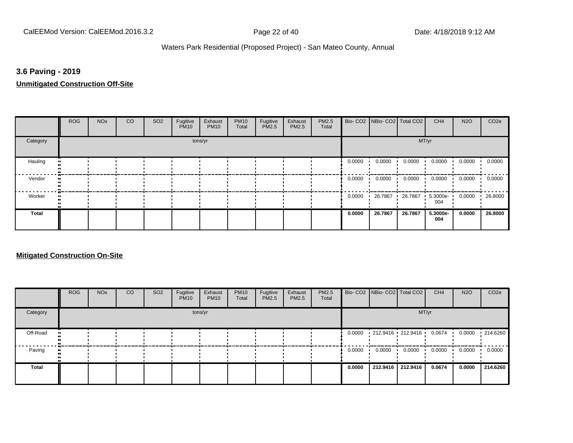#### **3.6 Paving - 2019**

**Unmitigated Construction Off-Site**

|              | <b>ROG</b> | <b>NO<sub>x</sub></b> | CO | SO <sub>2</sub> | Fugitive<br><b>PM10</b> | Exhaust<br><b>PM10</b> | <b>PM10</b><br>Total | Fugitive<br>PM2.5 | Exhaust<br><b>PM2.5</b> | PM2.5<br>Total |        | Bio- CO2   NBio- CO2   Total CO2 |         | CH <sub>4</sub>   | <b>N2O</b> | CO <sub>2e</sub> |
|--------------|------------|-----------------------|----|-----------------|-------------------------|------------------------|----------------------|-------------------|-------------------------|----------------|--------|----------------------------------|---------|-------------------|------------|------------------|
| Category     |            |                       |    |                 |                         | tons/yr                |                      |                   |                         |                |        |                                  | MT/yr   |                   |            |                  |
| Hauling      |            |                       |    |                 |                         |                        |                      |                   |                         |                | 0.0000 | 0.0000                           | 0.0000  | 0.0000            | 0.0000     | 0.0000           |
| Vendor       |            |                       |    |                 |                         |                        |                      |                   |                         |                | 0.0000 | 0.0000                           | 0.0000  | 0.0000            | 0.0000     | 0.0000           |
| Worker       |            |                       |    |                 |                         |                        |                      |                   |                         |                | 0.0000 | 26.7867                          | 26.7867 | $5.3000e-$<br>004 | 0.0000     | 26.8000          |
| <b>Total</b> |            |                       |    |                 |                         |                        |                      |                   |                         |                | 0.0000 | 26.7867                          | 26.7867 | 5.3000e-<br>004   | 0.0000     | 26.8000          |

#### **Mitigated Construction On-Site**

|          | <b>ROG</b> | <b>NO<sub>x</sub></b> | CO | SO <sub>2</sub> | Fugitive<br><b>PM10</b> | Exhaust<br><b>PM10</b> | <b>PM10</b><br>Total | Fugitive<br>PM2.5 | Exhaust<br><b>PM2.5</b> | PM2.5<br>Total |        |          | Bio- CO2   NBio- CO2   Total CO2 | CH <sub>4</sub> | <b>N2O</b> | CO <sub>2e</sub> |
|----------|------------|-----------------------|----|-----------------|-------------------------|------------------------|----------------------|-------------------|-------------------------|----------------|--------|----------|----------------------------------|-----------------|------------|------------------|
| Category |            |                       |    |                 |                         | tons/yr                |                      |                   |                         |                |        |          |                                  | MT/yr           |            |                  |
| Off-Road |            |                       |    |                 |                         |                        |                      |                   |                         |                | 0.0000 |          | 212.9416 212.9416                | 0.0674          | 0.0000     | .214.6260        |
| Paving   |            |                       |    |                 |                         |                        |                      |                   |                         |                | 0.0000 | 0.0000   | 0.0000                           | 0.0000          | 0.0000     | 0.0000           |
| Total    |            |                       |    |                 |                         |                        |                      |                   |                         |                | 0.0000 | 212.9416 | 212.9416                         | 0.0674          | 0.0000     | 214.6260         |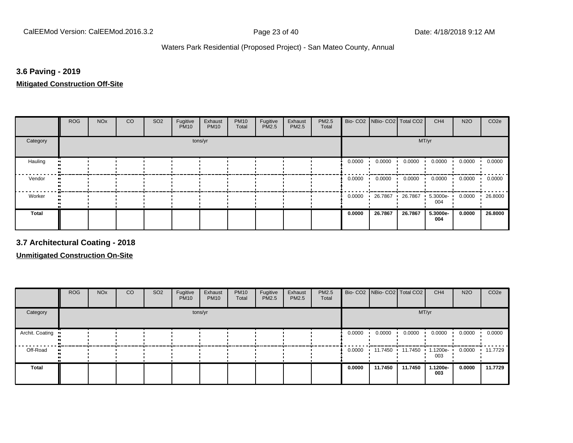## **3.6 Paving - 2019**

**Mitigated Construction Off-Site**

|          | <b>ROG</b> | <b>NO<sub>x</sub></b> | CO | SO <sub>2</sub> | Fugitive<br><b>PM10</b> | Exhaust<br><b>PM10</b> | <b>PM10</b><br>Total | Fugitive<br>PM2.5 | Exhaust<br><b>PM2.5</b> | PM2.5<br>Total |        | Bio- CO2   NBio- CO2   Total CO2 |         | CH <sub>4</sub>   | <b>N2O</b> | CO <sub>2e</sub> |
|----------|------------|-----------------------|----|-----------------|-------------------------|------------------------|----------------------|-------------------|-------------------------|----------------|--------|----------------------------------|---------|-------------------|------------|------------------|
| Category |            |                       |    |                 |                         | tons/yr                |                      |                   |                         |                |        |                                  | MT/yr   |                   |            |                  |
| Hauling  |            |                       |    |                 |                         |                        |                      |                   |                         |                | 0.0000 | 0.0000                           | 0.0000  | 0.0000            | 0.0000     | 0.0000           |
| Vendor   |            |                       |    |                 |                         |                        |                      |                   |                         |                | 0.0000 | 0.0000                           | 0.0000  | 0.0000            | 0.0000     | 0.0000           |
| Worker   |            |                       |    |                 |                         |                        |                      |                   |                         |                | 0.0000 | 26.7867                          | 26.7867 | $5.3000e-$<br>004 | 0.0000     | 26.8000          |
| Total    |            |                       |    |                 |                         |                        |                      |                   |                         |                | 0.0000 | 26.7867                          | 26.7867 | 5.3000e-<br>004   | 0.0000     | 26.8000          |

**3.7 Architectural Coating - 2018**

**Unmitigated Construction On-Site**

|                 | <b>ROG</b> | <b>NO<sub>x</sub></b> | CO | SO <sub>2</sub> | Fugitive<br><b>PM10</b> | Exhaust<br><b>PM10</b> | <b>PM10</b><br>Total | Fugitive<br><b>PM2.5</b> | Exhaust<br>PM2.5 | <b>PM2.5</b><br>Total |        | Bio- CO2 NBio- CO2 Total CO2 |         | CH <sub>4</sub> | <b>N2O</b> | CO <sub>2e</sub> |
|-----------------|------------|-----------------------|----|-----------------|-------------------------|------------------------|----------------------|--------------------------|------------------|-----------------------|--------|------------------------------|---------|-----------------|------------|------------------|
| Category        |            |                       |    |                 |                         | tons/yr                |                      |                          |                  |                       |        |                              | MT/yr   |                 |            |                  |
| Archit. Coating |            |                       |    |                 |                         |                        |                      |                          |                  |                       | 0.0000 | 0.0000                       | 0.0000  | 0.0000          | 0.0000     | 0.0000           |
| Off-Road        |            |                       |    |                 |                         |                        |                      |                          |                  |                       | 0.0000 | 11.7450                      | 11.7450 | 1.1200e-<br>003 | 0.0000     | .11.7729         |
| Total           |            |                       |    |                 |                         |                        |                      |                          |                  |                       | 0.0000 | 11.7450                      | 11.7450 | 1.1200e-<br>003 | 0.0000     | 11.7729          |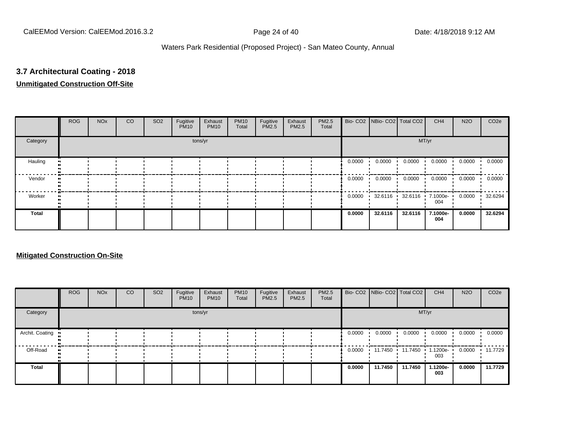# **3.7 Architectural Coating - 2018**

# **Unmitigated Construction Off-Site**

|          | <b>ROG</b> | <b>NO<sub>x</sub></b> | CO | SO <sub>2</sub> | Fugitive<br><b>PM10</b> | Exhaust<br><b>PM10</b> | <b>PM10</b><br>Total | Fugitive<br>PM2.5 | Exhaust<br>PM2.5 | PM2.5<br>Total |        | Bio- CO2 NBio- CO2 Total CO2 |         | CH <sub>4</sub>             | <b>N2O</b> | CO <sub>2e</sub> |
|----------|------------|-----------------------|----|-----------------|-------------------------|------------------------|----------------------|-------------------|------------------|----------------|--------|------------------------------|---------|-----------------------------|------------|------------------|
| Category |            |                       |    |                 |                         | tons/yr                |                      |                   |                  |                |        |                              | MT/yr   |                             |            |                  |
| Hauling  |            |                       |    |                 |                         |                        |                      |                   |                  |                | 0.0000 | 0.0000                       | 0.0000  | 0.0000                      | 0.0000     | 0.0000           |
| Vendor   |            |                       |    |                 |                         |                        |                      |                   |                  |                | 0.0000 | 0.0000                       | 0.0000  | 0.0000                      | 0.0000     | 0.0000           |
| Worker   |            |                       |    |                 |                         |                        |                      |                   |                  |                | 0.0000 | 32.6116                      |         | 32.6116 1 7.1000e- 1<br>004 | 0.0000     | 32.6294          |
| Total    |            |                       |    |                 |                         |                        |                      |                   |                  |                | 0.0000 | 32.6116                      | 32.6116 | 7.1000e-<br>004             | 0.0000     | 32.6294          |

#### **Mitigated Construction On-Site**

|                 | <b>ROG</b> | <b>NO<sub>x</sub></b> | CO | SO <sub>2</sub> | Fugitive<br><b>PM10</b> | Exhaust<br><b>PM10</b> | <b>PM10</b><br>Total | Fugitive<br>PM2.5 | Exhaust<br>PM2.5 | PM2.5<br>Total |        | Bio- CO2   NBio- CO2   Total CO2 |         | CH <sub>4</sub> | <b>N2O</b> | CO <sub>2e</sub> |
|-----------------|------------|-----------------------|----|-----------------|-------------------------|------------------------|----------------------|-------------------|------------------|----------------|--------|----------------------------------|---------|-----------------|------------|------------------|
| Category        |            |                       |    |                 |                         | tons/yr                |                      |                   |                  |                |        |                                  | MT/yr   |                 |            |                  |
| Archit. Coating |            |                       |    |                 |                         |                        |                      |                   |                  |                | 0.0000 | 0.0000                           | 0.0000  | 0.0000          | 0.0000     | 0.0000           |
| Off-Road        |            |                       |    |                 |                         |                        |                      |                   |                  |                |        | 0.0000 11.7450 11.7450           |         | 1.1200e-<br>003 | 0.0000     | 11.7729          |
| Total           |            |                       |    |                 |                         |                        |                      |                   |                  |                | 0.0000 | 11.7450                          | 11.7450 | 1.1200e-<br>003 | 0.0000     | 11.7729          |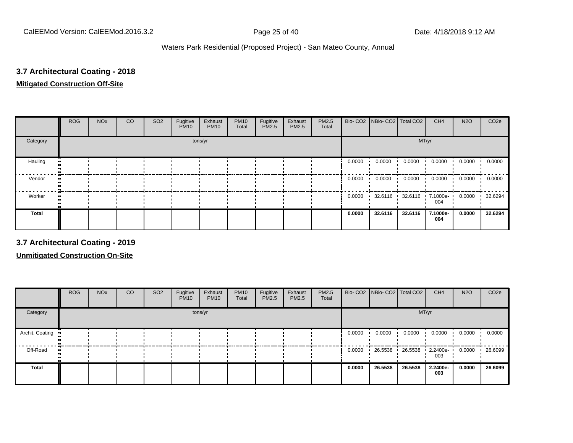# **3.7 Architectural Coating - 2018 Mitigated Construction Off-Site**

|          | <b>ROG</b> | <b>NO<sub>x</sub></b> | CO | SO <sub>2</sub> | Fugitive<br><b>PM10</b> | Exhaust<br><b>PM10</b> | <b>PM10</b><br>Total | Fugitive<br>PM2.5 | Exhaust<br>PM2.5 | PM2.5<br>Total |        | Bio- CO2   NBio- CO2   Total CO2 |         | CH <sub>4</sub> | <b>N2O</b> | CO <sub>2e</sub> |
|----------|------------|-----------------------|----|-----------------|-------------------------|------------------------|----------------------|-------------------|------------------|----------------|--------|----------------------------------|---------|-----------------|------------|------------------|
| Category |            |                       |    |                 |                         | tons/yr                |                      |                   |                  |                |        |                                  | MT/yr   |                 |            |                  |
| Hauling  |            |                       |    |                 |                         |                        |                      |                   |                  |                | 0.0000 | 0.0000                           | 0.0000  | 0.0000          | 0.0000     | 0.0000           |
| Vendor   |            |                       |    |                 |                         |                        |                      |                   |                  |                | 0.0000 | 0.0000                           | 0.0000  | 0.0000          | 0.0000     | 0.0000           |
| Worker   |            |                       |    |                 |                         |                        |                      |                   |                  |                | 0.0000 | 32.6116                          | 32.6116 | 7.1000e-<br>004 | 0.0000     | 32.6294          |
| Total    |            |                       |    |                 |                         |                        |                      |                   |                  |                | 0.0000 | 32.6116                          | 32.6116 | 7.1000e-<br>004 | 0.0000     | 32.6294          |

**3.7 Architectural Coating - 2019**

**Unmitigated Construction On-Site**

|                 | <b>ROG</b> | <b>NO<sub>x</sub></b> | CO | SO <sub>2</sub> | Fugitive<br><b>PM10</b> | Exhaust<br><b>PM10</b> | <b>PM10</b><br>Total | Fugitive<br><b>PM2.5</b> | Exhaust<br><b>PM2.5</b> | <b>PM2.5</b><br>Total |        | Bio- CO2   NBio- CO2   Total CO2 |         | CH <sub>4</sub> | <b>N2O</b> | CO <sub>2e</sub> |
|-----------------|------------|-----------------------|----|-----------------|-------------------------|------------------------|----------------------|--------------------------|-------------------------|-----------------------|--------|----------------------------------|---------|-----------------|------------|------------------|
| Category        |            |                       |    |                 |                         | tons/yr                |                      |                          |                         |                       |        |                                  |         | MT/yr           |            |                  |
| Archit. Coating |            |                       |    |                 |                         |                        |                      |                          |                         |                       | 0.0000 | 0.0000                           | 0.0000  | 0.0000          | 0.0000     | 0.0000           |
| Off-Road        |            |                       |    |                 |                         |                        |                      |                          |                         |                       | 0.0000 | 26.5538                          | 26.5538 | 2.2400e-<br>003 | 0.0000     | 26.6099          |
| Total           |            |                       |    |                 |                         |                        |                      |                          |                         |                       | 0.0000 | 26.5538                          | 26.5538 | 2.2400e-<br>003 | 0.0000     | 26.6099          |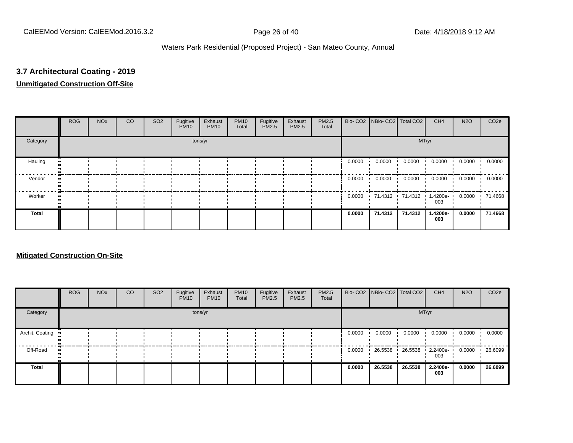# **3.7 Architectural Coating - 2019**

# **Unmitigated Construction Off-Site**

|          | <b>ROG</b> | <b>NO<sub>x</sub></b> | CO | SO <sub>2</sub> | Fugitive<br><b>PM10</b> | Exhaust<br><b>PM10</b> | <b>PM10</b><br>Total | Fugitive<br>PM2.5 | Exhaust<br>PM2.5 | PM2.5<br>Total |        | Bio- CO2 NBio- CO2 Total CO2 |         | CH <sub>4</sub> | <b>N2O</b> | CO <sub>2e</sub> |
|----------|------------|-----------------------|----|-----------------|-------------------------|------------------------|----------------------|-------------------|------------------|----------------|--------|------------------------------|---------|-----------------|------------|------------------|
| Category |            |                       |    |                 |                         | tons/yr                |                      |                   |                  |                |        |                              | MT/yr   |                 |            |                  |
| Hauling  |            |                       |    |                 |                         |                        |                      |                   |                  |                | 0.0000 | 0.0000                       | 0.0000  | 0.0000          | 0.0000     | 0.0000           |
| Vendor   |            |                       |    |                 |                         |                        |                      |                   |                  |                | 0.0000 | 0.0000                       | 0.0000  | 0.0000          | 0.0000     | 0.0000           |
| Worker   |            |                       |    |                 |                         |                        |                      |                   |                  |                |        | $0.0000$ 71.4312 71.4312     |         | 1.4200e-<br>003 | 0.0000     | .71.4668         |
| Total    |            |                       |    |                 |                         |                        |                      |                   |                  |                | 0.0000 | 71.4312                      | 71.4312 | 1.4200e-<br>003 | 0.0000     | 71.4668          |

#### **Mitigated Construction On-Site**

|                 | <b>ROG</b> | <b>NO<sub>x</sub></b> | CO | SO <sub>2</sub> | Fugitive<br><b>PM10</b> | Exhaust<br><b>PM10</b> | <b>PM10</b><br>Total | Fugitive<br><b>PM2.5</b> | Exhaust<br>PM2.5 | PM2.5<br>Total |        | Bio- CO2 NBio- CO2 Total CO2 |         | CH <sub>4</sub> | <b>N2O</b> | CO <sub>2</sub> e |
|-----------------|------------|-----------------------|----|-----------------|-------------------------|------------------------|----------------------|--------------------------|------------------|----------------|--------|------------------------------|---------|-----------------|------------|-------------------|
| Category        |            |                       |    |                 |                         | tons/yr                |                      |                          |                  |                |        |                              | MT/yr   |                 |            |                   |
| Archit. Coating |            |                       |    |                 |                         |                        |                      |                          |                  |                | 0.0000 | 0.0000                       | 0.0000  | 0.0000          | 0.0000     | 0.0000            |
| Off-Road        | $\bullet$  |                       |    |                 |                         |                        |                      |                          |                  |                | 0.0000 | 26.5538                      | 26.5538 | 2.2400e-<br>003 | 0.0000     | 26.6099           |
| Total           |            |                       |    |                 |                         |                        |                      |                          |                  |                | 0.0000 | 26.5538                      | 26.5538 | 2.2400e-<br>003 | 0.0000     | 26.6099           |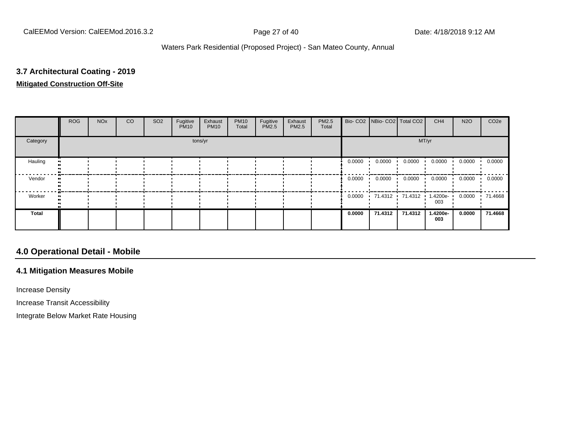# **3.7 Architectural Coating - 2019 Mitigated Construction Off-Site**

|          | <b>ROG</b> | <b>NO<sub>x</sub></b> | CO | SO <sub>2</sub> | Fugitive<br><b>PM10</b> | Exhaust<br><b>PM10</b> | <b>PM10</b><br>Total | Fugitive<br>PM2.5 | Exhaust<br>PM2.5 | PM2.5<br>Total |        | Bio- CO2 NBio- CO2 Total CO2 |         | CH <sub>4</sub>    | <b>N2O</b> | CO <sub>2e</sub> |
|----------|------------|-----------------------|----|-----------------|-------------------------|------------------------|----------------------|-------------------|------------------|----------------|--------|------------------------------|---------|--------------------|------------|------------------|
| Category |            | tons/yr               |    |                 |                         |                        |                      |                   |                  |                |        |                              | MT/yr   |                    |            |                  |
| Hauling  |            |                       |    |                 |                         |                        |                      |                   |                  |                | 0.0000 | 0.0000                       | 0.0000  | 0.0000             | 0.0000     | 0.0000           |
| Vendor   |            |                       |    |                 |                         |                        |                      |                   |                  |                | 0.0000 | 0.0000                       | 0.0000  | 0.0000             | 0.0000     | 0.0000           |
| Worker   |            |                       |    |                 |                         |                        |                      |                   |                  |                | 0.0000 | 71.4312 71.4312 1            |         | $1.4200e -$<br>003 | 0.0000     | .71.4668         |
| Total    |            |                       |    |                 |                         |                        |                      |                   |                  |                | 0.0000 | 71.4312                      | 71.4312 | 1.4200e-<br>003    | 0.0000     | 71.4668          |

# **4.0 Operational Detail - Mobile**

#### **4.1 Mitigation Measures Mobile**

Increase Density

Increase Transit Accessibility

Integrate Below Market Rate Housing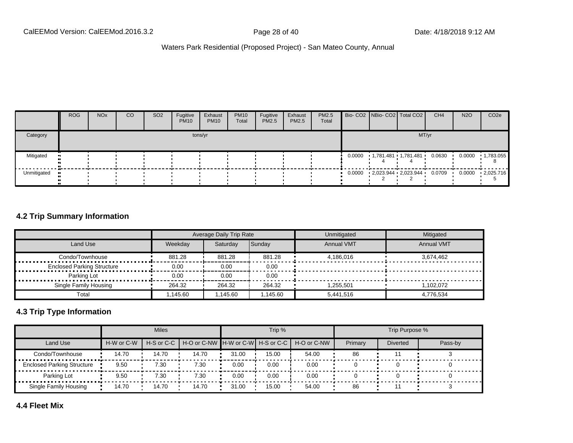|             | <b>ROG</b> | <b>NO<sub>x</sub></b> | <sub>CO</sub> | SO <sub>2</sub> | Fugitive<br><b>PM10</b> | Exhaust<br><b>PM10</b> | <b>PM10</b><br>Total | Fugitive<br><b>PM2.5</b> | Exhaust<br>PM2.5 | PM2.5<br>Total |  | Bio- CO2 NBio- CO2 Total CO2                       | CH <sub>4</sub> | <b>N2O</b> | CO <sub>2e</sub>  |
|-------------|------------|-----------------------|---------------|-----------------|-------------------------|------------------------|----------------------|--------------------------|------------------|----------------|--|----------------------------------------------------|-----------------|------------|-------------------|
| Category    |            |                       |               |                 |                         | tons/yr                |                      |                          |                  |                |  | MT/yr                                              |                 |            |                   |
| Mitigated   |            |                       |               |                 |                         |                        |                      |                          |                  |                |  | 0.0000 1,781.481 1,781.481                         | 0.0630          | 0.0000     | $\cdot$ 1,783.055 |
| Unmitigated |            |                       |               |                 |                         |                        |                      |                          |                  |                |  | $0.0000$ $2,023.944$ $2,023.944$ $0.0709$ $0.0000$ |                 |            | $-2,025.716$      |

#### **4.2 Trip Summary Information**

|                                   |         | Average Daily Trip Rate |         | Unmitigated       | Mitigated         |
|-----------------------------------|---------|-------------------------|---------|-------------------|-------------------|
| Land Use                          | Weekdav | Saturdav                | Sunday  | <b>Annual VMT</b> | <b>Annual VMT</b> |
| Condo/Townhouse                   | 881.28  | 881.28                  | 881.28  | 4.186.016         | 3.674.462         |
| <b>Enclosed Parking Structure</b> | 0.00    | 0.00                    | 0.00    |                   |                   |
| Parking Lot                       | 0.00    | 0.00                    | 0.00    |                   |                   |
| Single Family Housing             | 264.32  | 264.32                  | 264.32  | 1.255.501         | 1.102.072         |
| Total                             | .145.60 | .145.60                 | .145.60 | 5,441,516         | 4.776.534         |

# **4.3 Trip Type Information**

|                                   |            | <b>Miles</b> |                                                          |       | Trip % |       |         | Trip Purpose %  |         |
|-----------------------------------|------------|--------------|----------------------------------------------------------|-------|--------|-------|---------|-----------------|---------|
| Land Use                          | H-W or C-W |              | H-S or C-C H-O or C-NW H-W or C-W H-S or C-C H-O or C-NW |       |        |       | Primary | <b>Diverted</b> | Pass-by |
| Condo/Townhouse                   | 14.70      | 14.70        | 14.70                                                    | 31.00 | 15.00  | 54.00 | 86      |                 |         |
| <b>Enclosed Parking Structure</b> | 9.50       | 7.30         | 7.30                                                     | 0.00  | 0.00   | 0.00  |         |                 |         |
| Parking Lot                       | 9.50       | 7.30         | 7.30                                                     | 0.00  | 0.00   | 0.00  |         |                 |         |
| Single Family Housing             | 14.70      | 14.70        | 14.70                                                    | 31.00 | 15.00  | 54.00 | 86      |                 |         |

**4.4 Fleet Mix**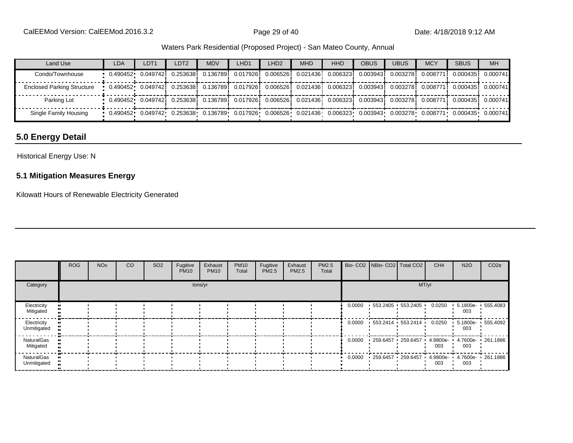| Land Use                          | <b>LDA</b>                                                                                                                                                                                      | LDT <sub>1</sub> | LDT <sub>2</sub> | <b>MDV</b> | LHD <sub>1</sub> | LHD <sub>2</sub> | <b>MHD</b> | <b>HHD</b> | <b>OBUS</b> | <b>UBUS</b> | <b>MCY</b> | <b>SBUS</b>                                                                                                                                    | <b>MH</b> |
|-----------------------------------|-------------------------------------------------------------------------------------------------------------------------------------------------------------------------------------------------|------------------|------------------|------------|------------------|------------------|------------|------------|-------------|-------------|------------|------------------------------------------------------------------------------------------------------------------------------------------------|-----------|
| Condo/Townhouse                   |                                                                                                                                                                                                 |                  |                  |            |                  |                  |            |            |             |             |            | $0.490452$ $0.049742$ $0.253638$ $0.136789$ $0.017926$ $0.006526$ $0.021436$ $0.006323$ $0.003943$ $0.003278$ $0.003771$ $0.000435$            | 0.000741  |
| <b>Enclosed Parking Structure</b> | $0.0490452 \cdot 0.049742 \cdot 0.253638 \cdot 0.136789 \cdot 0.017926 \cdot 0.006526 \cdot 0.021436 \cdot 0.006323 \cdot 0.003943 \cdot 0.003278 \cdot 0.008771 \cdot 0.000435 \cdot 0.000741$ |                  |                  |            |                  |                  |            |            |             |             |            |                                                                                                                                                |           |
| Parking Lot                       |                                                                                                                                                                                                 |                  |                  |            |                  |                  |            |            |             |             |            | $0.490452$ $0.049742$ $0.253638$ $0.136789$ $0.017926$ $0.006526$ $0.021436$ $0.006323$ $0.003943$ $0.003378$ $0.008771$ $0.000435$ $0.000741$ |           |
| Single Family Housing             | $-0.490452$ 0.049742 0.253638 0.136789 0.017926 0.006526 0.021436 0.006323 0.003943 0.003278 0.008771 0.000435 0.000741                                                                         |                  |                  |            |                  |                  |            |            |             |             |            |                                                                                                                                                |           |

# **5.0 Energy Detail**

#### Historical Energy Use: N

#### **5.1 Mitigation Measures Energy**

Kilowatt Hours of Renewable Electricity Generated

|                            | <b>ROG</b> | <b>NO<sub>x</sub></b> | CO | SO <sub>2</sub> | Fugitive<br><b>PM10</b> | Exhaust<br><b>PM10</b> | <b>PM10</b><br>Total | Fugitive<br>PM2.5 | Exhaust<br><b>PM2.5</b> | PM2.5<br>Total |        | Bio- CO2   NBio- CO2   Total CO2 |       | CH <sub>4</sub> | <b>N2O</b>      | CO <sub>2e</sub>  |
|----------------------------|------------|-----------------------|----|-----------------|-------------------------|------------------------|----------------------|-------------------|-------------------------|----------------|--------|----------------------------------|-------|-----------------|-----------------|-------------------|
| Category                   |            |                       |    |                 |                         | tons/yr                |                      |                   |                         |                |        |                                  | MT/yr |                 |                 |                   |
| Electricity<br>Mitigated   |            |                       |    |                 |                         |                        |                      |                   |                         |                |        | $0.0000$ 553.2405 553.2405       |       | 0.0250          | 5.1800e-<br>003 | $-555.4083$       |
| Electricity<br>Unmitigated |            |                       |    |                 |                         |                        |                      |                   |                         |                |        | $0.0000$ 553.2414 553.2414       |       | 0.0250          | 003             | 5.1800e- 555.4092 |
| NaturalGas<br>Mitigated    |            |                       |    |                 |                         |                        |                      |                   |                         |                | 0.0000 | 259.6457 259.6457                |       | 4.9800e-<br>003 | 4.7600e-<br>003 | .261.1886         |
| NaturalGas<br>Unmitigated  |            |                       |    |                 |                         |                        |                      |                   |                         |                | 0.0000 | 259.6457 259.6457                |       | 4.9800e-<br>003 | 003             | 4.7600e 261.1886  |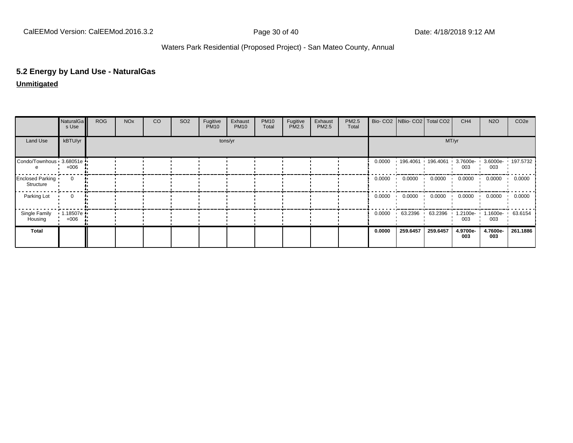# **5.2 Energy by Land Use - NaturalGas**

#### **Unmitigated**

|                               | NaturalGa<br>s Use | <b>ROG</b> | <b>NO<sub>x</sub></b> | CO | SO <sub>2</sub> | Fugitive<br><b>PM10</b> | Exhaust<br><b>PM10</b> | <b>PM10</b><br>Total | Fugitive<br>PM2.5 | Exhaust<br>PM2.5 | PM2.5<br>Total |        |                   | Bio- CO2   NBio- CO2   Total CO2 | CH <sub>4</sub> | <b>N2O</b>               | CO <sub>2e</sub> |
|-------------------------------|--------------------|------------|-----------------------|----|-----------------|-------------------------|------------------------|----------------------|-------------------|------------------|----------------|--------|-------------------|----------------------------------|-----------------|--------------------------|------------------|
| Land Use                      | kBTU/yr            |            |                       |    |                 |                         | tons/yr                |                      |                   |                  |                |        |                   |                                  | MT/yr           |                          |                  |
| Condo/Townhous 3.68051e       | $+006$             |            |                       |    |                 |                         |                        |                      |                   |                  |                | 0.0000 | 196.4061 196.4061 |                                  | 3.7600e-<br>003 | 3.6000e- 197.5732<br>003 |                  |
| Enclosed Parking<br>Structure | $\mathbf{0}$       |            |                       |    |                 |                         |                        |                      |                   |                  |                | 0.0000 | 0.0000            | 0.0000                           | 0.0000          | 0.0000                   | 0.0000           |
| Parking Lot                   | 0                  |            |                       |    |                 |                         |                        |                      |                   |                  |                | 0.0000 | 0.0000            | 0.0000                           | 0.0000          | 0.0000                   | 0.0000           |
| Single Family<br>Housing      | 1.18507e<br>$+006$ |            |                       |    |                 |                         |                        |                      |                   |                  |                | 0.0000 | 63.2396           | 63.2396                          | 1.2100e-<br>003 | 1.1600e-<br>003          | 63.6154          |
| Total                         |                    |            |                       |    |                 |                         |                        |                      |                   |                  |                | 0.0000 | 259.6457          | 259.6457                         | 4.9700e-<br>003 | 4.7600e-<br>003          | 261.1886         |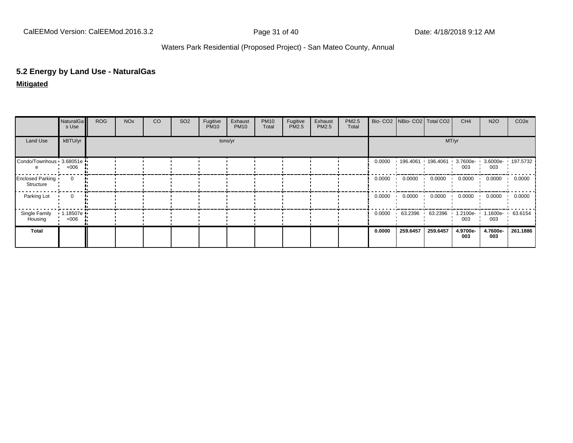# **5.2 Energy by Land Use - NaturalGas**

#### **Mitigated**

|                               | NaturalGa<br>s Use   | <b>ROG</b> | <b>NO<sub>x</sub></b> | CO | SO <sub>2</sub> | Fugitive<br><b>PM10</b> | Exhaust<br><b>PM10</b> | <b>PM10</b><br>Total | Fugitive<br>PM2.5 | Exhaust<br>PM2.5 | PM2.5<br>Total |        |           | Bio- CO2   NBio- CO2   Total CO2 | CH <sub>4</sub> | <b>N2O</b>               | CO <sub>2e</sub> |
|-------------------------------|----------------------|------------|-----------------------|----|-----------------|-------------------------|------------------------|----------------------|-------------------|------------------|----------------|--------|-----------|----------------------------------|-----------------|--------------------------|------------------|
| Land Use                      | kBTU/yr              |            |                       |    |                 |                         | tons/yr                |                      |                   |                  |                |        |           |                                  | MT/yr           |                          |                  |
| Condo/Townhous 3.68051e       | $+006$               |            |                       |    |                 |                         |                        |                      |                   |                  |                | 0.0000 |           | $196.4061$ 196.4061              | 3.7600e-<br>003 | 3.6000e- 197.5732<br>003 |                  |
| Enclosed Parking<br>Structure | 0                    |            |                       |    |                 |                         |                        |                      |                   |                  |                | 0.0000 | 0.0000    | 0.0000                           | 0.0000          | 0.0000                   | 0.0000           |
| Parking Lot                   | 0                    |            |                       |    |                 |                         |                        |                      |                   |                  |                | 0.0000 | 0.0000    | 0.0000                           | 0.0000          | 0.0000                   | 0.0000           |
| Single Family<br>Housing      | 1.18507e ·<br>$+006$ |            |                       |    |                 |                         |                        |                      |                   |                  |                | 0.0000 | 63.2396 ' | 63.2396                          | 1.2100e-<br>003 | 1.1600e-<br>003          | 63.6154          |
| Total                         |                      |            |                       |    |                 |                         |                        |                      |                   |                  |                | 0.0000 | 259.6457  | 259.6457                         | 4.9700e-<br>003 | 4.7600e-<br>003          | 261.1886         |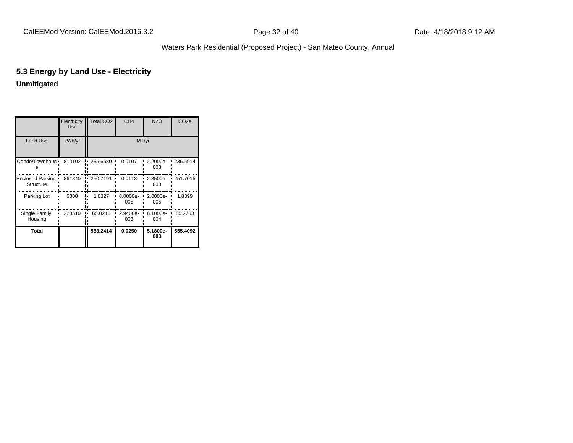# **5.3 Energy by Land Use - Electricity**

# **Unmitigated**

|                                      | Electricity<br>Use | <b>Total CO2</b> | CH <sub>4</sub> | <b>N2O</b>      | CO <sub>2e</sub> |
|--------------------------------------|--------------------|------------------|-----------------|-----------------|------------------|
| Land Use                             | kWh/yr             |                  |                 | MT/yr           |                  |
| Condo/Townhous ·                     | 810102             | 235.6680         | 0.0107          | 2.2000e-<br>003 | 236.5914         |
| <b>Enclosed Parking</b><br>Structure | 861840             | 250.7191         | 0.0113          | 2.3500e-<br>003 | 251.7015         |
| Parking Lot                          | 6300               | 1.8327           | 8.0000e-<br>005 | 2.0000e-<br>005 | 1.8399           |
| Single Family<br>Housing             | 223510             | 65.0215          | 2.9400e-<br>003 | 6.1000e-<br>004 | 65.2763          |
| Total                                |                    | 553.2414         | 0.0250          | 5.1800e-<br>003 | 555.4092         |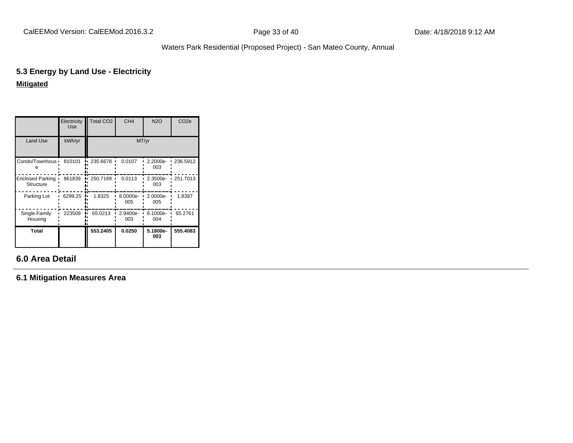# **5.3 Energy by Land Use - Electricity Mitigated**

|                               | Electricity<br>Use | Total CO <sub>2</sub> | CH <sub>4</sub> | <b>N2O</b>      | CO <sub>2e</sub> |
|-------------------------------|--------------------|-----------------------|-----------------|-----------------|------------------|
| Land Use                      | kWh/yr             |                       | MT/yr           |                 |                  |
| Condo/Townhous ·              | 810101             | 235.6678              | 0.0107          | 2.2000e-<br>003 | 236.5912         |
| Enclosed Parking<br>Structure | 861839             | 250.7189              | 0.0113          | 2.3500e-<br>003 | 251.7013         |
| Parking Lot                   | 6299.25            | 1.8325                | 8.0000e-<br>005 | 2.0000e-<br>005 | 1.8397           |
| Single Family<br>Housing      | 223509             | 65.0213               | 2.9400e-<br>003 | 6.1000e-<br>004 | 65.2761          |
| Total                         |                    | 553.2405              | 0.0250          | 5.1800e-<br>003 | 555.4083         |

# **6.0 Area Detail**

**6.1 Mitigation Measures Area**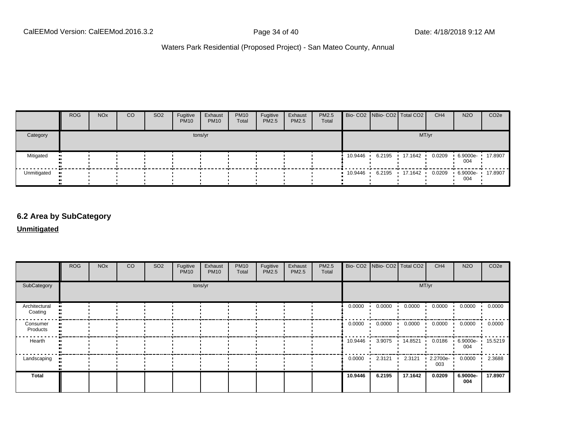|             | <b>ROG</b> | <b>NO<sub>x</sub></b> | CO | SO <sub>2</sub> | Fugitive<br><b>PM10</b> | Exhaust<br><b>PM10</b> | <b>PM10</b><br>Total | Fugitive<br>PM2.5 | Exhaust<br>PM2.5 | PM2.5<br>Total |           |        | Bio- CO2 NBio- CO2 Total CO2 | CH <sub>4</sub> | <b>N2O</b>              | CO <sub>2</sub> e |
|-------------|------------|-----------------------|----|-----------------|-------------------------|------------------------|----------------------|-------------------|------------------|----------------|-----------|--------|------------------------------|-----------------|-------------------------|-------------------|
| Category    |            |                       |    |                 |                         | tons/yr                |                      |                   |                  |                |           |        | MT/yr                        |                 |                         |                   |
| Mitigated   |            |                       |    |                 |                         |                        |                      |                   |                  |                | 10.9446   | 6.2195 | 17.1642                      | 0.0209          | 6.9000e- 17.8907<br>004 |                   |
| Unmitigated |            |                       |    |                 |                         |                        |                      |                   |                  |                | 10.9446 • | 6.2195 | 17.1642                      | 0.0209          | 6.9000e- 17.8907<br>004 |                   |

# **6.2 Area by SubCategory**

#### **Unmitigated**

|                          | <b>ROG</b> | <b>NO<sub>x</sub></b> | CO | SO <sub>2</sub> | Fugitive<br><b>PM10</b> | Exhaust<br><b>PM10</b> | <b>PM10</b><br>Total | Fugitive<br>PM2.5 | Exhaust<br>PM2.5 | PM2.5<br>Total |           | Bio- CO2   NBio- CO2   Total CO2 |         | CH <sub>4</sub> | <b>N2O</b>              | CO <sub>2e</sub> |
|--------------------------|------------|-----------------------|----|-----------------|-------------------------|------------------------|----------------------|-------------------|------------------|----------------|-----------|----------------------------------|---------|-----------------|-------------------------|------------------|
| SubCategory              |            |                       |    |                 |                         | tons/yr                |                      |                   |                  |                |           |                                  | MT/yr   |                 |                         |                  |
| Architectural<br>Coating |            |                       |    |                 |                         |                        |                      |                   |                  |                | 0.0000    | $0.0000$ $\rightarrow$           | 0.0000  | 0.0000          | 0.0000                  | 0.0000           |
| Consumer<br>Products     |            |                       |    |                 |                         |                        |                      |                   |                  |                | 0.0000    | $0.0000$ $\blacksquare$          | 0.0000  | 0.0000          | 0.0000                  | 0.0000           |
| Hearth                   |            |                       |    |                 |                         |                        |                      |                   |                  |                | 10.9446 • | 3.9075                           | 14.8521 | 0.0186          | 6.9000e- 15.5219<br>004 |                  |
| Landscaping              |            |                       |    |                 |                         |                        |                      |                   |                  |                | 0.0000    | 2.3121                           | 2.3121  | 2.2700e-<br>003 | 0.0000                  | 2.3688           |
| Total                    |            |                       |    |                 |                         |                        |                      |                   |                  |                | 10.9446   | 6.2195                           | 17.1642 | 0.0209          | 6.9000e-<br>004         | 17.8907          |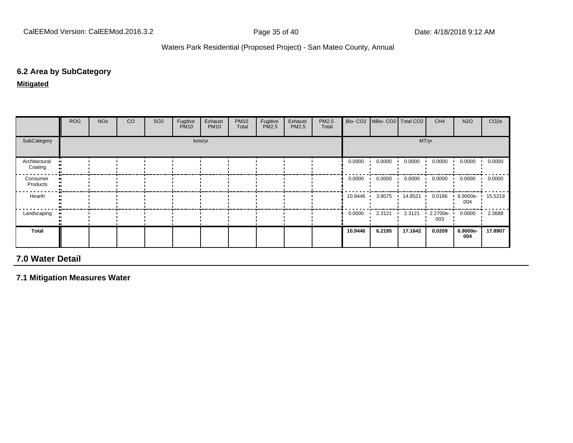#### **6.2 Area by SubCategory**

**Mitigated**

|                          | <b>ROG</b> | <b>NO<sub>x</sub></b> | CO | SO <sub>2</sub> | Fugitive<br><b>PM10</b> | Exhaust<br><b>PM10</b> | <b>PM10</b><br>Total | Fugitive<br>PM2.5 | Exhaust<br>PM2.5 | PM2.5<br>Total |           | Bio- CO2 NBio- CO2 Total CO2 |               | CH <sub>4</sub> | <b>N2O</b>              | CO <sub>2e</sub> |
|--------------------------|------------|-----------------------|----|-----------------|-------------------------|------------------------|----------------------|-------------------|------------------|----------------|-----------|------------------------------|---------------|-----------------|-------------------------|------------------|
| SubCategory              |            |                       |    |                 |                         | tons/yr                |                      |                   |                  |                |           |                              |               | MT/yr           |                         |                  |
| Architectural<br>Coating |            |                       |    |                 |                         |                        |                      |                   |                  |                | 0.0000    | 0.0000                       | 0.0000        | 0.0000          | 0.0000                  | 0.0000           |
| Consumer<br>Products     |            |                       |    |                 |                         |                        |                      |                   |                  |                | 0.0000    | 0.0000                       | 0.0000<br>. . | 0.0000          | 0.0000                  | 0.0000           |
| Hearth                   |            |                       |    |                 |                         |                        |                      |                   |                  |                | 10.9446 · | 3.9075                       | 14.8521       | 0.0186          | 6.9000e- 15.5219<br>004 |                  |
| Landscaping              |            |                       |    |                 |                         |                        |                      |                   |                  |                | 0.0000    | 2.3121<br>$\mathbf{r}$       | 2.3121        | 2.2700e-<br>003 | 0.0000                  | 2.3688           |
| Total                    |            |                       |    |                 |                         |                        |                      |                   |                  |                | 10.9446   | 6.2195                       | 17.1642       | 0.0209          | 6.9000e-<br>004         | 17.8907          |

# **7.0 Water Detail**

**7.1 Mitigation Measures Water**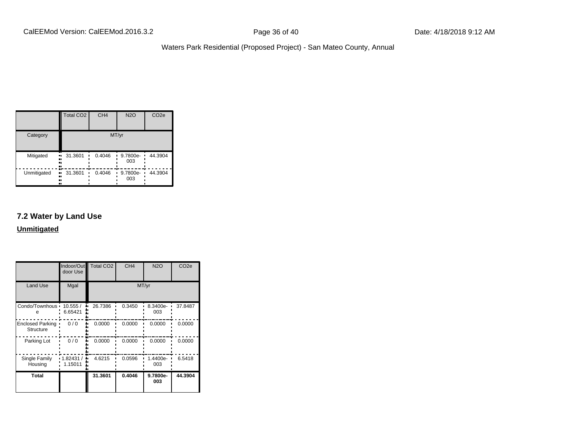|             | <b>Total CO2</b>          | CH <sub>4</sub> | <b>N2O</b>           | CO <sub>2e</sub> |
|-------------|---------------------------|-----------------|----------------------|------------------|
| Category    |                           |                 | MT/yr                |                  |
| Mitigated   | 31.3601<br>.,<br><br>     | 0.4046          | 9.7800e-<br>003      | 44.3904          |
| Unmitigated | 31.3601<br>.,<br><br><br> | 0.4046          | 9.7800e-<br>п<br>003 | 44.3904          |

# **7.2 Water by Land Use**

**Unmitigated**

|                                             | Indoor/Out<br>door Use | <b>Total CO2</b> | CH <sub>4</sub> | <b>N2O</b>      | CO <sub>2e</sub> |
|---------------------------------------------|------------------------|------------------|-----------------|-----------------|------------------|
| <b>Land Use</b>                             | Mgal                   |                  |                 | MT/yr           |                  |
| Condo/Townhous .<br>е                       | 10.555/<br>6.65421     | 26.7386          | 0.3450          | 8.3400e-<br>003 | 37.8487          |
| <b>Enclosed Parking</b><br><b>Structure</b> | 0/0                    | 0.0000           | 0.0000          | 0.0000          | 0.0000           |
| Parking Lot                                 | 0/0                    | 0.0000           | 0.0000          | 0.0000          | 0.0000           |
| Single Family<br>Housing                    | 1.82431/<br>1.15011    | 4.6215           | 0.0596          | 1.4400e-<br>003 | 6.5418           |
| <b>Total</b>                                |                        | 31.3601          | 0.4046          | 9.7800e-<br>003 | 44.3904          |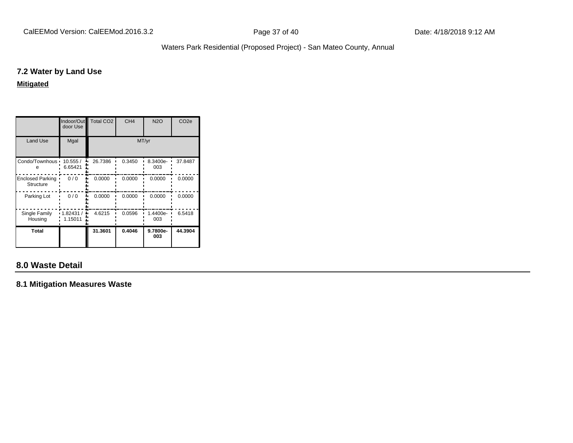#### **7.2 Water by Land Use**

**Mitigated**

|                                      | Indoor/Out<br>door Use | <b>Total CO2</b> | CH <sub>4</sub> | <b>N2O</b>      | CO <sub>2e</sub> |  |  |
|--------------------------------------|------------------------|------------------|-----------------|-----------------|------------------|--|--|
| <b>Land Use</b>                      | Mgal                   | MT/yr            |                 |                 |                  |  |  |
| Condo/Townhous •                     | 10.555/<br>6.65421     | 26.7386          | 0.3450          | 8.3400e-<br>003 | 37.8487          |  |  |
| <b>Enclosed Parking</b><br>Structure | 0/0                    | 0.0000           | 0.0000          | 0.0000          | 0.0000           |  |  |
| Parking Lot                          | 0/0                    | 0.0000           | 0.0000          | 0.0000          | 0.0000           |  |  |
| Single Family<br>Housing             | 1.82431 /<br>1.15011   | 4.6215           | 0.0596          | 1.4400e-<br>003 | 6.5418           |  |  |
| <b>Total</b>                         |                        | 31.3601          | 0.4046          | 9.7800e-<br>003 | 44.3904          |  |  |

# **8.0 Waste Detail**

**8.1 Mitigation Measures Waste**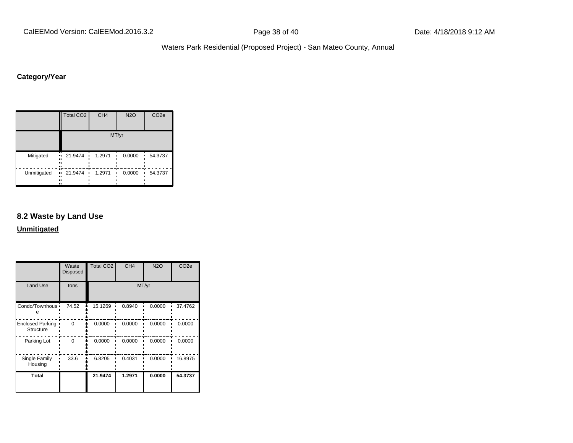# **Category/Year**

|             | Total CO <sub>2</sub>       | CH <sub>4</sub> | <b>N2O</b> | CO <sub>2e</sub> |
|-------------|-----------------------------|-----------------|------------|------------------|
|             |                             |                 | MT/yr      |                  |
| Mitigated   | 21.9474<br>.,<br><br><br>   | 1.2971          | 0.0000     | 54.3737<br>п     |
| Unmitigated | 21.9474<br>.,<br><br><br>., | 1.2971          | 0.0000     | 54.3737          |

#### **8.2 Waste by Land Use**

**Unmitigated**

|                                             | Waste<br>Disposed | Total CO <sub>2</sub> | CH <sub>4</sub> | <b>N2O</b> | CO <sub>2e</sub> |
|---------------------------------------------|-------------------|-----------------------|-----------------|------------|------------------|
| <b>Land Use</b>                             | tons              |                       |                 | MT/yr      |                  |
| Condo/Townhous .<br>е                       | 74.52             | 15.1269               | 0.8940          | 0.0000     | 37.4762          |
| <b>Enclosed Parking</b><br><b>Structure</b> | 0                 | 0.0000                | 0.0000          | 0.0000     | 0.0000           |
| Parking Lot                                 | 0                 | 0.0000                | 0.0000          | 0.0000     | 0.0000           |
| Single Family<br>Housing                    | 33.6              | 6.8205                | 0.4031          | 0.0000     | 16.8975          |
| <b>Total</b>                                |                   | 21.9474               | 1.2971          | 0.0000     | 54.3737          |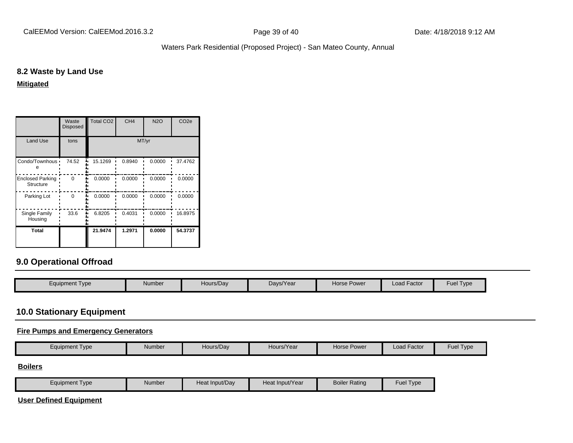#### **8.2 Waste by Land Use**

**Mitigated**

|                                      | Waste<br><b>Disposed</b> | <b>Total CO2</b> | CH <sub>4</sub> | <b>N2O</b> | CO <sub>2e</sub> |  |  |
|--------------------------------------|--------------------------|------------------|-----------------|------------|------------------|--|--|
| <b>Land Use</b>                      | tons                     | MT/yr            |                 |            |                  |  |  |
| Condo/Townhous •                     | 74.52                    | 15.1269          | 0.8940          | 0.0000     | 37.4762          |  |  |
| <b>Enclosed Parking</b><br>Structure | $\Omega$                 | 0.0000           | 0.0000          | 0.0000     | 0.0000           |  |  |
| Parking Lot                          | ∩                        | 0.0000           | 0.0000          | 0.0000     | 0.0000           |  |  |
| Single Family<br>Housing             | 33.6                     | 6.8205           | 0.4031          | 0.0000     | 16.8975          |  |  |
| Total                                |                          | 21.9474          | 1.2971          | 0.0000     | 54.3737          |  |  |

# **9.0 Operational Offroad**

| Equipment Type | Number | Hours/Dav | Days/Year | Horse Power | Load Factor | <b>Fuel Type</b> |
|----------------|--------|-----------|-----------|-------------|-------------|------------------|
|                |        |           |           |             |             |                  |

### **10.0 Stationary Equipment**

#### **Fire Pumps and Emergency Generators**

|  | Equipment Type | Number | Hours/Dav | Hours/Year | Horse Power | $\cdot$ $-$<br>Factor<br>∟oad l | $-uei$<br>I ype |
|--|----------------|--------|-----------|------------|-------------|---------------------------------|-----------------|
|--|----------------|--------|-----------|------------|-------------|---------------------------------|-----------------|

#### **Boilers**

| Equipment Type | Number | Heat Input/Dav | Heat Input/Year | <b>Boiler Rating</b> | Fuel $\tau$<br>Tvpe |
|----------------|--------|----------------|-----------------|----------------------|---------------------|
|----------------|--------|----------------|-----------------|----------------------|---------------------|

**User Defined Equipment**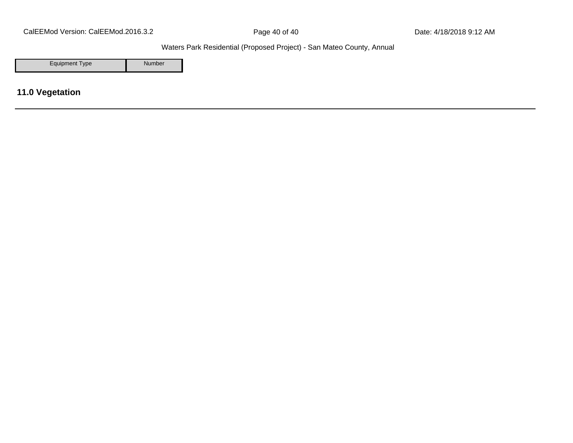CalEEMod Version: CalEEMod.2016.3.2 **Page 40 of 40** Page 40 of 40 Date: 4/18/2018 9:12 AM

Waters Park Residential (Proposed Project) - San Mateo County, Annual

Equipment Type Number

**11.0 Vegetation**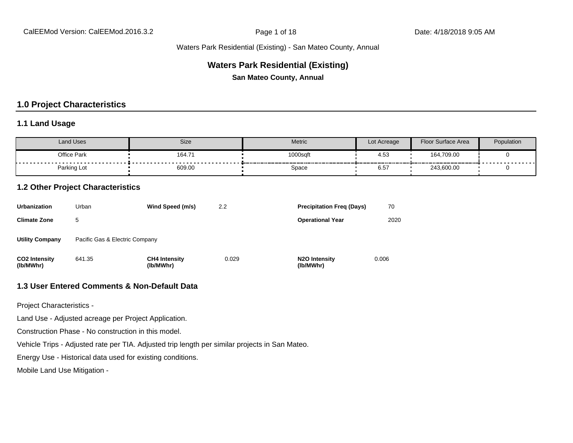#### **Waters Park Residential (Existing)**

**San Mateo County, Annual**

# **1.0 Project Characteristics**

#### **1.1 Land Usage**

| Land Uses   | Size        | <b>Metric</b> | Lot Acreage       | Floor Surface Area                          | Population |
|-------------|-------------|---------------|-------------------|---------------------------------------------|------------|
| Office Park | 164.71      | 1000sqft      | 4.53              | 164,709.00                                  |            |
| Parking Lot | .<br>609.00 | Space         | $\sim$ $-$<br>6.5 | _____________________________<br>243,600.00 | .          |

#### **1.2 Other Project Characteristics**

| <b>Urbanization</b>               | Urban                          | Wind Speed (m/s)                  | 2.2   | <b>Precipitation Freg (Days)</b>        | 70    |
|-----------------------------------|--------------------------------|-----------------------------------|-------|-----------------------------------------|-------|
| <b>Climate Zone</b>               | 5                              |                                   |       | <b>Operational Year</b>                 | 2020  |
| <b>Utility Company</b>            | Pacific Gas & Electric Company |                                   |       |                                         |       |
| <b>CO2 Intensity</b><br>(lb/MWhr) | 641.35                         | <b>CH4 Intensity</b><br>(lb/MWhr) | 0.029 | N <sub>2</sub> O Intensity<br>(lb/MWhr) | 0.006 |

#### **1.3 User Entered Comments & Non-Default Data**

Project Characteristics -

Land Use - Adjusted acreage per Project Application.

Construction Phase - No construction in this model.

Vehicle Trips - Adjusted rate per TIA. Adjusted trip length per similar projects in San Mateo.

Energy Use - Historical data used for existing conditions.

Mobile Land Use Mitigation -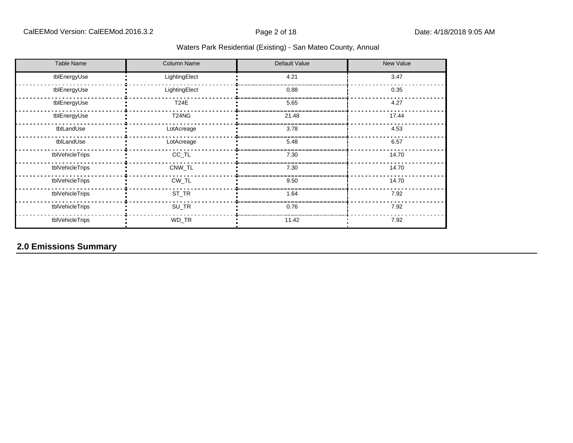| <b>Table Name</b> | <b>Column Name</b> | Default Value | New Value |
|-------------------|--------------------|---------------|-----------|
| tblEnergyUse      | LightingElect      | 4.21          | 3.47      |
| tblEnergyUse      | LightingElect      | 0.88          | 0.35      |
| tblEnergyUse      | <b>T24E</b>        | 5.65          | 4.27      |
| tblEnergyUse      | T24NG              | 21.48         | 17.44     |
| tblLandUse        | LotAcreage         | 3.78          | 4.53      |
| tblLandUse        | LotAcreage         | 5.48          | 6.57      |
| tblVehicleTrips   | CC_TL              | 7.30          | 14.70     |
| tblVehicleTrips   | CNW_TL             | 7.30          | 14.70     |
| tblVehicleTrips   | $CW_TL$            | 9.50          | 14.70     |
| tblVehicleTrips   | ST_TR              | 1.64          | 7.92      |
| tblVehicleTrips   | SU_TR              | 0.76          | 7.92      |
| tblVehicleTrips   | WD_TR              | 11.42         | 7.92      |

# **2.0 Emissions Summary**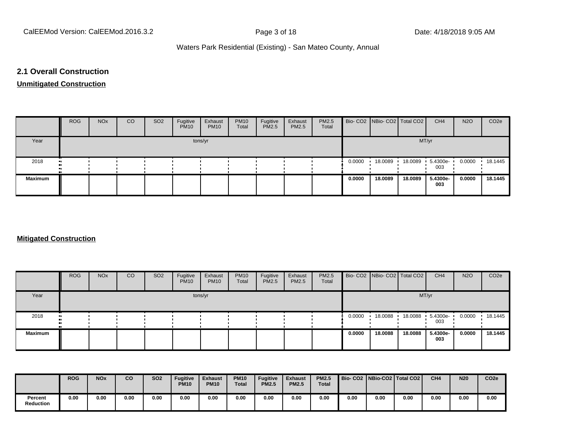#### **2.1 Overall Construction**

# **Unmitigated Construction**

|                | <b>ROG</b> | <b>NO<sub>x</sub></b> | CO | SO <sub>2</sub> | Fugitive<br><b>PM10</b> | Exhaust<br><b>PM10</b> | <b>PM10</b><br>Total | Fugitive<br>PM2.5 | Exhaust<br>PM2.5 | PM2.5<br>Total |        | Bio- CO2   NBio- CO2   Total CO2 |         | CH <sub>4</sub>          | <b>N2O</b> | CO <sub>2</sub> e |
|----------------|------------|-----------------------|----|-----------------|-------------------------|------------------------|----------------------|-------------------|------------------|----------------|--------|----------------------------------|---------|--------------------------|------------|-------------------|
| Year           |            |                       |    |                 |                         | tons/yr                |                      |                   |                  |                |        |                                  | MT/yr   |                          |            |                   |
| 2018           |            |                       |    |                 |                         |                        |                      |                   |                  |                | 0.0000 | 18.0089                          |         | 18.0089  5.4300e-<br>003 | 0.0000     | 18.1445           |
| <b>Maximum</b> |            |                       |    |                 |                         |                        |                      |                   |                  |                | 0.0000 | 18.0089                          | 18,0089 | 5.4300e-<br>003          | 0.0000     | 18.1445           |

#### **Mitigated Construction**

|                | <b>ROG</b> | <b>NO<sub>x</sub></b> | CO | SO <sub>2</sub> | Fugitive<br><b>PM10</b> | Exhaust<br><b>PM10</b> | <b>PM10</b><br>Total | Fugitive<br><b>PM2.5</b> | Exhaust<br>PM2.5 | PM2.5<br>Total |        | Bio- CO2   NBio- CO2   Total CO2 |         | CH <sub>4</sub> | <b>N2O</b> | CO <sub>2e</sub> |
|----------------|------------|-----------------------|----|-----------------|-------------------------|------------------------|----------------------|--------------------------|------------------|----------------|--------|----------------------------------|---------|-----------------|------------|------------------|
| Year           |            |                       |    |                 |                         | tons/yr                |                      |                          |                  |                |        |                                  | MT/yr   |                 |            |                  |
| 2018           |            |                       |    |                 |                         |                        |                      |                          |                  |                | 0.0000 | 18.0088                          | 18.0088 | 5.4300e-<br>003 | 0.0000     | 18.1445          |
| <b>Maximum</b> |            |                       |    |                 |                         |                        |                      |                          |                  |                | 0.0000 | 18.0088                          | 18,0088 | 5.4300e-<br>003 | 0.0000     | 18.1445          |

|                             | <b>ROG</b> | <b>NO<sub>x</sub></b> | co   | <b>SO2</b> | <b>Fugitive</b><br><b>PM10</b> | <b>Exhaust</b><br><b>PM10</b> | <b>PM10</b><br><b>Total</b> | <b>Fugitive</b><br><b>PM2.5</b> | <b>Exhaust</b><br><b>PM2.5</b> | <b>PM2.5</b><br><b>Total</b> | Bio- CO2   NBio-CO2   Total CO2 |      |      | CH <sub>4</sub> | <b>N20</b> | CO <sub>2e</sub> |
|-----------------------------|------------|-----------------------|------|------------|--------------------------------|-------------------------------|-----------------------------|---------------------------------|--------------------------------|------------------------------|---------------------------------|------|------|-----------------|------------|------------------|
| Percent<br><b>Reduction</b> | 0.00       | 0.00                  | 0.00 | 0.00       | 0.00                           | 0.00                          | 0.00                        | 0.00                            | 0.00                           | 0.00                         | 0.00                            | 0.00 | 0.00 | 0.00            | 0.00       | 0.00             |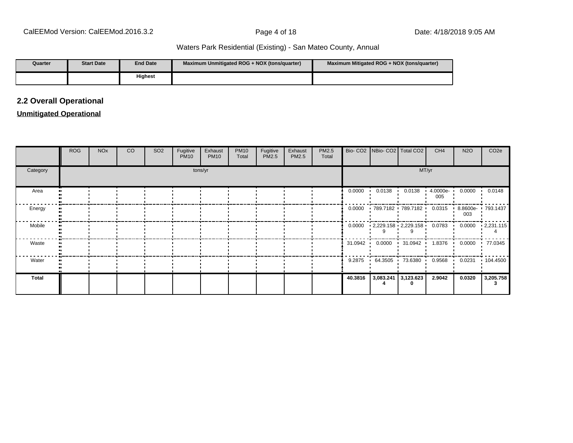| Quarter | <b>Start Date</b> | <b>End Date</b> | Maximum Unmitigated ROG + NOX (tons/quarter) | Maximum Mitigated ROG + NOX (tons/guarter) |
|---------|-------------------|-----------------|----------------------------------------------|--------------------------------------------|
|         |                   | <b>Highest</b>  |                                              |                                            |

# **2.2 Overall Operational**

#### **Unmitigated Operational**

|          | <b>ROG</b> | <b>NO<sub>x</sub></b> | CO | SO <sub>2</sub> | Fugitive<br><b>PM10</b> | Exhaust<br><b>PM10</b> | <b>PM10</b><br>Total | Fugitive<br>PM2.5 | Exhaust<br>PM2.5 | PM2.5<br>Total |         | Bio- CO2   NBio- CO2   Total CO2                           |                        | CH <sub>4</sub> | <b>N2O</b> | CO <sub>2e</sub>                                                                             |
|----------|------------|-----------------------|----|-----------------|-------------------------|------------------------|----------------------|-------------------|------------------|----------------|---------|------------------------------------------------------------|------------------------|-----------------|------------|----------------------------------------------------------------------------------------------|
| Category |            |                       |    |                 |                         | tons/yr                |                      |                   |                  |                |         |                                                            |                        | MT/yr           |            |                                                                                              |
| Area     |            |                       |    |                 |                         |                        |                      |                   |                  |                | 0.0000  | 0.0138                                                     | 0.0138<br>$\mathbf{I}$ | 4.0000e-<br>005 | 0.0000     | 0.0148                                                                                       |
| Energy   |            |                       |    |                 |                         |                        |                      |                   |                  |                |         | 0.0000 · 789.7182 · 789.7182 · 0.0315 · 8.8600e · 793.1437 |                        |                 | 003        |                                                                                              |
| Mobile   |            |                       |    |                 |                         |                        |                      |                   |                  |                |         |                                                            |                        |                 |            | $0.0000$ $\cdot$ 2,229.158 $\cdot$ 2,229.158 $\cdot$ 0.0783 $\cdot$ 0.0000 $\cdot$ 2,231.115 |
| Waste    |            |                       |    |                 |                         |                        |                      |                   |                  |                |         |                                                            |                        |                 |            |                                                                                              |
| Water    |            |                       |    |                 |                         |                        |                      |                   |                  |                | 9.2875  | $\cdot$ 64.3505 73.6380 0.9568 0.0231                      |                        |                 |            | 104.4500                                                                                     |
| Total    |            |                       |    |                 |                         |                        |                      |                   |                  |                | 40.3816 |                                                            | $3,083.241$ 3,123.623  | 2.9042          | 0.0320     | 3,205.758                                                                                    |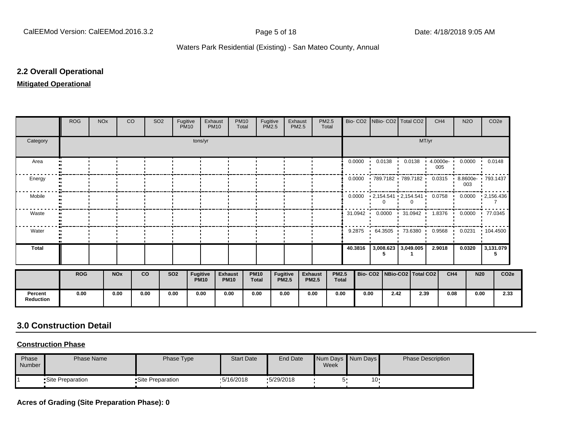#### **2.2 Overall Operational**

#### **Mitigated Operational**

|                             | <b>ROG</b> | <b>NO<sub>x</sub></b> | CO <sub>2</sub>       | SO <sub>2</sub> | Fugitive   | <b>PM10</b>             | Exhaust<br><b>PM10</b>        | <b>PM10</b><br>Total | Fugitive<br><b>PM2.5</b>    |                                 | Exhaust<br>PM2.5               | PM2.5<br>Total |                              |         | Bio- CO2   NBio- CO2   Total CO2                        |       | CH <sub>4</sub> | <b>N2O</b> |            | CO <sub>2e</sub> |
|-----------------------------|------------|-----------------------|-----------------------|-----------------|------------|-------------------------|-------------------------------|----------------------|-----------------------------|---------------------------------|--------------------------------|----------------|------------------------------|---------|---------------------------------------------------------|-------|-----------------|------------|------------|------------------|
| Category                    |            |                       |                       |                 |            | tons/yr                 |                               |                      |                             |                                 |                                |                |                              |         |                                                         | MT/yr |                 |            |            |                  |
| Area                        |            |                       |                       |                 |            |                         |                               |                      |                             |                                 |                                |                |                              |         | $0.0000$ $0.0138$ $0.0138$ $4.0000e$ $0.0000$ $0.0148$  |       | 005             |            |            |                  |
| Energy                      |            |                       |                       |                 |            |                         |                               |                      |                             |                                 |                                |                |                              | 0.0000  | 789.7182 789.7182 0.0315 8.8600e 793.1437               |       |                 | 003        |            |                  |
| Mobile                      |            |                       |                       |                 |            |                         |                               |                      |                             |                                 |                                |                |                              |         | 0.0000  2,154.541  2,154.541  0.0758  0.0000  2,156.436 |       |                 |            |            |                  |
| Waste                       |            |                       |                       |                 |            |                         |                               |                      |                             |                                 |                                |                |                              |         | 31.0942 0.0000 31.0942 1.8376 0.0000 77.0345            |       |                 |            |            |                  |
| Water                       |            |                       |                       |                 |            |                         |                               |                      |                             |                                 |                                |                |                              |         | 9.2875 64.3505 73.6380 0.9568 0.0231 104.4500           |       |                 |            |            |                  |
| <b>Total</b>                |            |                       |                       |                 |            |                         |                               |                      |                             |                                 |                                |                |                              | 40.3816 | $3,008.623$   3,049.005  <br>5                          |       | 2.9018          | 0.0320     |            | 3,131.079<br>5   |
|                             | <b>ROG</b> |                       | <b>NO<sub>x</sub></b> | <b>CO</b>       | <b>SO2</b> | Fugitive<br><b>PM10</b> | <b>Exhaust</b><br><b>PM10</b> |                      | <b>PM10</b><br><b>Total</b> | <b>Fugitive</b><br><b>PM2.5</b> | <b>Exhaust</b><br><b>PM2.5</b> |                | <b>PM2.5</b><br><b>Total</b> |         | Bio- CO2   NBio-CO2   Total CO2                         |       | CH <sub>4</sub> |            | <b>N20</b> | CO <sub>2e</sub> |
| Percent<br><b>Reduction</b> | 0.00       |                       | 0.00                  | 0.00            | 0.00       | 0.00                    | 0.00                          |                      | 0.00                        | 0.00                            | 0.00                           |                | 0.00                         | 0.00    | 2.42                                                    | 2.39  | 0.08            |            | 0.00       | 2.33             |

# **3.0 Construction Detail**

# **Construction Phase**

| Phase<br>Number | <b>Phase Name</b>  | Phase Type         | <b>Start Date</b> | <b>End Date</b> | Week | Num Days Num Days | <b>Phase Description</b> |
|-----------------|--------------------|--------------------|-------------------|-----------------|------|-------------------|--------------------------|
|                 | • Site Preparation | • Site Preparation | $\cdot$ 5/16/2018 | .5/29/2018      |      | 10'               |                          |

**Acres of Grading (Site Preparation Phase): 0**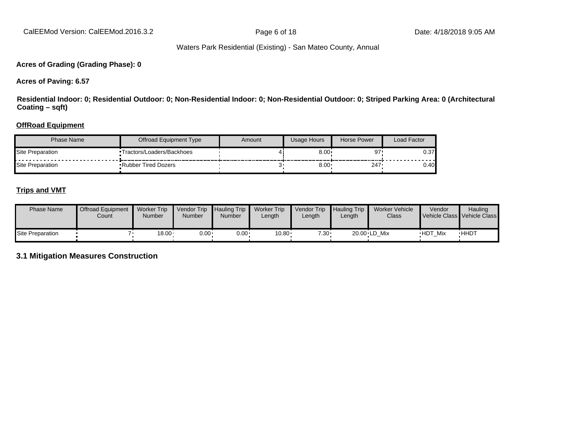CalEEMod Version: CalEEMod.2016.3.2 **Page 6 of 18** Page 6 of 18 Date: 4/18/2018 9:05 AM

#### Waters Park Residential (Existing) - San Mateo County, Annual

#### **Acres of Grading (Grading Phase): 0**

**Acres of Paving: 6.57**

**Residential Indoor: 0; Residential Outdoor: 0; Non-Residential Indoor: 0; Non-Residential Outdoor: 0; Striped Parking Area: 0 (Architectural Coating – sqft)**

#### **OffRoad Equipment**

| Phase Name       | Offroad Equipment Type     | Amount | Usage Hours  | Horse Power | Load Factor |
|------------------|----------------------------|--------|--------------|-------------|-------------|
| Site Preparation | Tractors/Loaders/Backhoes  |        | 8.00         | 97          | 0.37        |
| Site Preparation | <b>Rubber Tired Dozers</b> |        | $8.00 \cdot$ | 247         | 0.40        |

#### **Trips and VMT**

| <b>Phase Name</b> | <b>Offroad Equipment</b><br>Count | <b>Worker Trip</b><br>Number | Vendor Trip<br><b>Number</b> | <b>Hauling Trip</b><br>Number | <b>Worker Trip</b><br>Length | Vendor Trip<br>Length | Hauling Trip<br>∟ength | Worker Vehicle<br>Class | Vendor         | <b>Hauling</b><br>Vehicle Class Vehicle Class |
|-------------------|-----------------------------------|------------------------------|------------------------------|-------------------------------|------------------------------|-----------------------|------------------------|-------------------------|----------------|-----------------------------------------------|
| Site Preparation  |                                   | $18.00 \cdot$                | $0.00 \cdot$                 | $0.00 \cdot$                  | 10.80                        | $7.30 \cdot$          |                        | 20.00 LD Mix            | <b>HDT Mix</b> | <b>HHDT</b>                                   |

**3.1 Mitigation Measures Construction**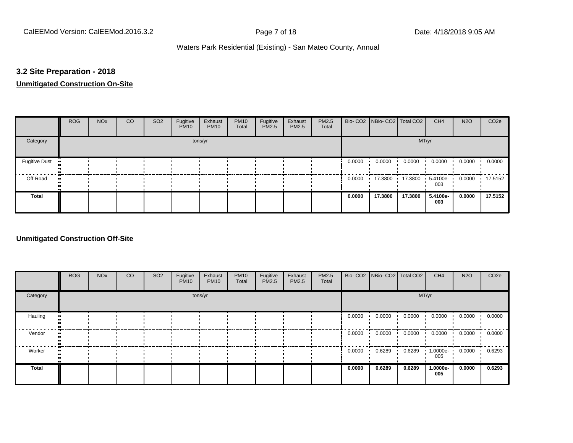#### **3.2 Site Preparation - 2018**

# **Unmitigated Construction On-Site**

|                      | <b>ROG</b> | <b>NO<sub>x</sub></b> | CO | SO <sub>2</sub> | Fugitive<br><b>PM10</b> | Exhaust<br><b>PM10</b> | <b>PM10</b><br>Total | Fugitive<br>PM2.5 | Exhaust<br>PM2.5 | PM2.5<br>Total |        |         | Bio- CO2 NBio- CO2 Total CO2 | CH <sub>4</sub>    | <b>N2O</b> | CO <sub>2e</sub> |
|----------------------|------------|-----------------------|----|-----------------|-------------------------|------------------------|----------------------|-------------------|------------------|----------------|--------|---------|------------------------------|--------------------|------------|------------------|
| Category             |            |                       |    |                 |                         | tons/yr                |                      |                   |                  |                |        |         | MT/yr                        |                    |            |                  |
| <b>Fugitive Dust</b> |            |                       |    |                 |                         |                        |                      |                   |                  |                | 0.0000 | 0.0000  | 0.0000                       | 0.0000             | 0.0000     | 0.0000           |
| Off-Road             |            |                       |    |                 |                         |                        |                      |                   |                  |                | 0.0000 | 17.3800 | 17.3800                      | $.54100e -$<br>003 | 0.0000     | $\cdot$ 17.5152  |
| Total                |            |                       |    |                 |                         |                        |                      |                   |                  |                | 0.0000 | 17.3800 | 17.3800                      | 5.4100e-<br>003    | 0.0000     | 17.5152          |

#### **Unmitigated Construction Off-Site**

|          | <b>ROG</b> | <b>NO<sub>x</sub></b> | CO | SO <sub>2</sub> | Fugitive<br><b>PM10</b> | Exhaust<br><b>PM10</b> | <b>PM10</b><br>Total | Fugitive<br><b>PM2.5</b> | Exhaust<br>PM2.5 | PM2.5<br>Total |        | Bio- CO2   NBio- CO2   Total CO2 |        | CH <sub>4</sub>    | <b>N2O</b> | CO <sub>2e</sub> |
|----------|------------|-----------------------|----|-----------------|-------------------------|------------------------|----------------------|--------------------------|------------------|----------------|--------|----------------------------------|--------|--------------------|------------|------------------|
| Category |            |                       |    |                 |                         | tons/yr                |                      |                          |                  |                | MT/yr  |                                  |        |                    |            |                  |
| Hauling  |            |                       |    |                 |                         |                        |                      |                          |                  |                | 0.0000 | 0.0000                           | 0.0000 | 0.0000             | 0.0000     | 0.0000           |
| Vendor   |            |                       |    |                 |                         |                        |                      |                          |                  |                | 0.0000 | 0.0000                           | 0.0000 | 0.0000             | 0.0000     | 0.0000           |
| Worker   |            |                       |    |                 |                         |                        |                      |                          |                  |                | 0.0000 | 0.6289                           | 0.6289 | $1.0000e -$<br>005 | 0.0000     | 0.6293           |
| Total    |            |                       |    |                 |                         |                        |                      |                          |                  |                | 0.0000 | 0.6289                           | 0.6289 | 1.0000e-<br>005    | 0.0000     | 0.6293           |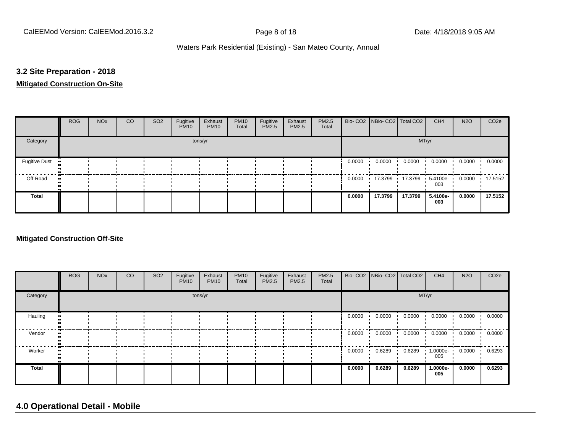#### **3.2 Site Preparation - 2018**

#### **Mitigated Construction On-Site**

|                      | <b>ROG</b> | <b>NO<sub>x</sub></b> | CO | SO <sub>2</sub> | Fugitive<br><b>PM10</b> | Exhaust<br><b>PM10</b> | <b>PM10</b><br>Total | Fugitive<br>PM2.5 | Exhaust<br>PM2.5 | PM2.5<br>Total |        |         | Bio- CO2 NBio- CO2 Total CO2 | CH <sub>4</sub>    | <b>N2O</b> | CO <sub>2e</sub> |  |  |
|----------------------|------------|-----------------------|----|-----------------|-------------------------|------------------------|----------------------|-------------------|------------------|----------------|--------|---------|------------------------------|--------------------|------------|------------------|--|--|
| Category             | tons/yr    |                       |    |                 |                         |                        |                      |                   |                  |                |        | MT/yr   |                              |                    |            |                  |  |  |
| <b>Fugitive Dust</b> |            |                       |    |                 |                         |                        |                      |                   |                  |                | 0.0000 | 0.0000  | 0.0000                       | 0.0000             | 0.0000     | 0.0000           |  |  |
| Off-Road             |            |                       |    |                 |                         |                        |                      |                   |                  |                | 0.0000 | 17.3799 | 17.3799<br>$\cdot$           | $5.4100e -$<br>003 | 0.0000     | $\cdot$ 17.5152  |  |  |
| Total                |            |                       |    |                 |                         |                        |                      |                   |                  |                | 0.0000 | 17.3799 | 17.3799                      | 5.4100e-<br>003    | 0.0000     | 17.5152          |  |  |

#### **Mitigated Construction Off-Site**

|              | <b>ROG</b> | <b>NO<sub>x</sub></b> | CO | SO <sub>2</sub> | Fugitive<br><b>PM10</b> | Exhaust<br><b>PM10</b> | <b>PM10</b><br>Total | Fugitive<br><b>PM2.5</b> | Exhaust<br><b>PM2.5</b> | PM2.5<br>Total |        | Bio- CO2   NBio- CO2   Total CO2 |        | CH <sub>4</sub> | <b>N2O</b> | CO <sub>2e</sub> |  |  |  |
|--------------|------------|-----------------------|----|-----------------|-------------------------|------------------------|----------------------|--------------------------|-------------------------|----------------|--------|----------------------------------|--------|-----------------|------------|------------------|--|--|--|
| Category     | tons/yr    |                       |    |                 |                         |                        |                      |                          |                         |                |        | MT/yr                            |        |                 |            |                  |  |  |  |
| Hauling      |            |                       |    |                 |                         |                        |                      |                          |                         |                | 0.0000 | 0.0000                           | 0.0000 | 0.0000          | 0.0000     | 0.0000           |  |  |  |
| Vendor       |            |                       |    |                 |                         |                        |                      |                          |                         |                | 0.0000 | 0.0000                           | 0.0000 | 0.0000          | 0.0000     | 0.0000           |  |  |  |
| Worker       |            |                       |    |                 |                         |                        |                      |                          |                         |                | 0.0000 | 0.6289                           | 0.6289 | 1.0000e-<br>005 | 0.0000     | 0.6293           |  |  |  |
| <b>Total</b> |            |                       |    |                 |                         |                        |                      |                          |                         |                | 0.0000 | 0.6289                           | 0.6289 | 1.0000e-<br>005 | 0.0000     | 0.6293           |  |  |  |

# **4.0 Operational Detail - Mobile**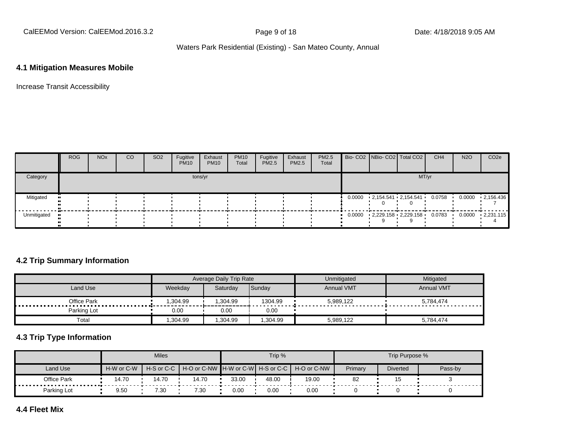CalEEMod Version: CalEEMod.2016.3.2 **Page 9 of 18** Page 9 of 18 Date: 4/18/2018 9:05 AM

#### Waters Park Residential (Existing) - San Mateo County, Annual

#### **4.1 Mitigation Measures Mobile**

Increase Transit Accessibility

|             | <b>ROG</b> | <b>NO<sub>x</sub></b> | CO | SO <sub>2</sub> | Fugitive<br><b>PM10</b> | Exhaust<br><b>PM10</b> | <b>PM10</b><br>Total | Fugitive<br>PM2.5 | Exhaust<br>PM2.5 | PM2.5<br>Total |       |  | Bio- CO2 NBio- CO2 Total CO2    | CH <sub>4</sub> | <b>N2O</b> | CO <sub>2e</sub>  |  |
|-------------|------------|-----------------------|----|-----------------|-------------------------|------------------------|----------------------|-------------------|------------------|----------------|-------|--|---------------------------------|-----------------|------------|-------------------|--|
| Category    | tons/yr    |                       |    |                 |                         |                        |                      |                   |                  |                | MT/yr |  |                                 |                 |            |                   |  |
| Mitigated   |            |                       |    |                 |                         |                        |                      |                   |                  |                |       |  | $0.0000$ 2,154.541  2,154.541 · | 0.0758          | 0.0000     | $-2,156.436$      |  |
| Unmitigated |            |                       |    |                 |                         |                        |                      |                   |                  |                |       |  | $0.0000$ 2,229.158 2,229.158    | 0.0783          | 0.0000     | $\cdot$ 2,231.115 |  |

#### **4.2 Trip Summary Information**

|                 |                     | Average Daily Trip Rate |         | Unmitigated       | Mitigated              |
|-----------------|---------------------|-------------------------|---------|-------------------|------------------------|
| Land Use        | Weekdav<br>Saturdav |                         | Sunday  | <b>Annual VMT</b> | <b>Annual VMT</b>      |
| Office Park<br> | .304.99             | .304.99                 | 1304.99 | 5.989.122         | 5,784,474<br>--------- |
| Parking Lot     | 0.00                | 0.00                    | 0.00    |                   |                        |
| Total           | .304.99             | ,304.99                 | .304.99 | 5,989,122         | 5.784.474              |

#### **4.3 Trip Type Information**

|                      |            | <b>Miles</b>     |                                                     |       | Trip % |       | Trip Purpose % |                 |         |  |  |  |
|----------------------|------------|------------------|-----------------------------------------------------|-------|--------|-------|----------------|-----------------|---------|--|--|--|
| Land Use             | H-W or C-W | $H-S$ or $C$ $C$ | │ H-O or C-NW ┃H-W or C-W┃ H-S or C-C ┃ H-O or C-NW |       |        |       | Primary        | <b>Diverted</b> | Pass-by |  |  |  |
| Office Park<br><br>. | 14.70      | 14.70            | 14.70                                               | 33.00 | 48.00  | 19.00 | 82             |                 |         |  |  |  |
| Parking Lot          | 9.50       | 7.30             | 7.30                                                | 0.00  | 0.00   | 0.00  |                |                 |         |  |  |  |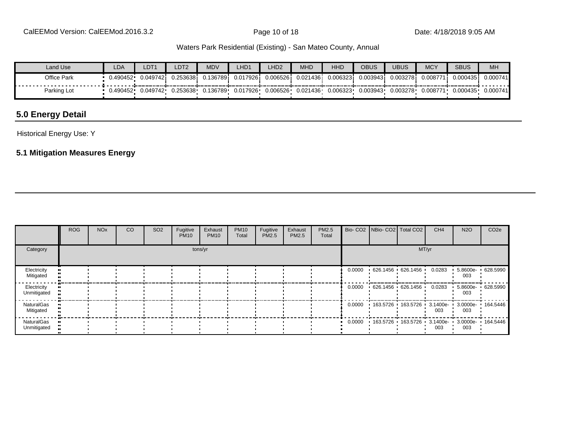CalEEMod Version: CalEEMod.2016.3.2 **Page 10 of 18** Page 10 of 18 Date: 4/18/2018 9:05 AM

#### Waters Park Residential (Existing) - San Mateo County, Annual

| Land Use           | LDA      | LDT <sup>1</sup> | LDT <sub>2</sub> | <b>MDV</b> | LHD1     | LHD2     | <b>MHD</b> | <b>HHD</b> | OBUS      | <b>UBUS</b> | <b>MCY</b> | <b>SBUS</b> | MH       |
|--------------------|----------|------------------|------------------|------------|----------|----------|------------|------------|-----------|-------------|------------|-------------|----------|
| <b>Office Park</b> | 0.490452 | 0.0497421        | 0.2536381        | 0.1367891  | 0.017926 | 0.006526 | 0.021436   | 0.006323   | 0.003943i | 0.003278    | 0.00877'   | 0.000435    | 0.000741 |
| Parking Lot        | 0.490452 | 0.049742         | 0.253638         | 0.136789   | 0.017926 | 0.006526 | 0.021436   | 0.006323   | 0.003943  | 0.003278    | 0.008771   | 0.000435    | 0.000741 |

# **5.0 Energy Detail**

Historical Energy Use: Y

#### **5.1 Mitigation Measures Energy**

|                            | <b>ROG</b> | <b>NO<sub>x</sub></b> | <b>CO</b> | SO <sub>2</sub> | Fugitive<br><b>PM10</b> | Exhaust<br><b>PM10</b> | <b>PM10</b><br>Total | Fugitive<br><b>PM2.5</b> | Exhaust<br><b>PM2.5</b> | <b>PM2.5</b><br>Total |        | Bio- CO2 NBio- CO2 Total CO2        |                     | CH <sub>4</sub> | <b>N2O</b>               | CO <sub>2e</sub> |
|----------------------------|------------|-----------------------|-----------|-----------------|-------------------------|------------------------|----------------------|--------------------------|-------------------------|-----------------------|--------|-------------------------------------|---------------------|-----------------|--------------------------|------------------|
| Category                   |            | MT/yr                 |           |                 |                         |                        |                      |                          |                         |                       |        |                                     |                     |                 |                          |                  |
| Electricity<br>Mitigated   |            |                       |           |                 |                         |                        |                      |                          |                         |                       | 0.0000 | 626.1456 626.1456                   |                     | 0.0283          | 5.8600e- 628.5990<br>003 |                  |
| Electricity<br>Unmitigated |            |                       |           |                 |                         |                        |                      |                          |                         |                       | 0.0000 |                                     | 626.1456 626.1456   | 0.0283          | 5.8600e- 628.5990<br>003 |                  |
| NaturalGas<br>Mitigated    |            |                       |           |                 |                         |                        |                      |                          |                         |                       | 0.0000 |                                     | 163.5726 163.5726 ' | 3.1400e-<br>003 | 3.0000e-<br>003          | 164.5446         |
| NaturalGas<br>Unmitigated  |            |                       |           |                 |                         |                        |                      |                          |                         |                       | 0.0000 | 163.5726 163.5726 3.1400e- 3.0000e- |                     | 003             | 003                      | 164.5446         |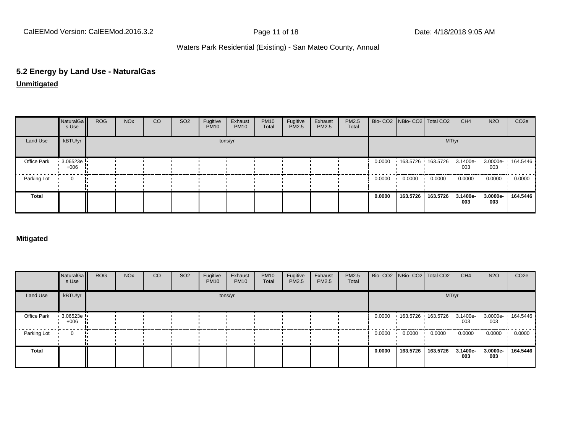CalEEMod Version: CalEEMod.2016.3.2 **Page 11 of 18** Page 11 of 18 Date: 4/18/2018 9:05 AM

#### Waters Park Residential (Existing) - San Mateo County, Annual

### **5.2 Energy by Land Use - NaturalGas**

**Unmitigated**

|              | NaturalGa<br>s Use | <b>ROG</b> | <b>NO<sub>x</sub></b> | CO | SO <sub>2</sub> | Fugitive<br><b>PM10</b> | Exhaust<br><b>PM10</b> | <b>PM10</b><br>Total | Fugitive<br>PM2.5 | Exhaust<br>PM2.5 | PM2.5<br>Total |        | Bio- CO2   NBio- CO2   Total CO2                                      |          | CH <sub>4</sub> | <b>N2O</b>      | CO <sub>2</sub> e |
|--------------|--------------------|------------|-----------------------|----|-----------------|-------------------------|------------------------|----------------------|-------------------|------------------|----------------|--------|-----------------------------------------------------------------------|----------|-----------------|-----------------|-------------------|
| Land Use     | kBTU/yr            |            |                       |    |                 |                         | tons/yr                |                      |                   |                  |                |        |                                                                       |          | MT/yr           |                 |                   |
| Office Park  | 3.06523e<br>$+006$ |            |                       |    |                 |                         |                        |                      |                   |                  |                | 0.0000 | $163.5726$ $163.5726$ $3.1400e$ $3.0000e$ $164.5446$<br>003 $003$ 003 |          |                 |                 |                   |
| Parking Lot  | $\mathbf 0$        |            |                       |    |                 |                         |                        |                      |                   |                  |                | 0.0000 | 0.0000                                                                | 0.0000   | 0.0000          | 0.0000          | 0.0000            |
| <b>Total</b> |                    |            |                       |    |                 |                         |                        |                      |                   |                  |                | 0.0000 | 163.5726                                                              | 163.5726 | 3.1400e-<br>003 | 3.0000e-<br>003 | 164.5446          |

#### **Mitigated**

|             | NaturalGa<br>s Use | <b>ROG</b> | <b>NO<sub>x</sub></b> | CO | SO <sub>2</sub> | Fugitive<br><b>PM10</b> | Exhaust<br><b>PM10</b> | <b>PM10</b><br>Total | Fugitive<br>PM2.5 | Exhaust<br>PM2.5 | PM2.5<br>Total |        | Bio- CO2 NBio- CO2 Total CO2               |          | CH <sub>4</sub> | <b>N2O</b>      | CO <sub>2e</sub> |
|-------------|--------------------|------------|-----------------------|----|-----------------|-------------------------|------------------------|----------------------|-------------------|------------------|----------------|--------|--------------------------------------------|----------|-----------------|-----------------|------------------|
| Land Use    | kBTU/yr            |            |                       |    |                 |                         | tons/yr                |                      |                   |                  |                |        |                                            | MT/yr    |                 |                 |                  |
| Office Park | 3.06523e<br>$+006$ |            |                       |    |                 |                         |                        |                      |                   |                  |                | 0.0000 | 163.5726 163.5726 3.1400e 3.0000e 164.5446 |          | 003             | 003             |                  |
| Parking Lot | 0                  |            |                       |    |                 |                         |                        |                      |                   |                  |                | 0.0000 | 0.0000                                     | 0.0000   | 0.0000          | 0.0000          | 0.0000           |
| Total       |                    |            |                       |    |                 |                         |                        |                      |                   |                  |                | 0.0000 | 163.5726                                   | 163.5726 | 3.1400e-<br>003 | 3.0000e-<br>003 | 164.5446         |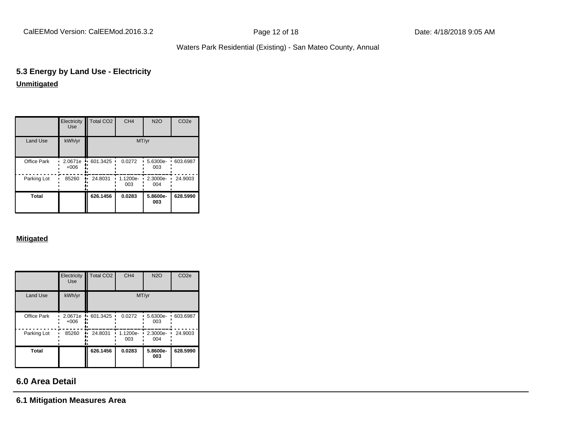CalEEMod Version: CalEEMod.2016.3.2 **Page 12 of 18** Page 12 of 18 Date: 4/18/2018 9:05 AM

#### Waters Park Residential (Existing) - San Mateo County, Annual

#### **5.3 Energy by Land Use - Electricity Unmitigated**

|                 | Electricity<br><b>Use</b> | <b>Total CO2</b> | CH <sub>4</sub> | <b>N2O</b>      | CO <sub>2e</sub> |
|-----------------|---------------------------|------------------|-----------------|-----------------|------------------|
| <b>Land Use</b> | kWh/yr                    |                  |                 | MT/yr           |                  |
| Office Park     | 2.0671e<br>$+006$         | 601.3425<br>'n.  | 0.0272          | 5.6300e-<br>003 | 603.6987         |
| Parking Lot     | 85260                     | 24.8031          | 1.1200e-<br>003 | 2.3000e-<br>004 | 24.9003          |
| <b>Total</b>    |                           | 626.1456         | 0.0283          | 5.8600e-<br>003 | 628.5990         |

#### **Mitigated**

|                    | Electricity<br><b>Use</b> | Total CO <sub>2</sub> | CH <sub>4</sub> | <b>N2O</b>      | CO <sub>2e</sub> |
|--------------------|---------------------------|-----------------------|-----------------|-----------------|------------------|
| Land Use           | kWh/yr                    |                       | MT/yr           |                 |                  |
| <b>Office Park</b> | 2.0671e<br>$+006$         | 601.3425<br>٠.        | 0.0272          | 5.6300e-<br>003 | 603.6987         |
| Parking Lot        | 85260                     | 24.8031               | 1.1200e-<br>003 | 2.3000e-<br>004 | 24.9003          |
| <b>Total</b>       |                           | 626.1456              | 0.0283          | 5.8600e-<br>003 | 628.5990         |

#### **6.0 Area Detail**

**6.1 Mitigation Measures Area**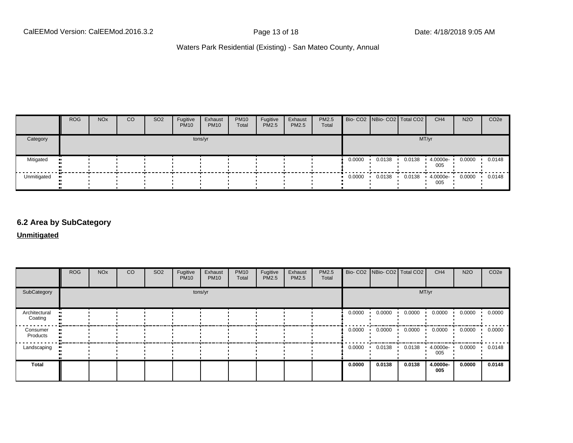|             | <b>ROG</b> | <b>NO<sub>x</sub></b> | CO | SO <sub>2</sub> | Fugitive<br><b>PM10</b> | Exhaust<br><b>PM10</b> | <b>PM10</b><br>Total | Fugitive<br><b>PM2.5</b> | Exhaust<br><b>PM2.5</b> | <b>PM2.5</b><br>Total |        | Bio- CO2   NBio- CO2   Total CO2 |        | CH <sub>4</sub> | <b>N2O</b> | CO <sub>2e</sub> |
|-------------|------------|-----------------------|----|-----------------|-------------------------|------------------------|----------------------|--------------------------|-------------------------|-----------------------|--------|----------------------------------|--------|-----------------|------------|------------------|
| Category    |            |                       |    |                 |                         | tons/yr                |                      |                          |                         |                       |        |                                  |        | MT/yr           |            |                  |
| Mitigated   |            |                       |    |                 |                         |                        |                      |                          |                         |                       | 0.0000 | 0.0138                           | 0.0138 | 4.0000e-<br>005 | 0.0000     | 0.0148           |
| Unmitigated | <b>ALC</b> |                       |    |                 |                         |                        |                      |                          |                         |                       | 0.0000 | 0.0138                           | 0.0138 | 4.0000e-<br>005 | 0.0000     | 0.0148           |

#### **6.2 Area by SubCategory**

**Unmitigated**

|                          | <b>ROG</b> | <b>NO<sub>x</sub></b> | CO | SO <sub>2</sub> | Fugitive<br><b>PM10</b> | Exhaust<br><b>PM10</b> | <b>PM10</b><br>Total | Fugitive<br>PM2.5 | Exhaust<br>PM2.5 | PM2.5<br>Total |               | Bio- CO2   NBio- CO2   Total CO2 |        | CH <sub>4</sub> | <b>N2O</b> | CO <sub>2</sub> e |
|--------------------------|------------|-----------------------|----|-----------------|-------------------------|------------------------|----------------------|-------------------|------------------|----------------|---------------|----------------------------------|--------|-----------------|------------|-------------------|
| SubCategory              |            |                       |    |                 |                         | tons/yr                |                      |                   |                  |                |               |                                  | MT/yr  |                 |            |                   |
| Architectural<br>Coating |            |                       |    |                 |                         |                        |                      |                   |                  |                | 0.0000<br>. . | 0.0000                           | 0.0000 | 0.0000          | 0.0000     | 0.0000            |
| Consumer<br>Products     |            |                       |    |                 |                         |                        |                      |                   |                  |                | 0.0000        | 0.0000                           | 0.0000 | 0.0000          | 0.0000     | 0.0000            |
| Landscaping              |            |                       |    |                 |                         |                        |                      |                   |                  |                | 0.0000        | 0.0138                           | 0.0138 | 4.0000e-<br>005 | 0.0000     | 0.0148            |
| <b>Total</b>             |            |                       |    |                 |                         |                        |                      |                   |                  |                | 0.0000        | 0.0138                           | 0.0138 | 4.0000e-<br>005 | 0.0000     | 0.0148            |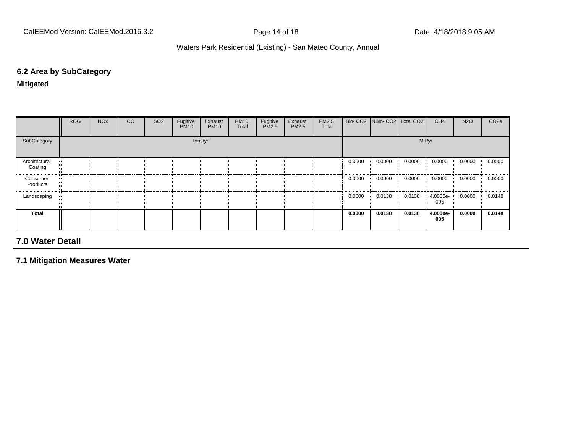#### **6.2 Area by SubCategory**

**Mitigated**

|                          | <b>ROG</b> | <b>NO<sub>x</sub></b> | CO | SO <sub>2</sub> | Fugitive<br><b>PM10</b> | Exhaust<br><b>PM10</b> | <b>PM10</b><br>Total | Fugitive<br>PM2.5 | Exhaust<br><b>PM2.5</b> | PM2.5<br>Total |        | Bio- CO2   NBio- CO2   Total CO2 |        | CH <sub>4</sub> | <b>N2O</b> | CO <sub>2</sub> e |
|--------------------------|------------|-----------------------|----|-----------------|-------------------------|------------------------|----------------------|-------------------|-------------------------|----------------|--------|----------------------------------|--------|-----------------|------------|-------------------|
| SubCategory              |            |                       |    |                 |                         | tons/yr                |                      |                   |                         |                |        |                                  |        | MT/yr           |            |                   |
| Architectural<br>Coating |            |                       |    |                 |                         |                        |                      |                   |                         |                | 0.0000 | 0.0000                           | 0.0000 | 0.0000          | 0.0000     | 0.0000            |
| Consumer<br>Products     |            |                       |    |                 |                         |                        |                      |                   |                         |                | 0.0000 | 0.0000                           | 0.0000 | 0.0000          | 0.0000     | 0.0000            |
| Landscaping<br>$\bullet$ |            |                       |    |                 |                         |                        |                      |                   |                         |                | 0.0000 | 0.0138                           | 0.0138 | 4.0000e-<br>005 | 0.0000     | 0.0148            |
| Total                    |            |                       |    |                 |                         |                        |                      |                   |                         |                | 0.0000 | 0.0138                           | 0.0138 | 4.0000e-<br>005 | 0.0000     | 0.0148            |

#### **7.0 Water Detail**

**7.1 Mitigation Measures Water**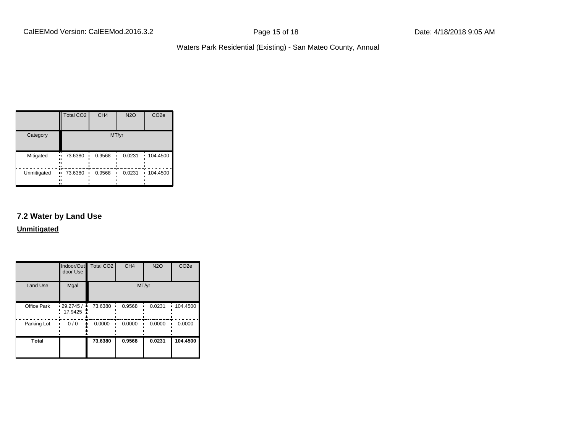|             | <b>Total CO2</b>           | CH <sub>4</sub> | <b>N2O</b> | CO <sub>2e</sub> |
|-------------|----------------------------|-----------------|------------|------------------|
| Category    |                            |                 | MT/yr      |                  |
| Mitigated   | 73.6380<br>.,<br><br><br>n | 0.9568          | 0.0231     | 104.4500         |
| Unmitigated | 73.6380<br>.,<br>.,<br>    | 0.9568          | 0.0231     | 104.4500         |

#### **7.2 Water by Land Use**

**Unmitigated**

|                 | door Use             | Indoor/Out Total CO2 | CH <sub>4</sub> | <b>N2O</b> | CO <sub>2e</sub> |
|-----------------|----------------------|----------------------|-----------------|------------|------------------|
| <b>Land Use</b> | Mgal                 |                      | MT/yr           |            |                  |
| Office Park     | .29.2745/<br>17.9425 | 73.6380<br>۸,        | 0.9568          | 0.0231     | 104.4500         |
| Parking Lot     | 0/0                  | 0.0000               | 0.0000          | 0.0000     | 0.0000           |
| <b>Total</b>    |                      | 73.6380              | 0.9568          | 0.0231     | 104.4500         |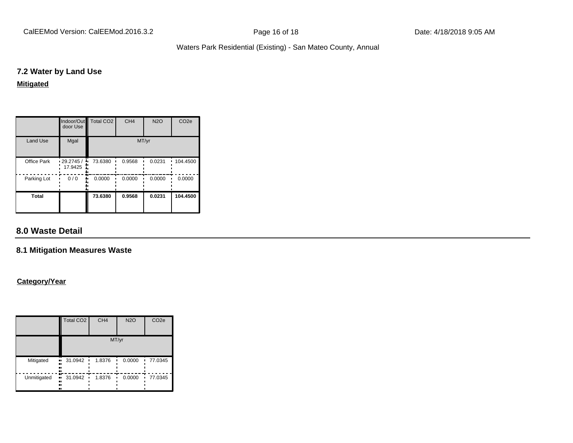CalEEMod Version: CalEEMod.2016.3.2 **Page 16 of 18** Page 16 of 18 Date: 4/18/2018 9:05 AM

#### Waters Park Residential (Existing) - San Mateo County, Annual

#### **7.2 Water by Land Use**

#### **Mitigated**

|                 | door Use                     | Indoor/Out Total CO2 | CH <sub>4</sub> | <b>N2O</b> | CO <sub>2e</sub> |
|-----------------|------------------------------|----------------------|-----------------|------------|------------------|
| <b>Land Use</b> | Mgal                         |                      |                 | MT/yr      |                  |
| Office Park     | $\cdot$ 29.2745 /<br>17.9425 | 73.6380              | 0.9568          | 0.0231     | 104.4500         |
| Parking Lot     | 0/0                          | 0.0000               | 0.0000          | 0.0000     | 0.0000           |
| <b>Total</b>    |                              | 73.6380              | 0.9568          | 0.0231     | 104.4500         |

#### **8.0 Waste Detail**

#### **8.1 Mitigation Measures Waste**

#### **Category/Year**

|             | <b>Total CO2</b>                                            | CH <sub>4</sub> | <b>N2O</b> | CO <sub>2e</sub> |
|-------------|-------------------------------------------------------------|-----------------|------------|------------------|
|             |                                                             |                 | MT/yr      |                  |
| Mitigated   | 31.0942<br>ш<br>٠<br><br><br>                               | 1.8376          | 0.0000     | 77.0345          |
| Unmitigated | 31.0942<br>$\bullet\bullet$<br>$\blacksquare$<br><br>.,<br> | 1.8376          | 0.0000     | 77.0345<br>٠     |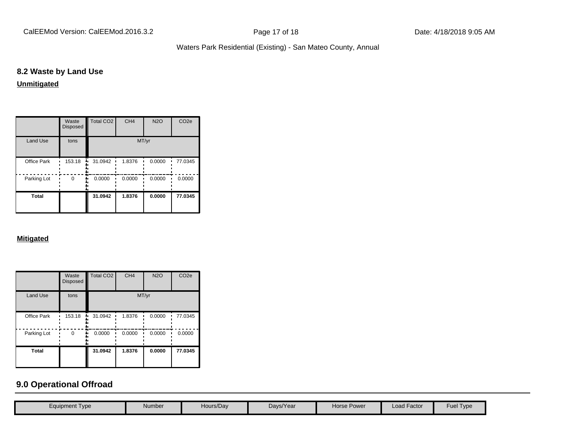CalEEMod Version: CalEEMod.2016.3.2 **Page 17 of 18** Page 17 of 18 Date: 4/18/2018 9:05 AM

#### Waters Park Residential (Existing) - San Mateo County, Annual

#### **8.2 Waste by Land Use**

#### **Unmitigated**

|                 | Waste<br><b>Disposed</b> | Total CO <sub>2</sub> | CH <sub>4</sub> | <b>N2O</b> | CO <sub>2e</sub> |
|-----------------|--------------------------|-----------------------|-----------------|------------|------------------|
| <b>Land Use</b> | tons                     |                       | MT/yr           |            |                  |
| Office Park     | 153.18                   | 31.0942               | 1.8376          | 0.0000     | 77.0345          |
| Parking Lot     | 0                        | 0.0000                | 0.0000          | 0.0000     | 0.0000           |
| Total           |                          | 31.0942               | 1.8376          | 0.0000     | 77.0345          |

#### **Mitigated**

|                 | Waste<br><b>Disposed</b> | <b>Total CO2</b> | CH <sub>4</sub> | <b>N2O</b> | CO <sub>2e</sub> |
|-----------------|--------------------------|------------------|-----------------|------------|------------------|
| <b>Land Use</b> | tons                     |                  | MT/yr           |            |                  |
| Office Park     | 153.18                   | 31.0942<br>ā,    | 1.8376          | 0.0000     | 77.0345          |
| Parking Lot     | 0                        | 0.0000           | 0.0000          | 0.0000     | 0.0000           |
| <b>Total</b>    |                          | 31.0942          | 1.8376          | 0.0000     | 77.0345          |

#### **9.0 Operational Offroad**

| Equipment Type | Number | Hours/Day | Days/Year | Horse Power | <b>Load Factor</b> | Type<br>Fuel |
|----------------|--------|-----------|-----------|-------------|--------------------|--------------|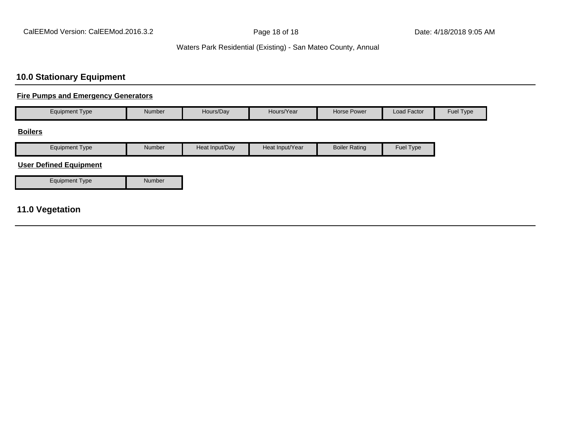#### **10.0 Stationary Equipment**

#### **Fire Pumps and Emergency Generators**

| <b>Equipment Type</b> | Number | Hours/Day | Hours/Year | <b>Horse Power</b> | Load Factor | Fuel Type |
|-----------------------|--------|-----------|------------|--------------------|-------------|-----------|
| <b>Dallans</b>        |        |           |            |                    |             |           |

#### **Boilers**

| cauipment<br><u>I</u> vpe | Number | Heat Input/Dav | Heat Input/Year | Rating<br><b>Boiler</b> | Fuel Type |
|---------------------------|--------|----------------|-----------------|-------------------------|-----------|

#### **User Defined Equipment**

#### **11.0 Vegetation**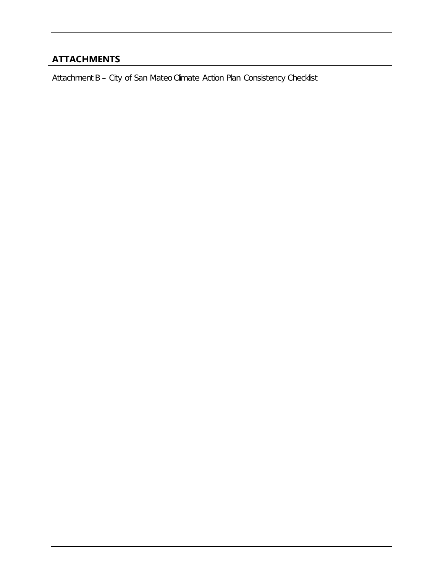### **ATTACHMENTS**

Attachment B – City of San Mateo Climate Action Plan Consistency Checklist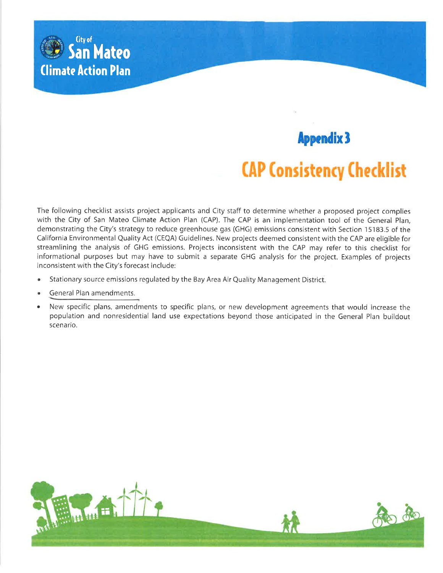

# **Appendix 3**

### **CAP Consistency Checklist**

The following checklist assists project applicants and City staff to determine whether a proposed project complies with the City of San Mateo Climate Action Plan (CAP). The CAP is an implementation tool of the General Plan, demonstrating the City's strategy to reduce greenhouse gas (GHG) emissions consistent with Section 15183.5 of the California Environmental Quality Act (CEQA) Guidelines. New projects deemed consistent with the CAP are eligible for streamlining the analysis of GHG emissions. Projects inconsistent with the CAP may refer to this checklist for informational purposes but may have to submit a separate GHG analysis for the project. Examples of projects inconsistent with the City's forecast include:

- ۰ Stationary source emissions regulated by the Bay Area Air Quality Management District.
- General Plan amendments.
- New specific plans, amendments to specific plans, or new development agreements that would increase the population and nonresidential land use expectations beyond those anticipated in the General Plan buildout scenario.

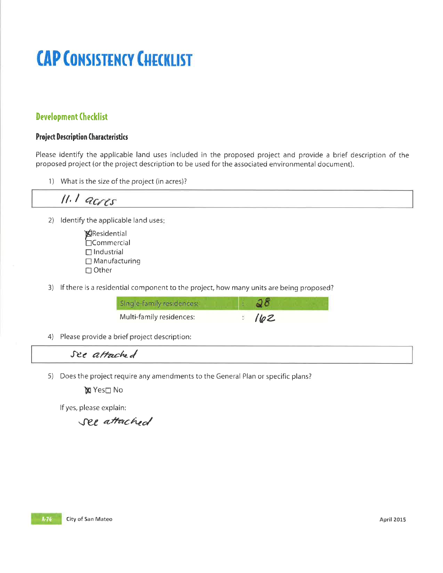# **CAP CONSISTENCY CHECKLIST**

#### **Development Checklist**

#### **Project Description Characteristics**

Please identify the applicable land uses included in the proposed project and provide a brief description of the proposed project (or the project description to be used for the associated environmental document).

1) What is the size of the project (in acres)?

$$
II. I \; \textit{acres}
$$

- 2) Identify the applicable land uses:
	- Residential └Ocommercial  $\Box$  Industrial  $\Box$  Manufacturing  $\Box$  Other
- 3) If there is a residential component to the project, how many units are being proposed?

| Single-family residences: |      |
|---------------------------|------|
| Multi-family residences:  | 1102 |

4) Please provide a brief project description:

#### See attached

5) Does the project require any amendments to the General Plan or specific plans?

**X** Yes□ No

If yes, please explain:

see attached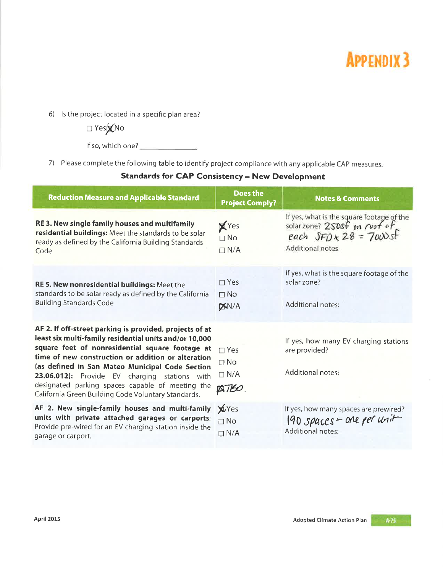## **APPENDIX 3**

6) Is the project located in a specific plan area?

 $\square$  Yes $\chi$ No

If so, which one?

7) Please complete the following table to identify project compliance with any applicable CAP measures.

#### **Standards for CAP Consistency - New Development**

| <b>Reduction Measure and Applicable Standard</b>                                                                                                                                                                                                                                                                                                                                                                                          | <b>Does the</b><br><b>Project Comply?</b>            | <b>Notes &amp; Comments</b>                                                                                                     |
|-------------------------------------------------------------------------------------------------------------------------------------------------------------------------------------------------------------------------------------------------------------------------------------------------------------------------------------------------------------------------------------------------------------------------------------------|------------------------------------------------------|---------------------------------------------------------------------------------------------------------------------------------|
| RE 3. New single family houses and multifamily<br>residential buildings: Meet the standards to be solar<br>ready as defined by the California Building Standards<br>Code                                                                                                                                                                                                                                                                  | XYes<br>$\Box$ No<br>$\Box$ N/A                      | If yes, what is the square footage of the<br>solarzone? 250sf on roof of<br>each $SFD \times 28 = 7000s$ f<br>Additional notes: |
| RE 5. New nonresidential buildings: Meet the<br>standards to be solar ready as defined by the California<br><b>Building Standards Code</b>                                                                                                                                                                                                                                                                                                | $\Box$ Yes<br>$\Box$ No<br><b>XN/A</b>               | If yes, what is the square footage of the<br>solar zone?<br><b>Additional notes:</b>                                            |
| AF 2. If off-street parking is provided, projects of at<br>least six multi-family residential units and/or 10,000<br>square feet of nonresidential square footage at<br>time of new construction or addition or alteration<br>(as defined in San Mateo Municipal Code Section<br>23.06.012): Provide EV charging stations with<br>designated parking spaces capable of meeting the<br>California Green Building Code Voluntary Standards. | $\Box$ Yes<br>$\Box$ No<br>$\Box N/A$<br><b>ATBO</b> | If yes, how many EV charging stations<br>are provided?<br>Additional notes:                                                     |
| AF 2. New single-family houses and multi-family<br>units with private attached garages or carports:<br>Provide pre-wired for an EV charging station inside the<br>garage or carport.                                                                                                                                                                                                                                                      | <b>X</b> Yes<br>$\Box$ No<br>$\Box$ N/A              | If yes, how many spaces are prewired?<br>$190$ spaces - one per unit<br><b>Additional notes:</b>                                |